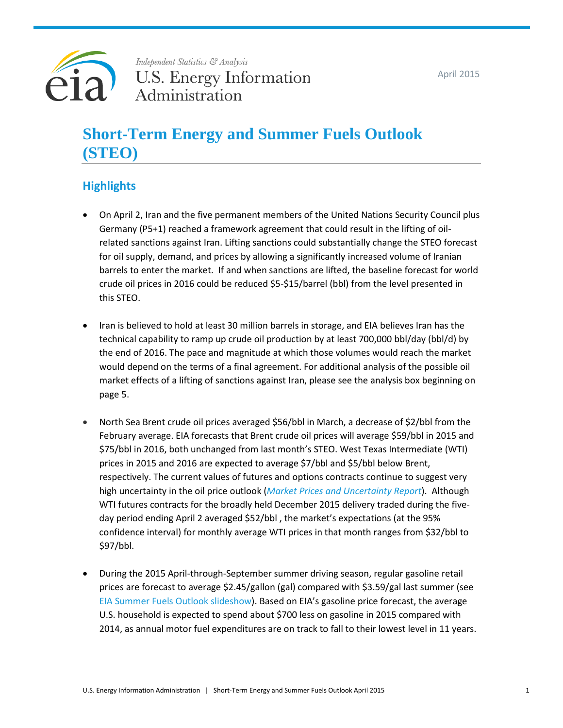April 2015



# Independent Statistics & Analysis **U.S. Energy Information** Administration

# **Short-Term Energy and Summer Fuels Outlook (STEO)**

# **Highlights**

- On April 2, Iran and the five permanent members of the United Nations Security Council plus Germany (P5+1) reached a framework agreement that could result in the lifting of oilrelated sanctions against Iran. Lifting sanctions could substantially change the STEO forecast for oil supply, demand, and prices by allowing a significantly increased volume of Iranian barrels to enter the market. If and when sanctions are lifted, the baseline forecast for world crude oil prices in 2016 could be reduced \$5-\$15/barrel (bbl) from the level presented in this STEO.
- Iran is believed to hold at least 30 million barrels in storage, and EIA believes Iran has the technical capability to ramp up crude oil production by at least 700,000 bbl/day (bbl/d) by the end of 2016. The pace and magnitude at which those volumes would reach the market would depend on the terms of a final agreement. For additional analysis of the possible oil market effects of a lifting of sanctions against Iran, please see the analysis box beginning on page 5.
- North Sea Brent crude oil prices averaged \$56/bbl in March, a decrease of \$2/bbl from the February average. EIA forecasts that Brent crude oil prices will average \$59/bbl in 2015 and \$75/bbl in 2016, both unchanged from last month's STEO. West Texas Intermediate (WTI) prices in 2015 and 2016 are expected to average \$7/bbl and \$5/bbl below Brent, respectively. The current values of futures and options contracts continue to suggest very high uncertainty in the oil price outlook (*[Market Prices and Uncertainty Report](http://www.eia.gov/forecasts/steo/uncertainty/index.cfm)*). Although WTI futures contracts for the broadly held December 2015 delivery traded during the fiveday period ending April 2 averaged \$52/bbl , the market's expectations (at the 95% confidence interval) for monthly average WTI prices in that month ranges from \$32/bbl to \$97/bbl.
- During the 2015 April-through-September summer driving season, regular gasoline retail prices are forecast to average \$2.45/gallon (gal) compared with \$3.59/gal last summer (see [EIA Summer Fuels Outlook slideshow\)](http://www.eia.gov/forecasts/steo/special/summer/2015_summer_fuels.pdf). Based on EIA's gasoline price forecast, the average U.S. household is expected to spend about \$700 less on gasoline in 2015 compared with 2014, as annual motor fuel expenditures are on track to fall to their lowest level in 11 years.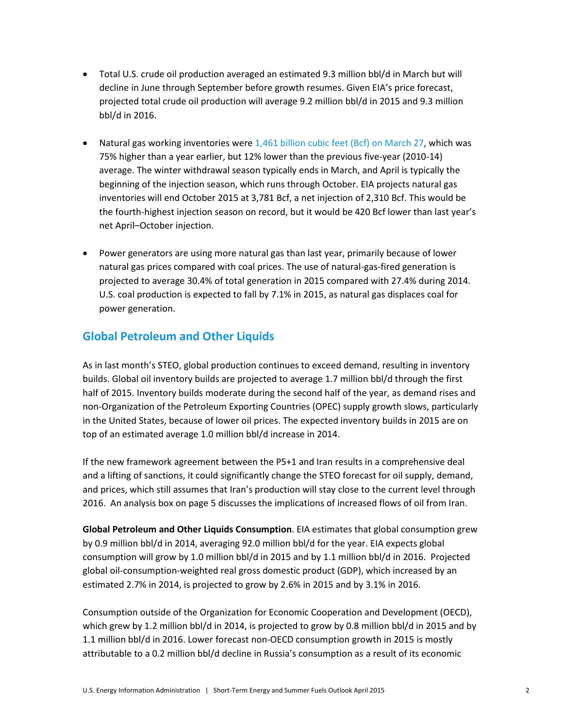- Total U.S. crude oil production averaged an estimated 9.3 million bbl/d in March but will decline in June through September before growth resumes. Given EIA's price forecast, projected total crude oil production will average 9.2 million bbl/d in 2015 and 9.3 million bbl/d in 2016.
- Natural gas working inventories were  $1,461$  [billion cubic feet \(Bcf\) on March 27,](http://ir.eia.gov/ngs/ngs.html) which was 75% higher than a year earlier, but 12% lower than the previous five-year (2010-14) average. The winter withdrawal season typically ends in March, and April is typically the beginning of the injection season, which runs through October. EIA projects natural gas inventories will end October 2015 at 3,781 Bcf, a net injection of 2,310 Bcf. This would be the fourth-highest injection season on record, but it would be 420 Bcf lower than last year's net April–October injection.
- Power generators are using more natural gas than last year, primarily because of lower natural gas prices compared with coal prices. The use of natural-gas-fired generation is projected to average 30.4% of total generation in 2015 compared with 27.4% during 2014. U.S. coal production is expected to fall by 7.1% in 2015, as natural gas displaces coal for power generation.

# **Global Petroleum and Other Liquids**

As in last month's STEO, global production continues to exceed demand, resulting in inventory builds. Global oil inventory builds are projected to average 1.7 million bbl/d through the first half of 2015. Inventory builds moderate during the second half of the year, as demand rises and non-Organization of the Petroleum Exporting Countries (OPEC) supply growth slows, particularly in the United States, because of lower oil prices. The expected inventory builds in 2015 are on top of an estimated average 1.0 million bbl/d increase in 2014.

If the new framework agreement between the P5+1 and Iran results in a comprehensive deal and a lifting of sanctions, it could significantly change the STEO forecast for oil supply, demand, and prices, which still assumes that Iran's production will stay close to the current level through 2016. An analysis box on page 5 discusses the implications of increased flows of oil from Iran.

**Global Petroleum and Other Liquids Consumption**. EIA estimates that global consumption grew by 0.9 million bbl/d in 2014, averaging 92.0 million bbl/d for the year. EIA expects global consumption will grow by 1.0 million bbl/d in 2015 and by 1.1 million bbl/d in 2016. Projected global oil-consumption-weighted real gross domestic product (GDP), which increased by an estimated 2.7% in 2014, is projected to grow by 2.6% in 2015 and by 3.1% in 2016.

Consumption outside of the Organization for Economic Cooperation and Development (OECD), which grew by 1.2 million bbl/d in 2014, is projected to grow by 0.8 million bbl/d in 2015 and by 1.1 million bbl/d in 2016. Lower forecast non-OECD consumption growth in 2015 is mostly attributable to a 0.2 million bbl/d decline in Russia's consumption as a result of its economic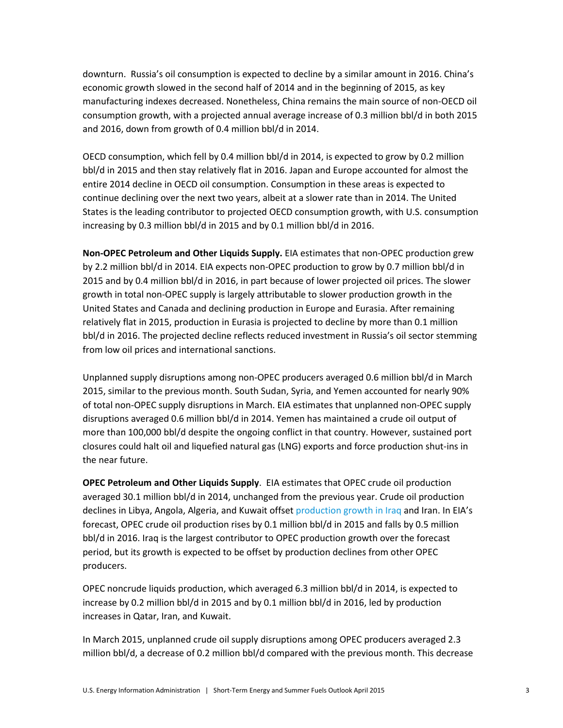downturn. Russia's oil consumption is expected to decline by a similar amount in 2016. China's economic growth slowed in the second half of 2014 and in the beginning of 2015, as key manufacturing indexes decreased. Nonetheless, China remains the main source of non-OECD oil consumption growth, with a projected annual average increase of 0.3 million bbl/d in both 2015 and 2016, down from growth of 0.4 million bbl/d in 2014.

OECD consumption, which fell by 0.4 million bbl/d in 2014, is expected to grow by 0.2 million bbl/d in 2015 and then stay relatively flat in 2016. Japan and Europe accounted for almost the entire 2014 decline in OECD oil consumption. Consumption in these areas is expected to continue declining over the next two years, albeit at a slower rate than in 2014. The United States is the leading contributor to projected OECD consumption growth, with U.S. consumption increasing by 0.3 million bbl/d in 2015 and by 0.1 million bbl/d in 2016.

**Non‐OPEC Petroleum and Other Liquids Supply.** EIA estimates that non-OPEC production grew by 2.2 million bbl/d in 2014. EIA expects non-OPEC production to grow by 0.7 million bbl/d in 2015 and by 0.4 million bbl/d in 2016, in part because of lower projected oil prices. The slower growth in total non-OPEC supply is largely attributable to slower production growth in the United States and Canada and declining production in Europe and Eurasia. After remaining relatively flat in 2015, production in Eurasia is projected to decline by more than 0.1 million bbl/d in 2016. The projected decline reflects reduced investment in Russia's oil sector stemming from low oil prices and international sanctions.

Unplanned supply disruptions among non-OPEC producers averaged 0.6 million bbl/d in March 2015, similar to the previous month. South Sudan, Syria, and Yemen accounted for nearly 90% of total non-OPEC supply disruptions in March. EIA estimates that unplanned non-OPEC supply disruptions averaged 0.6 million bbl/d in 2014. Yemen has maintained a crude oil output of more than 100,000 bbl/d despite the ongoing conflict in that country. However, sustained port closures could halt oil and liquefied natural gas (LNG) exports and force production shut-ins in the near future.

**OPEC Petroleum and Other Liquids Supply**. EIA estimates that OPEC crude oil production averaged 30.1 million bbl/d in 2014, unchanged from the previous year. Crude oil production declines in Libya, Angola, Algeria, and Kuwait offset [production growth in Iraq](http://www.eia.gov/todayinenergy/detail.cfm?id=19911) and Iran. In EIA's forecast, OPEC crude oil production rises by 0.1 million bbl/d in 2015 and falls by 0.5 million bbl/d in 2016. Iraq is the largest contributor to OPEC production growth over the forecast period, but its growth is expected to be offset by production declines from other OPEC producers.

OPEC noncrude liquids production, which averaged 6.3 million bbl/d in 2014, is expected to increase by 0.2 million bbl/d in 2015 and by 0.1 million bbl/d in 2016, led by production increases in Qatar, Iran, and Kuwait.

In March 2015, unplanned crude oil supply disruptions among OPEC producers averaged 2.3 million bbl/d, a decrease of 0.2 million bbl/d compared with the previous month. This decrease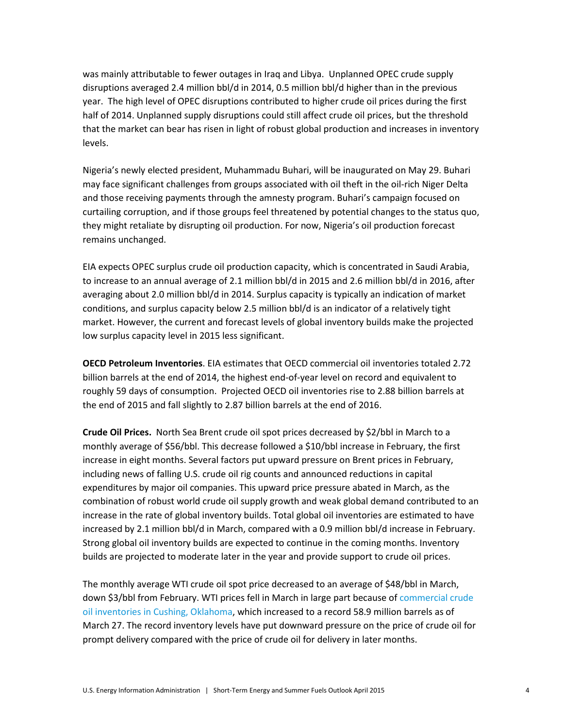was mainly attributable to fewer outages in Iraq and Libya. Unplanned OPEC crude supply disruptions averaged 2.4 million bbl/d in 2014, 0.5 million bbl/d higher than in the previous year. The high level of OPEC disruptions contributed to higher crude oil prices during the first half of 2014. Unplanned supply disruptions could still affect crude oil prices, but the threshold that the market can bear has risen in light of robust global production and increases in inventory levels.

Nigeria's newly elected president, Muhammadu Buhari, will be inaugurated on May 29. Buhari may face significant challenges from groups associated with oil theft in the oil-rich Niger Delta and those receiving payments through the amnesty program. Buhari's campaign focused on curtailing corruption, and if those groups feel threatened by potential changes to the status quo, they might retaliate by disrupting oil production. For now, Nigeria's oil production forecast remains unchanged.

EIA expects OPEC surplus crude oil production capacity, which is concentrated in Saudi Arabia, to increase to an annual average of 2.1 million bbl/d in 2015 and 2.6 million bbl/d in 2016, after averaging about 2.0 million bbl/d in 2014. Surplus capacity is typically an indication of market conditions, and surplus capacity below 2.5 million bbl/d is an indicator of a relatively tight market. However, the current and forecast levels of global inventory builds make the projected low surplus capacity level in 2015 less significant.

**OECD Petroleum Inventories**. EIA estimates that OECD commercial oil inventories totaled 2.72 billion barrels at the end of 2014, the highest end-of-year level on record and equivalent to roughly 59 days of consumption. Projected OECD oil inventories rise to 2.88 billion barrels at the end of 2015 and fall slightly to 2.87 billion barrels at the end of 2016.

**Crude Oil Prices.** North Sea Brent crude oil spot prices decreased by \$2/bbl in March to a monthly average of \$56/bbl. This decrease followed a \$10/bbl increase in February, the first increase in eight months. Several factors put upward pressure on Brent prices in February, including news of falling U.S. crude oil rig counts and announced reductions in capital expenditures by major oil companies. This upward price pressure abated in March, as the combination of robust world crude oil supply growth and weak global demand contributed to an increase in the rate of global inventory builds. Total global oil inventories are estimated to have increased by 2.1 million bbl/d in March, compared with a 0.9 million bbl/d increase in February. Strong global oil inventory builds are expected to continue in the coming months. Inventory builds are projected to moderate later in the year and provide support to crude oil prices.

The monthly average WTI crude oil spot price decreased to an average of \$48/bbl in March, down \$3/bbl from February. WTI prices fell in March in large part because o[f commercial crude](http://www.eia.gov/todayinenergy/detail.cfm?id=20472)  [oil inventories in Cushing, Oklahoma,](http://www.eia.gov/todayinenergy/detail.cfm?id=20472) which increased to a record 58.9 million barrels as of March 27. The record inventory levels have put downward pressure on the price of crude oil for prompt delivery compared with the price of crude oil for delivery in later months.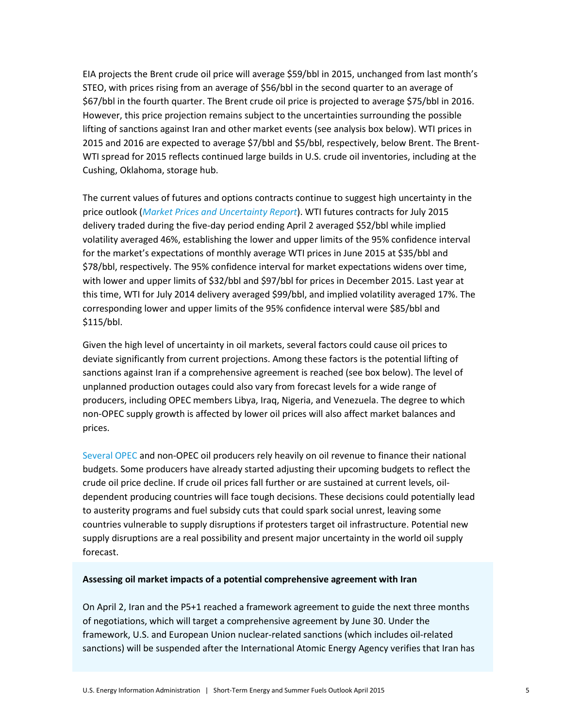EIA projects the Brent crude oil price will average \$59/bbl in 2015, unchanged from last month's STEO, with prices rising from an average of \$56/bbl in the second quarter to an average of \$67/bbl in the fourth quarter. The Brent crude oil price is projected to average \$75/bbl in 2016. However, this price projection remains subject to the uncertainties surrounding the possible lifting of sanctions against Iran and other market events (see analysis box below). WTI prices in 2015 and 2016 are expected to average \$7/bbl and \$5/bbl, respectively, below Brent. The Brent-WTI spread for 2015 reflects continued large builds in U.S. crude oil inventories, including at the Cushing, Oklahoma, storage hub.

The current values of futures and options contracts continue to suggest high uncertainty in the price outlook (*[Market Prices and Uncertainty Report](http://www.eia.gov/forecasts/steo/uncertainty/index.cfm)*). WTI futures contracts for July 2015 delivery traded during the five-day period ending April 2 averaged \$52/bbl while implied volatility averaged 46%, establishing the lower and upper limits of the 95% confidence interval for the market's expectations of monthly average WTI prices in June 2015 at \$35/bbl and \$78/bbl, respectively. The 95% confidence interval for market expectations widens over time, with lower and upper limits of \$32/bbl and \$97/bbl for prices in December 2015. Last year at this time, WTI for July 2014 delivery averaged \$99/bbl, and implied volatility averaged 17%. The corresponding lower and upper limits of the 95% confidence interval were \$85/bbl and \$115/bbl.

Given the high level of uncertainty in oil markets, several factors could cause oil prices to deviate significantly from current projections. Among these factors is the potential lifting of sanctions against Iran if a comprehensive agreement is reached (see box below). The level of unplanned production outages could also vary from forecast levels for a wide range of producers, including OPEC members Libya, Iraq, Nigeria, and Venezuela. The degree to which non-OPEC supply growth is affected by lower oil prices will also affect market balances and prices.

[Several OPEC](http://www.eia.gov/countries/regions-topics.cfm?fips=OPEC) and non-OPEC oil producers rely heavily on oil revenue to finance their national budgets. Some producers have already started adjusting their upcoming budgets to reflect the crude oil price decline. If crude oil prices fall further or are sustained at current levels, oildependent producing countries will face tough decisions. These decisions could potentially lead to austerity programs and fuel subsidy cuts that could spark social unrest, leaving some countries vulnerable to supply disruptions if protesters target oil infrastructure. Potential new supply disruptions are a real possibility and present major uncertainty in the world oil supply forecast.

## **Assessing oil market impacts of a potential comprehensive agreement with Iran**

On April 2, Iran and the P5+1 reached a framework agreement to guide the next three months of negotiations, which will target a comprehensive agreement by June 30. Under the framework, U.S. and European Union nuclear-related sanctions (which includes oil-related sanctions) will be suspended after the International Atomic Energy Agency verifies that Iran has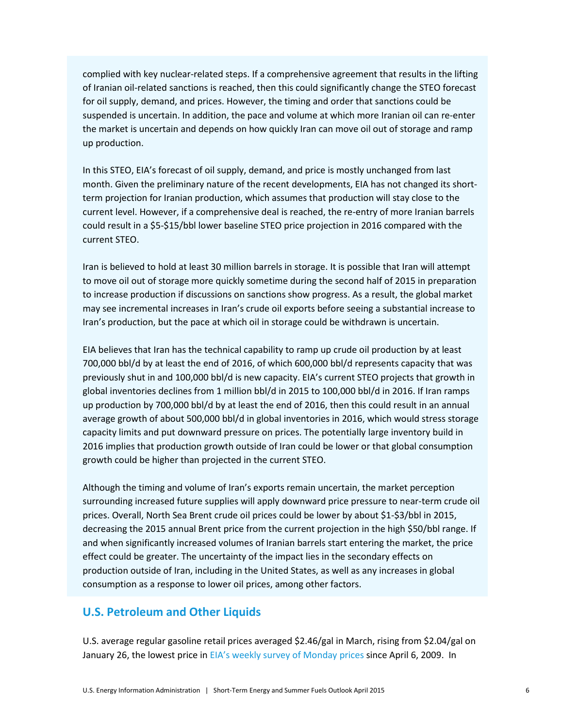complied with key nuclear-related steps. If a comprehensive agreement that results in the lifting of Iranian oil-related sanctions is reached, then this could significantly change the STEO forecast for oil supply, demand, and prices. However, the timing and order that sanctions could be suspended is uncertain. In addition, the pace and volume at which more Iranian oil can re-enter the market is uncertain and depends on how quickly Iran can move oil out of storage and ramp up production.

In this STEO, EIA's forecast of oil supply, demand, and price is mostly unchanged from last month. Given the preliminary nature of the recent developments, EIA has not changed its shortterm projection for Iranian production, which assumes that production will stay close to the current level. However, if a comprehensive deal is reached, the re-entry of more Iranian barrels could result in a \$5-\$15/bbl lower baseline STEO price projection in 2016 compared with the current STEO.

Iran is believed to hold at least 30 million barrels in storage. It is possible that Iran will attempt to move oil out of storage more quickly sometime during the second half of 2015 in preparation to increase production if discussions on sanctions show progress. As a result, the global market may see incremental increases in Iran's crude oil exports before seeing a substantial increase to Iran's production, but the pace at which oil in storage could be withdrawn is uncertain.

EIA believes that Iran has the technical capability to ramp up crude oil production by at least 700,000 bbl/d by at least the end of 2016, of which 600,000 bbl/d represents capacity that was previously shut in and 100,000 bbl/d is new capacity. EIA's current STEO projects that growth in global inventories declines from 1 million bbl/d in 2015 to 100,000 bbl/d in 2016. If Iran ramps up production by 700,000 bbl/d by at least the end of 2016, then this could result in an annual average growth of about 500,000 bbl/d in global inventories in 2016, which would stress storage capacity limits and put downward pressure on prices. The potentially large inventory build in 2016 implies that production growth outside of Iran could be lower or that global consumption growth could be higher than projected in the current STEO.

Although the timing and volume of Iran's exports remain uncertain, the market perception surrounding increased future supplies will apply downward price pressure to near-term crude oil prices. Overall, North Sea Brent crude oil prices could be lower by about \$1-\$3/bbl in 2015, decreasing the 2015 annual Brent price from the current projection in the high \$50/bbl range. If and when significantly increased volumes of Iranian barrels start entering the market, the price effect could be greater. The uncertainty of the impact lies in the secondary effects on production outside of Iran, including in the United States, as well as any increases in global consumption as a response to lower oil prices, among other factors.

# **U.S. Petroleum and Other Liquids**

U.S. average regular gasoline retail prices averaged \$2.46/gal in March, rising from \$2.04/gal on January 26, the lowest price in [EIA's weekly survey of Monday prices](http://www.eia.gov/petroleum/gasdiesel/) since April 6, 2009. In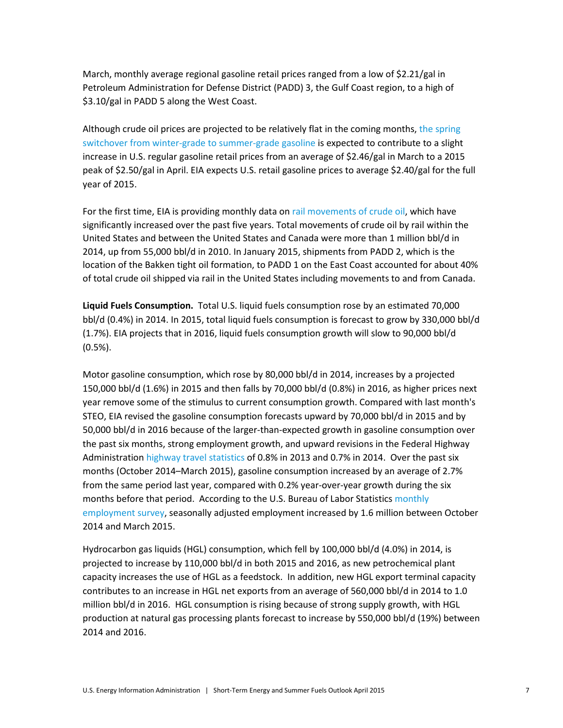March, monthly average regional gasoline retail prices ranged from a low of \$2.21/gal in Petroleum Administration for Defense District (PADD) 3, the Gulf Coast region, to a high of \$3.10/gal in PADD 5 along the West Coast.

Although crude oil prices are projected to be relatively flat in the coming months, the spring [switchover from winter-grade to summer-grade gasoline i](http://www.eia.gov/petroleum/weekly/archive/2015/150325/includes/analysis_print.cfm)s expected to contribute to a slight increase in U.S. regular gasoline retail prices from an average of \$2.46/gal in March to a 2015 peak of \$2.50/gal in April. EIA expects U.S. retail gasoline prices to average \$2.40/gal for the full year of 2015.

For the first time, EIA is providing monthly data on [rail movements of crude oil,](http://www.eia.gov/petroleum/transportation/) which have significantly increased over the past five years. Total movements of crude oil by rail within the United States and between the United States and Canada were more than 1 million bbl/d in 2014, up from 55,000 bbl/d in 2010. In January 2015, shipments from PADD 2, which is the location of the Bakken tight oil formation, to PADD 1 on the East Coast accounted for about 40% of total crude oil shipped via rail in the United States including movements to and from Canada.

**Liquid Fuels Consumption.** Total U.S. liquid fuels consumption rose by an estimated 70,000 bbl/d (0.4%) in 2014. In 2015, total liquid fuels consumption is forecast to grow by 330,000 bbl/d (1.7%). EIA projects that in 2016, liquid fuels consumption growth will slow to 90,000 bbl/d (0.5%).

Motor gasoline consumption, which rose by 80,000 bbl/d in 2014, increases by a projected 150,000 bbl/d (1.6%) in 2015 and then falls by 70,000 bbl/d (0.8%) in 2016, as higher prices next year remove some of the stimulus to current consumption growth. Compared with last month's STEO, EIA revised the gasoline consumption forecasts upward by 70,000 bbl/d in 2015 and by 50,000 bbl/d in 2016 because of the larger-than-expected growth in gasoline consumption over the past six months, strong employment growth, and upward revisions in the Federal Highway Administration [highway travel statistics](http://www.fhwa.dot.gov/policyinformation/travel_monitoring/tvt.cfm) of 0.8% in 2013 and 0.7% in 2014. Over the past six months (October 2014–March 2015), gasoline consumption increased by an average of 2.7% from the same period last year, compared with 0.2% year-over-year growth during the six months before that period. According to the U.S. Bureau of Labor Statistics [monthly](http://www.bls.gov/ces/)  [employment survey,](http://www.bls.gov/ces/) seasonally adjusted employment increased by 1.6 million between October 2014 and March 2015.

Hydrocarbon gas liquids (HGL) consumption, which fell by 100,000 bbl/d (4.0%) in 2014, is projected to increase by 110,000 bbl/d in both 2015 and 2016, as new petrochemical plant capacity increases the use of HGL as a feedstock. In addition, new HGL export terminal capacity contributes to an increase in HGL net exports from an average of 560,000 bbl/d in 2014 to 1.0 million bbl/d in 2016. HGL consumption is rising because of strong supply growth, with HGL production at natural gas processing plants forecast to increase by 550,000 bbl/d (19%) between 2014 and 2016.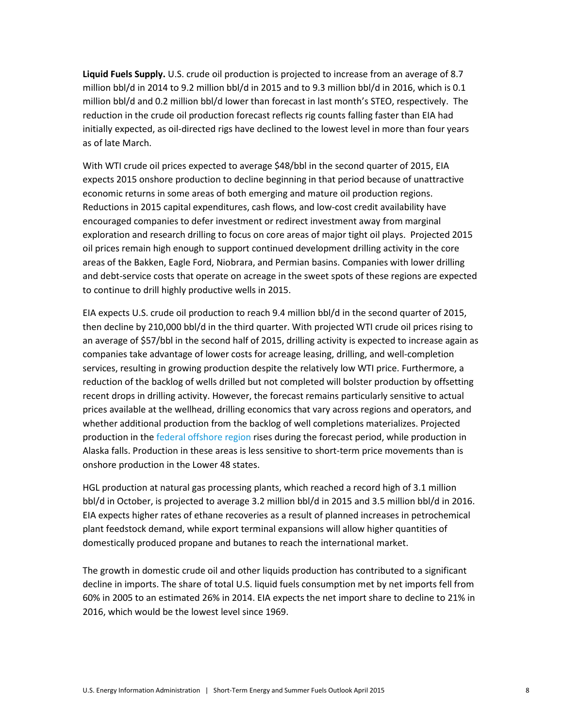**Liquid Fuels Supply.** U.S. crude oil production is projected to increase from an average of 8.7 million bbl/d in 2014 to 9.2 million bbl/d in 2015 and to 9.3 million bbl/d in 2016, which is 0.1 million bbl/d and 0.2 million bbl/d lower than forecast in last month's STEO, respectively. The reduction in the crude oil production forecast reflects rig counts falling faster than EIA had initially expected, as oil-directed rigs have declined to the lowest level in more than four years as of late March.

With WTI crude oil prices expected to average \$48/bbl in the second quarter of 2015, EIA expects 2015 onshore production to decline beginning in that period because of unattractive economic returns in some areas of both emerging and mature oil production regions. Reductions in 2015 capital expenditures, cash flows, and low-cost credit availability have encouraged companies to defer investment or redirect investment away from marginal exploration and research drilling to focus on core areas of major tight oil plays. Projected 2015 oil prices remain high enough to support continued development drilling activity in the core areas of the Bakken, Eagle Ford, Niobrara, and Permian basins. Companies with lower drilling and debt-service costs that operate on acreage in the sweet spots of these regions are expected to continue to drill highly productive wells in 2015.

EIA expects U.S. crude oil production to reach 9.4 million bbl/d in the second quarter of 2015, then decline by 210,000 bbl/d in the third quarter. With projected WTI crude oil prices rising to an average of \$57/bbl in the second half of 2015, drilling activity is expected to increase again as companies take advantage of lower costs for acreage leasing, drilling, and well-completion services, resulting in growing production despite the relatively low WTI price. Furthermore, a reduction of the backlog of wells drilled but not completed will bolster production by offsetting recent drops in drilling activity. However, the forecast remains particularly sensitive to actual prices available at the wellhead, drilling economics that vary across regions and operators, and whether additional production from the backlog of well completions materializes. Projected production in the [federal offshore region](http://www.eia.gov/todayinenergy/detail.cfm?id=20192) rises during the forecast period, while production in Alaska falls. Production in these areas is less sensitive to short-term price movements than is onshore production in the Lower 48 states.

HGL production at natural gas processing plants, which reached a record high of 3.1 million bbl/d in October, is projected to average 3.2 million bbl/d in 2015 and 3.5 million bbl/d in 2016. EIA expects higher rates of ethane recoveries as a result of planned increases in petrochemical plant feedstock demand, while export terminal expansions will allow higher quantities of domestically produced propane and butanes to reach the international market.

The growth in domestic crude oil and other liquids production has contributed to a significant decline in imports. The share of total U.S. liquid fuels consumption met by net imports fell from 60% in 2005 to an estimated 26% in 2014. EIA expects the net import share to decline to 21% in 2016, which would be the lowest level since 1969.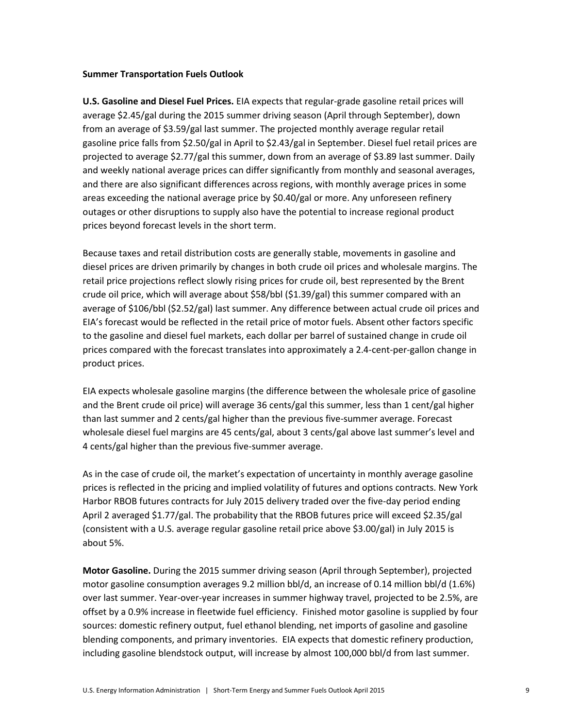## **Summer Transportation Fuels Outlook**

**U.S. Gasoline and Diesel Fuel Prices.** EIA expects that regular-grade gasoline retail prices will average \$2.45/gal during the 2015 summer driving season (April through September), down from an average of \$3.59/gal last summer. The projected monthly average regular retail gasoline price falls from \$2.50/gal in April to \$2.43/gal in September. Diesel fuel retail prices are projected to average \$2.77/gal this summer, down from an average of \$3.89 last summer. Daily and weekly national average prices can differ significantly from monthly and seasonal averages, and there are also significant differences across regions, with monthly average prices in some areas exceeding the national average price by \$0.40/gal or more. Any unforeseen refinery outages or other disruptions to supply also have the potential to increase regional product prices beyond forecast levels in the short term.

Because taxes and retail distribution costs are generally stable, movements in gasoline and diesel prices are driven primarily by changes in both crude oil prices and wholesale margins. The retail price projections reflect slowly rising prices for crude oil, best represented by the Brent crude oil price, which will average about \$58/bbl (\$1.39/gal) this summer compared with an average of \$106/bbl (\$2.52/gal) last summer. Any difference between actual crude oil prices and EIA's forecast would be reflected in the retail price of motor fuels. Absent other factors specific to the gasoline and diesel fuel markets, each dollar per barrel of sustained change in crude oil prices compared with the forecast translates into approximately a 2.4-cent-per-gallon change in product prices.

EIA expects wholesale gasoline margins (the difference between the wholesale price of gasoline and the Brent crude oil price) will average 36 cents/gal this summer, less than 1 cent/gal higher than last summer and 2 cents/gal higher than the previous five-summer average. Forecast wholesale diesel fuel margins are 45 cents/gal, about 3 cents/gal above last summer's level and 4 cents/gal higher than the previous five-summer average.

As in the case of crude oil, the market's expectation of uncertainty in monthly average gasoline prices is reflected in the pricing and implied volatility of futures and options contracts. New York Harbor RBOB futures contracts for July 2015 delivery traded over the five-day period ending April 2 averaged \$1.77/gal. The probability that the RBOB futures price will exceed \$2.35/gal (consistent with a U.S. average regular gasoline retail price above \$3.00/gal) in July 2015 is about 5%.

**Motor Gasoline.** During the 2015 summer driving season (April through September), projected motor gasoline consumption averages 9.2 million bbl/d, an increase of 0.14 million bbl/d (1.6%) over last summer. Year-over-year increases in summer highway travel, projected to be 2.5%, are offset by a 0.9% increase in fleetwide fuel efficiency. Finished motor gasoline is supplied by four sources: domestic refinery output, fuel ethanol blending, net imports of gasoline and gasoline blending components, and primary inventories. EIA expects that domestic refinery production, including gasoline blendstock output, will increase by almost 100,000 bbl/d from last summer.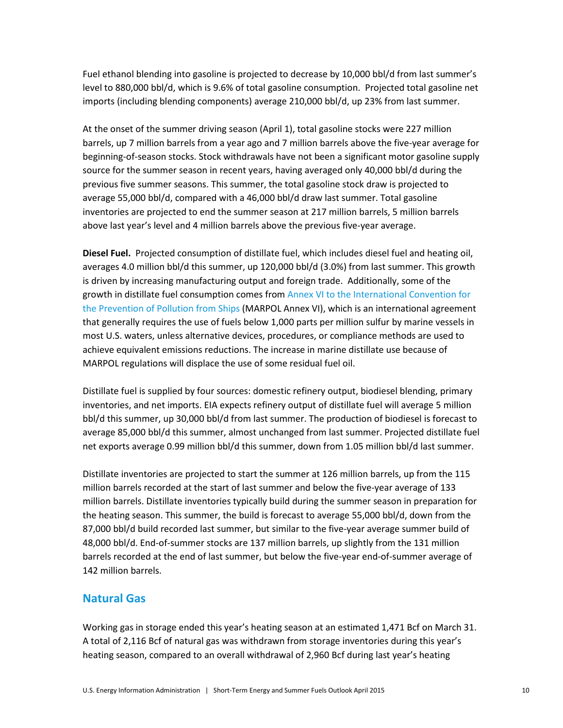Fuel ethanol blending into gasoline is projected to decrease by 10,000 bbl/d from last summer's level to 880,000 bbl/d, which is 9.6% of total gasoline consumption. Projected total gasoline net imports (including blending components) average 210,000 bbl/d, up 23% from last summer.

At the onset of the summer driving season (April 1), total gasoline stocks were 227 million barrels, up 7 million barrels from a year ago and 7 million barrels above the five-year average for beginning-of-season stocks. Stock withdrawals have not been a significant motor gasoline supply source for the summer season in recent years, having averaged only 40,000 bbl/d during the previous five summer seasons. This summer, the total gasoline stock draw is projected to average 55,000 bbl/d, compared with a 46,000 bbl/d draw last summer. Total gasoline inventories are projected to end the summer season at 217 million barrels, 5 million barrels above last year's level and 4 million barrels above the previous five-year average.

**Diesel Fuel.** Projected consumption of distillate fuel, which includes diesel fuel and heating oil, averages 4.0 million bbl/d this summer, up 120,000 bbl/d (3.0%) from last summer. This growth is driven by increasing manufacturing output and foreign trade. Additionally, some of the growth in distillate fuel consumption comes from Annex VI to the International Convention for [the Prevention of Pollution from Ships](http://www.gpo.gov/fdsys/pkg/FR-2010-04-30/pdf/2010-2534.pdf) (MARPOL Annex VI), which is an international agreement that generally requires the use of fuels below 1,000 parts per million sulfur by marine vessels in most U.S. waters, unless alternative devices, procedures, or compliance methods are used to achieve equivalent emissions reductions. The increase in marine distillate use because of MARPOL regulations will displace the use of some residual fuel oil.

Distillate fuel is supplied by four sources: domestic refinery output, biodiesel blending, primary inventories, and net imports. EIA expects refinery output of distillate fuel will average 5 million bbl/d this summer, up 30,000 bbl/d from last summer. The production of biodiesel is forecast to average 85,000 bbl/d this summer, almost unchanged from last summer. Projected distillate fuel net exports average 0.99 million bbl/d this summer, down from 1.05 million bbl/d last summer.

Distillate inventories are projected to start the summer at 126 million barrels, up from the 115 million barrels recorded at the start of last summer and below the five-year average of 133 million barrels. Distillate inventories typically build during the summer season in preparation for the heating season. This summer, the build is forecast to average 55,000 bbl/d, down from the 87,000 bbl/d build recorded last summer, but similar to the five-year average summer build of 48,000 bbl/d. End-of-summer stocks are 137 million barrels, up slightly from the 131 million barrels recorded at the end of last summer, but below the five-year end-of-summer average of 142 million barrels.

# **Natural Gas**

Working gas in storage ended this year's heating season at an estimated 1,471 Bcf on March 31. A total of 2,116 Bcf of natural gas was withdrawn from storage inventories during this year's heating season, compared to an overall withdrawal of 2,960 Bcf during last year's heating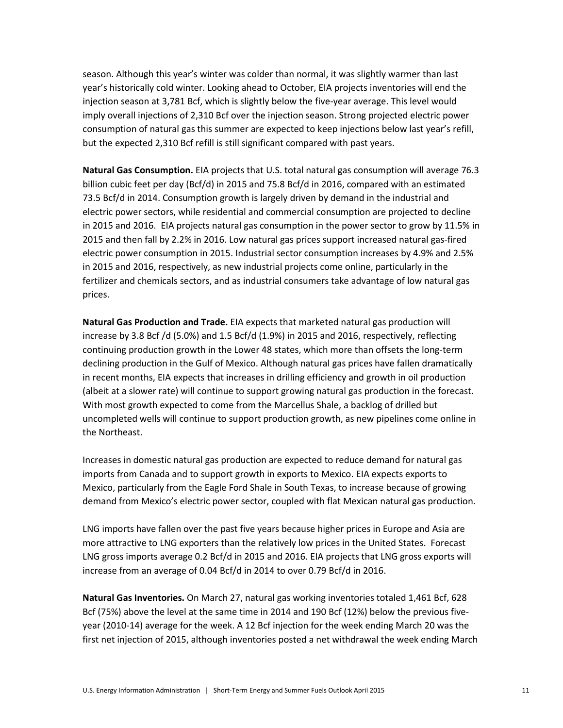season. Although this year's winter was colder than normal, it was slightly warmer than last year's historically cold winter. Looking ahead to October, EIA projects inventories will end the injection season at 3,781 Bcf, which is slightly below the five-year average. This level would imply overall injections of 2,310 Bcf over the injection season. Strong projected electric power consumption of natural gas this summer are expected to keep injections below last year's refill, but the expected 2,310 Bcf refill is still significant compared with past years.

**Natural Gas Consumption.** EIA projects that U.S. total natural gas consumption will average 76.3 billion cubic feet per day (Bcf/d) in 2015 and 75.8 Bcf/d in 2016, compared with an estimated 73.5 Bcf/d in 2014. Consumption growth is largely driven by demand in the industrial and electric power sectors, while residential and commercial consumption are projected to decline in 2015 and 2016. EIA projects natural gas consumption in the power sector to grow by 11.5% in 2015 and then fall by 2.2% in 2016. Low natural gas prices support increased natural gas-fired electric power consumption in 2015. Industrial sector consumption increases by 4.9% and 2.5% in 2015 and 2016, respectively, as new industrial projects come online, particularly in the fertilizer and chemicals sectors, and as industrial consumers take advantage of low natural gas prices.

**Natural Gas Production and Trade.** EIA expects that marketed natural gas production will increase by 3.8 Bcf /d (5.0%) and 1.5 Bcf/d (1.9%) in 2015 and 2016, respectively, reflecting continuing production growth in the Lower 48 states, which more than offsets the long-term declining production in the Gulf of Mexico. Although natural gas prices have fallen dramatically in recent months, EIA expects that increases in drilling efficiency and growth in oil production (albeit at a slower rate) will continue to support growing natural gas production in the forecast. With most growth expected to come from the Marcellus Shale, a backlog of drilled but uncompleted wells will continue to support production growth, as new pipelines come online in the Northeast.

Increases in domestic natural gas production are expected to reduce demand for natural gas imports from Canada and to support growth in exports to Mexico. EIA expects exports to Mexico, particularly from the Eagle Ford Shale in South Texas, to increase because of growing demand from Mexico's electric power sector, coupled with flat Mexican natural gas production.

LNG imports have fallen over the past five years because higher prices in Europe and Asia are more attractive to LNG exporters than the relatively low prices in the United States. Forecast LNG gross imports average 0.2 Bcf/d in 2015 and 2016. EIA projects that LNG gross exports will increase from an average of 0.04 Bcf/d in 2014 to over 0.79 Bcf/d in 2016.

**Natural Gas Inventories.** On March 27, natural gas working inventories totaled 1,461 Bcf, 628 Bcf (75%) above the level at the same time in 2014 and 190 Bcf (12%) below the previous fiveyear (2010-14) average for the week. A 12 Bcf injection for the week ending March 20 was the first net injection of 2015, although inventories posted a net withdrawal the week ending March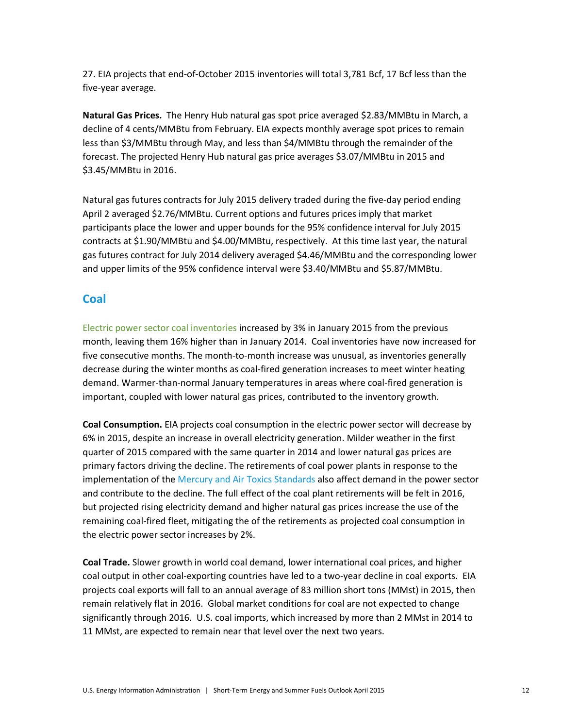27. EIA projects that end-of-October 2015 inventories will total 3,781 Bcf, 17 Bcf less than the five-year average.

**Natural Gas Prices.** The Henry Hub natural gas spot price averaged \$2.83/MMBtu in March, a decline of 4 cents/MMBtu from February. EIA expects monthly average spot prices to remain less than \$3/MMBtu through May, and less than \$4/MMBtu through the remainder of the forecast. The projected Henry Hub natural gas price averages \$3.07/MMBtu in 2015 and \$3.45/MMBtu in 2016.

Natural gas futures contracts for July 2015 delivery traded during the five-day period ending April 2 averaged \$2.76/MMBtu. Current options and futures prices imply that market participants place the lower and upper bounds for the 95% confidence interval for July 2015 contracts at \$1.90/MMBtu and \$4.00/MMBtu, respectively. At this time last year, the natural gas futures contract for July 2014 delivery averaged \$4.46/MMBtu and the corresponding lower and upper limits of the 95% confidence interval were \$3.40/MMBtu and \$5.87/MMBtu.

# **Coal**

Electric power [sector coal inventories](http://www.eia.gov/electricity/monthly/update/fossil_fuel_stocks.cfm) increased by 3% in January 2015 from the previous month, leaving them 16% higher than in January 2014. Coal inventories have now increased for five consecutive months. The month-to-month increase was unusual, as inventories generally decrease during the winter months as coal-fired generation increases to meet winter heating demand. Warmer-than-normal January temperatures in areas where coal-fired generation is important, coupled with lower natural gas prices, contributed to the inventory growth.

**Coal Consumption.** EIA projects coal consumption in the electric power sector will decrease by 6% in 2015, despite an increase in overall electricity generation. Milder weather in the first quarter of 2015 compared with the same quarter in 2014 and lower natural gas prices are primary factors driving the decline. The retirements of coal power plants in response to the implementation of the [Mercury and Air Toxics Standards](http://www.epa.gov/airquality/powerplanttoxics/) also affect demand in the power sector and contribute to the decline. The full effect of the coal plant retirements will be felt in 2016, but projected rising electricity demand and higher natural gas prices increase the use of the remaining coal-fired fleet, mitigating the of the retirements as projected coal consumption in the electric power sector increases by 2%.

**Coal Trade.** Slower growth in world coal demand, lower international coal prices, and higher coal output in other coal-exporting countries have led to a two-year decline in coal exports. EIA projects coal exports will fall to an annual average of 83 million short tons (MMst) in 2015, then remain relatively flat in 2016. Global market conditions for coal are not expected to change significantly through 2016. U.S. coal imports, which increased by more than 2 MMst in 2014 to 11 MMst, are expected to remain near that level over the next two years.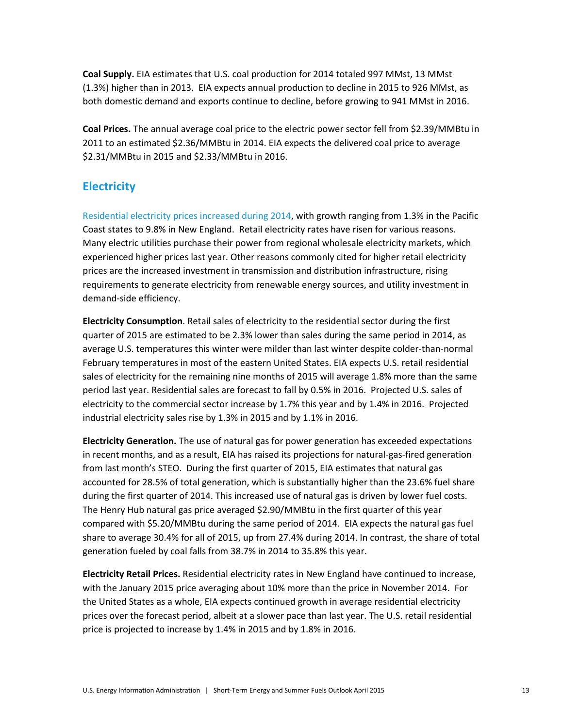**Coal Supply.** EIA estimates that U.S. coal production for 2014 totaled 997 MMst, 13 MMst (1.3%) higher than in 2013. EIA expects annual production to decline in 2015 to 926 MMst, as both domestic demand and exports continue to decline, before growing to 941 MMst in 2016.

**Coal Prices.** The annual average coal price to the electric power sector fell from \$2.39/MMBtu in 2011 to an estimated \$2.36/MMBtu in 2014. EIA expects the delivered coal price to average \$2.31/MMBtu in 2015 and \$2.33/MMBtu in 2016.

# **Electricity**

[Residential electricity prices increased during 2014,](http://www.eia.gov/todayinenergy/detail.cfm?id=20372) with growth ranging from 1.3% in the Pacific Coast states to 9.8% in New England. Retail electricity rates have risen for various reasons. Many electric utilities purchase their power from regional wholesale electricity markets, which experienced higher prices last year. Other reasons commonly cited for higher retail electricity prices are the increased investment in transmission and distribution infrastructure, rising requirements to generate electricity from renewable energy sources, and utility investment in demand-side efficiency.

**Electricity Consumption**. Retail sales of electricity to the residential sector during the first quarter of 2015 are estimated to be 2.3% lower than sales during the same period in 2014, as average U.S. temperatures this winter were milder than last winter despite colder-than-normal February temperatures in most of the eastern United States. EIA expects U.S. retail residential sales of electricity for the remaining nine months of 2015 will average 1.8% more than the same period last year. Residential sales are forecast to fall by 0.5% in 2016. Projected U.S. sales of electricity to the commercial sector increase by 1.7% this year and by 1.4% in 2016. Projected industrial electricity sales rise by 1.3% in 2015 and by 1.1% in 2016.

**Electricity Generation.** The use of natural gas for power generation has exceeded expectations in recent months, and as a result, EIA has raised its projections for natural-gas-fired generation from last month's STEO. During the first quarter of 2015, EIA estimates that natural gas accounted for 28.5% of total generation, which is substantially higher than the 23.6% fuel share during the first quarter of 2014. This increased use of natural gas is driven by lower fuel costs. The Henry Hub natural gas price averaged \$2.90/MMBtu in the first quarter of this year compared with \$5.20/MMBtu during the same period of 2014. EIA expects the natural gas fuel share to average 30.4% for all of 2015, up from 27.4% during 2014. In contrast, the share of total generation fueled by coal falls from 38.7% in 2014 to 35.8% this year.

**Electricity Retail Prices.** Residential electricity rates in New England have continued to increase, with the January 2015 price averaging about 10% more than the price in November 2014. For the United States as a whole, EIA expects continued growth in average residential electricity prices over the forecast period, albeit at a slower pace than last year. The U.S. retail residential price is projected to increase by 1.4% in 2015 and by 1.8% in 2016.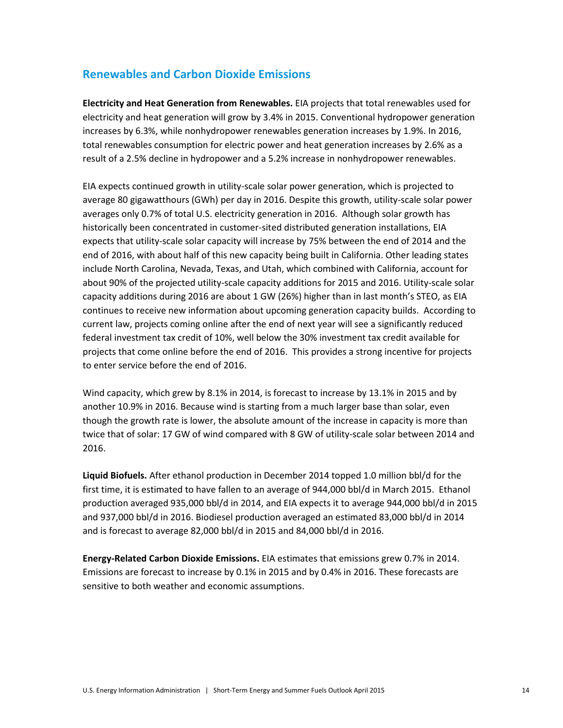# **Renewables and Carbon Dioxide Emissions**

**Electricity and Heat Generation from Renewables.** EIA projects that total renewables used for electricity and heat generation will grow by 3.4% in 2015. Conventional hydropower generation increases by 6.3%, while nonhydropower renewables generation increases by 1.9%. In 2016, total renewables consumption for electric power and heat generation increases by 2.6% as a result of a 2.5% decline in hydropower and a 5.2% increase in nonhydropower renewables.

EIA expects continued growth in utility-scale solar power generation, which is projected to average 80 gigawatthours (GWh) per day in 2016. Despite this growth, utility-scale solar power averages only 0.7% of total U.S. electricity generation in 2016. Although solar growth has historically been concentrated in customer-sited distributed generation installations, EIA expects that utility-scale solar capacity will increase by 75% between the end of 2014 and the end of 2016, with about half of this new capacity being built in California. Other leading states include North Carolina, Nevada, Texas, and Utah, which combined with California, account for about 90% of the projected utility-scale capacity additions for 2015 and 2016. Utility-scale solar capacity additions during 2016 are about 1 GW (26%) higher than in last month's STEO, as EIA continues to receive new information about upcoming generation capacity builds. According to current law, projects coming online after the end of next year will see a significantly reduced federal investment tax credit of 10%, well below the 30% investment tax credit available for projects that come online before the end of 2016. This provides a strong incentive for projects to enter service before the end of 2016.

Wind capacity, which grew by 8.1% in 2014, is forecast to increase by 13.1% in 2015 and by another 10.9% in 2016. Because wind is starting from a much larger base than solar, even though the growth rate is lower, the absolute amount of the increase in capacity is more than twice that of solar: 17 GW of wind compared with 8 GW of utility-scale solar between 2014 and 2016.

**Liquid Biofuels.** After ethanol production in December 2014 topped 1.0 million bbl/d for the first time, it is estimated to have fallen to an average of 944,000 bbl/d in March 2015. Ethanol production averaged 935,000 bbl/d in 2014, and EIA expects it to average 944,000 bbl/d in 2015 and 937,000 bbl/d in 2016. Biodiesel production averaged an estimated 83,000 bbl/d in 2014 and is forecast to average 82,000 bbl/d in 2015 and 84,000 bbl/d in 2016.

**Energy-Related Carbon Dioxide Emissions.** EIA estimates that emissions grew 0.7% in 2014. Emissions are forecast to increase by 0.1% in 2015 and by 0.4% in 2016. These forecasts are sensitive to both weather and economic assumptions.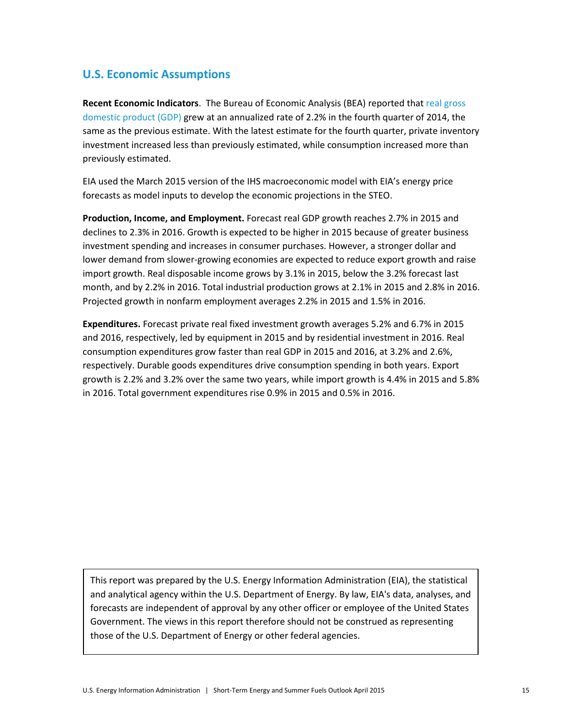# **U.S. Economic Assumptions**

**Recent Economic Indicators**. The Bureau of Economic Analysis (BEA) reported that [real gross](http://www.bea.gov/newsreleases/national/gdp/gdpnewsrelease.htm)  [domestic product \(GDP\)](http://www.bea.gov/newsreleases/national/gdp/gdpnewsrelease.htm) grew at an annualized rate of 2.2% in the fourth quarter of 2014, the same as the previous estimate. With the latest estimate for the fourth quarter, private inventory investment increased less than previously estimated, while consumption increased more than previously estimated.

EIA used the March 2015 version of the IHS macroeconomic model with EIA's energy price forecasts as model inputs to develop the economic projections in the STEO.

**Production, Income, and Employment.** Forecast real GDP growth reaches 2.7% in 2015 and declines to 2.3% in 2016. Growth is expected to be higher in 2015 because of greater business investment spending and increases in consumer purchases. However, a stronger dollar and lower demand from slower-growing economies are expected to reduce export growth and raise import growth. Real disposable income grows by 3.1% in 2015, below the 3.2% forecast last month, and by 2.2% in 2016. Total industrial production grows at 2.1% in 2015 and 2.8% in 2016. Projected growth in nonfarm employment averages 2.2% in 2015 and 1.5% in 2016.

**Expenditures.** Forecast private real fixed investment growth averages 5.2% and 6.7% in 2015 and 2016, respectively, led by equipment in 2015 and by residential investment in 2016. Real consumption expenditures grow faster than real GDP in 2015 and 2016, at 3.2% and 2.6%, respectively. Durable goods expenditures drive consumption spending in both years. Export growth is 2.2% and 3.2% over the same two years, while import growth is 4.4% in 2015 and 5.8% in 2016. Total government expenditures rise 0.9% in 2015 and 0.5% in 2016.

This report was prepared by the U.S. Energy Information Administration (EIA), the statistical and analytical agency within the U.S. Department of Energy. By law, EIA's data, analyses, and forecasts are independent of approval by any other officer or employee of the United States Government. The views in this report therefore should not be construed as representing those of the U.S. Department of Energy or other federal agencies.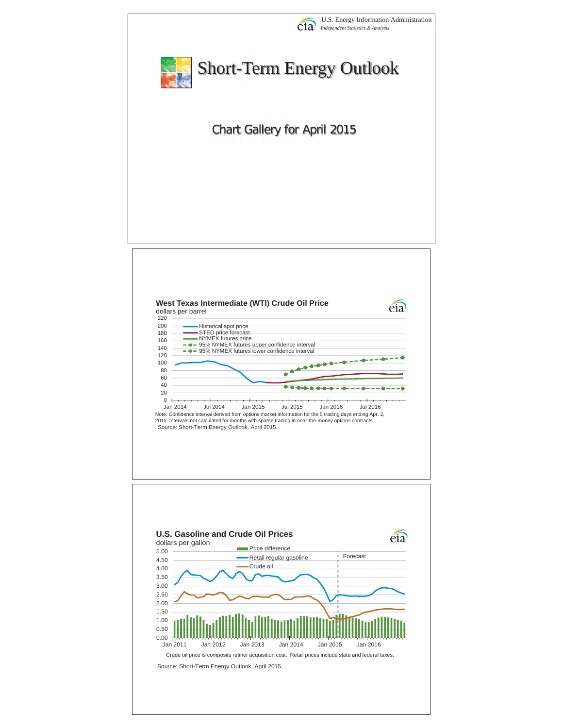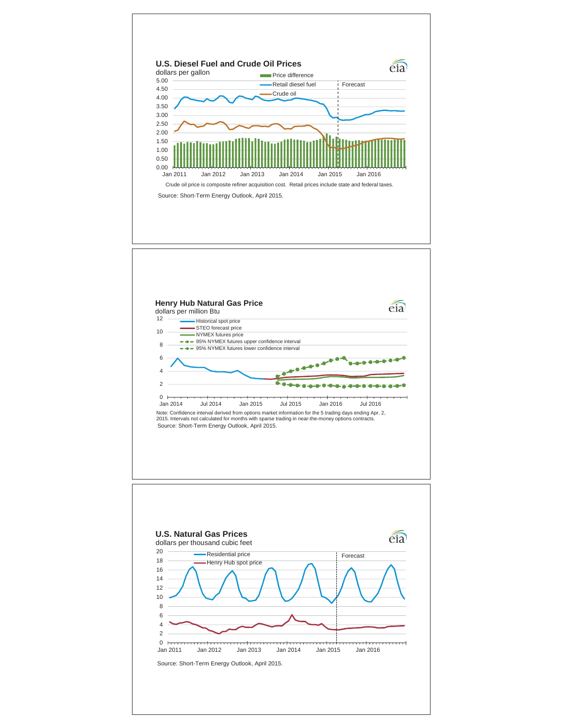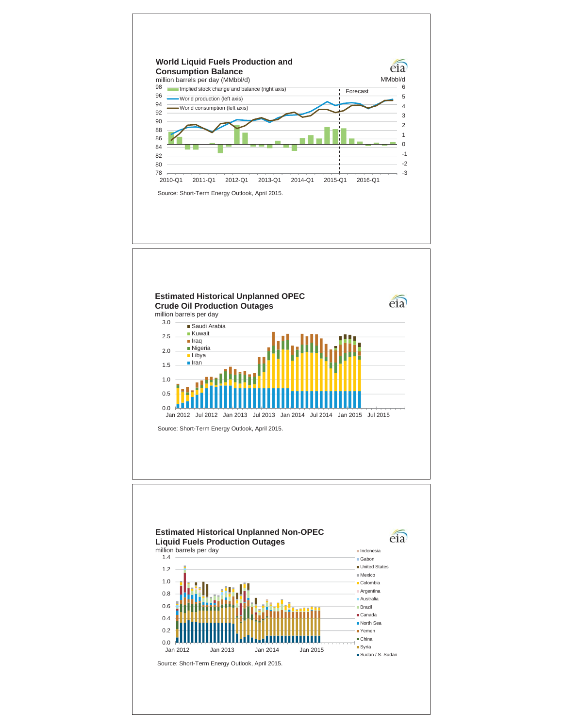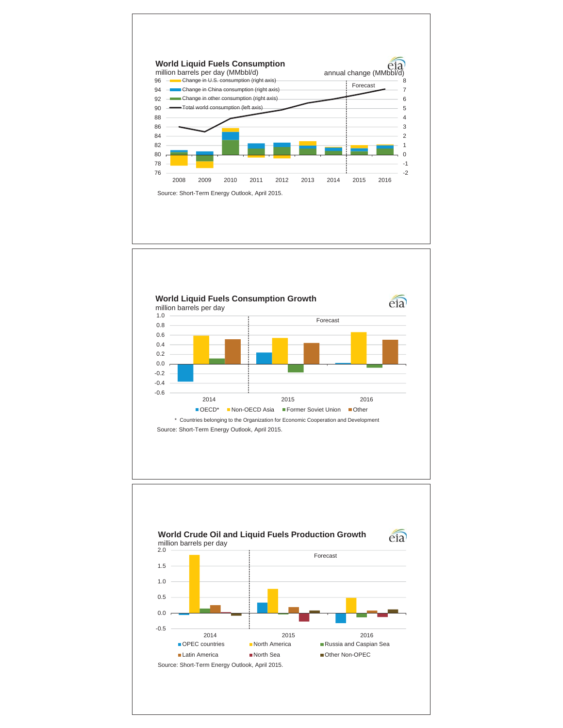



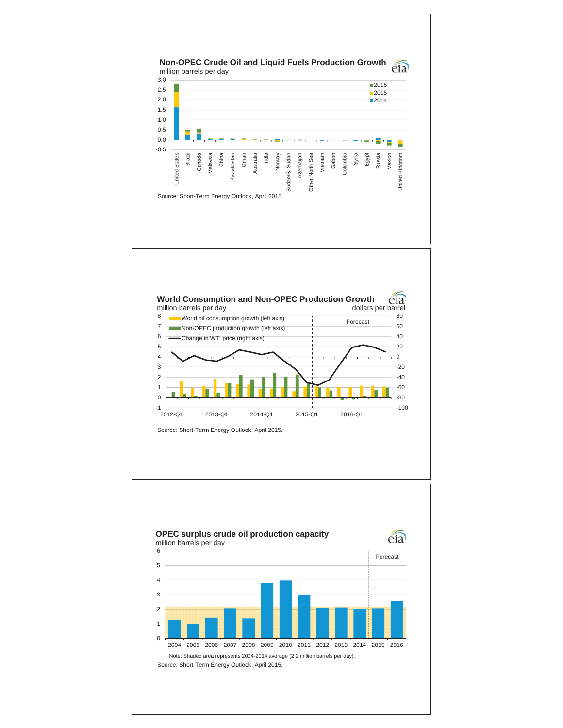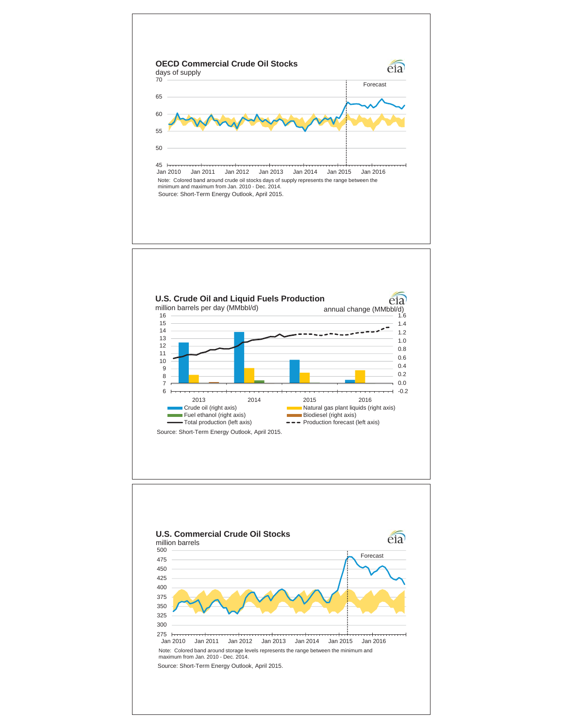

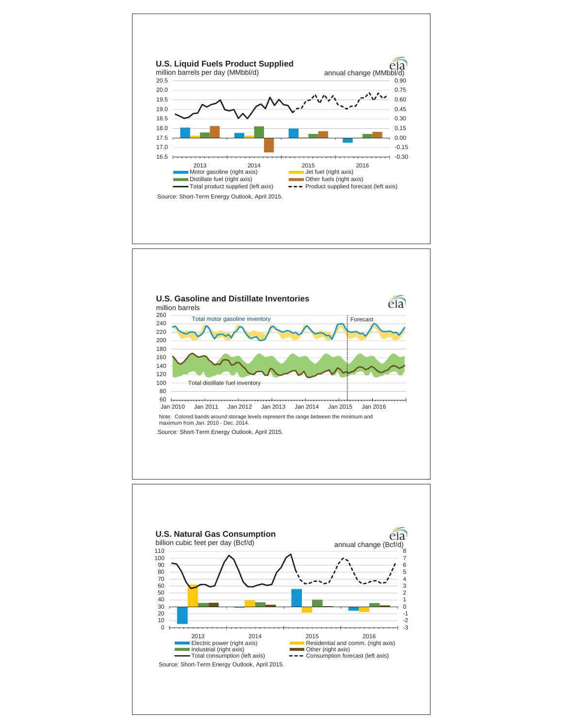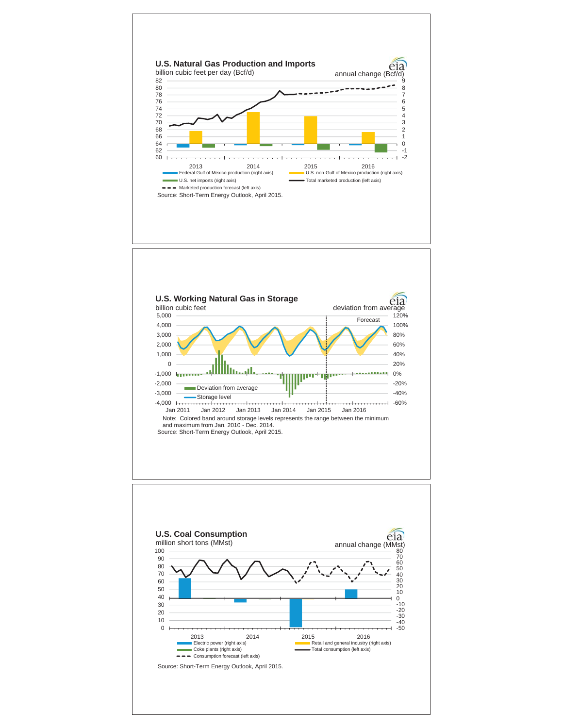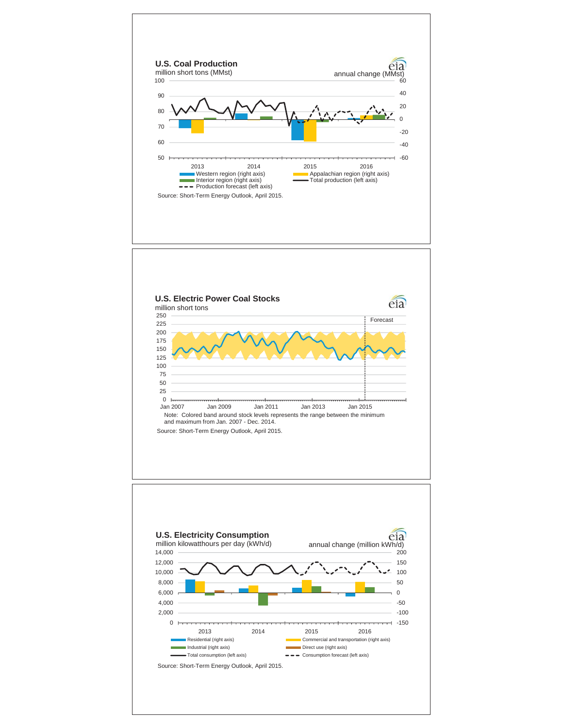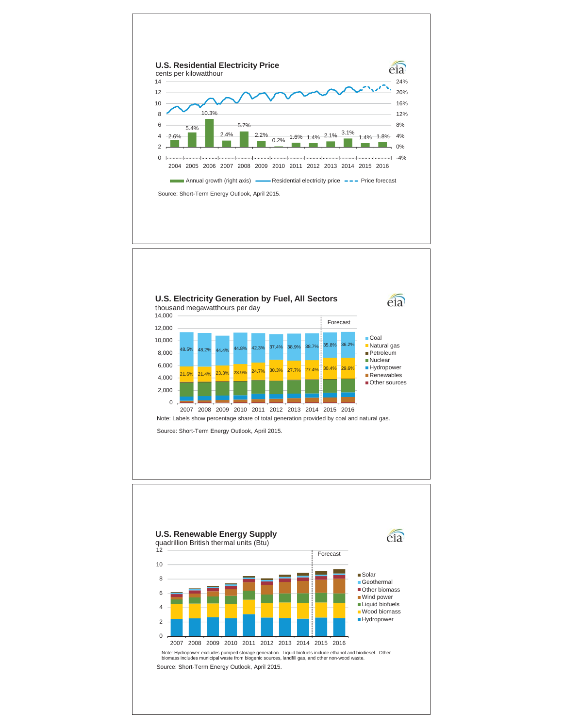

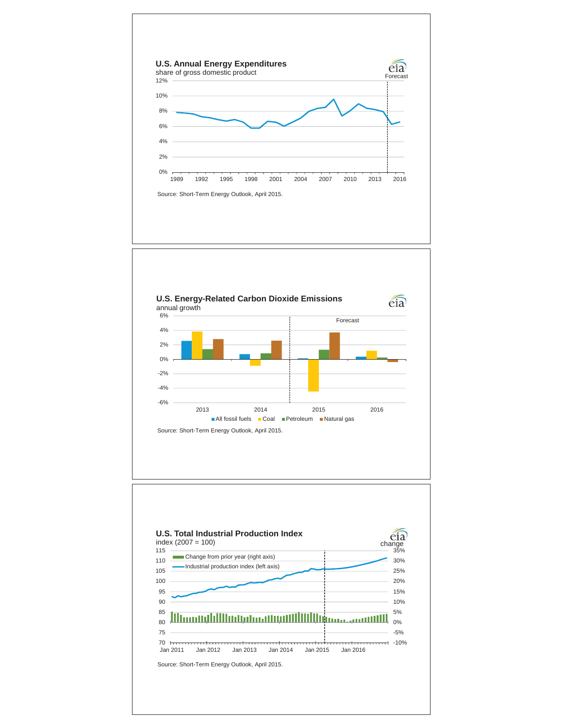



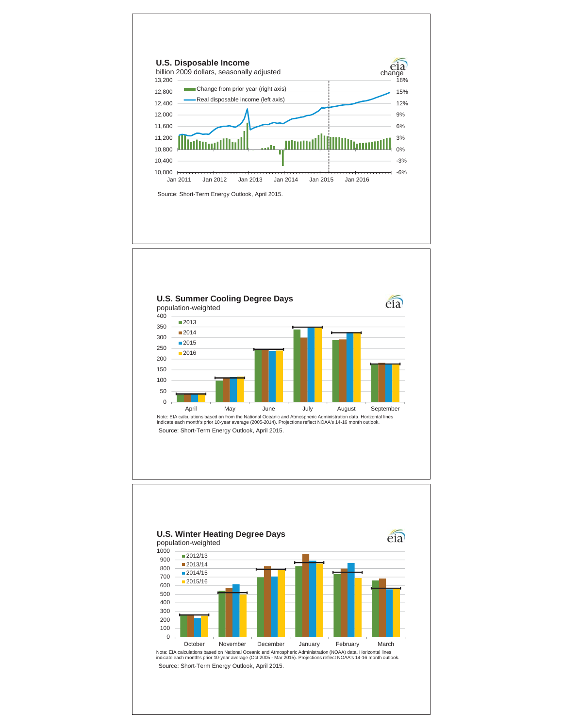





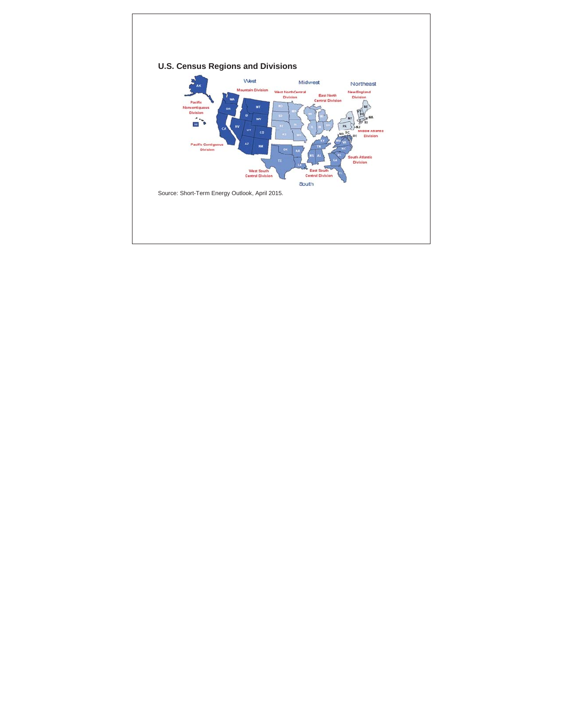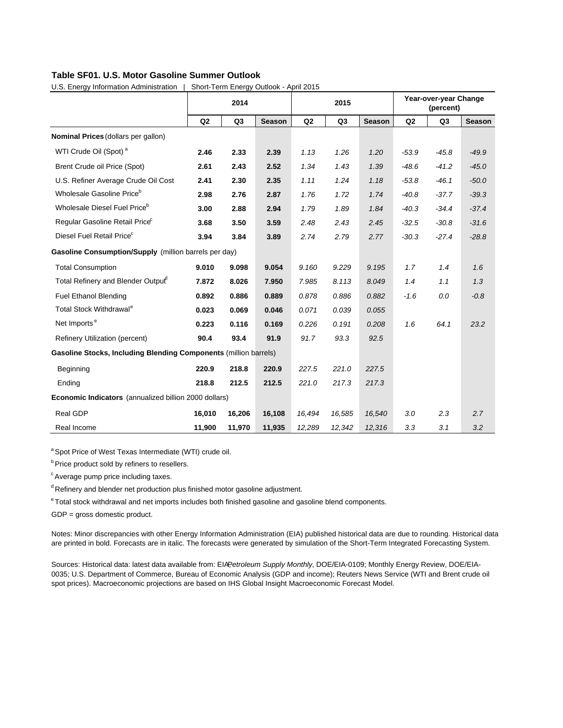## **Table SF01. U.S. Motor Gasoline Summer Outlook**

|                                                                         |        | 2014           |               |                | 2015           |               |         | Year-over-year Change<br>(percent) |               |
|-------------------------------------------------------------------------|--------|----------------|---------------|----------------|----------------|---------------|---------|------------------------------------|---------------|
|                                                                         | Q2     | Q <sub>3</sub> | <b>Season</b> | Q <sub>2</sub> | Q <sub>3</sub> | <b>Season</b> | Q2      | Q <sub>3</sub>                     | <b>Season</b> |
| Nominal Prices (dollars per gallon)                                     |        |                |               |                |                |               |         |                                    |               |
| WTI Crude Oil (Spot) <sup>a</sup>                                       | 2.46   | 2.33           | 2.39          | 1.13           | 1.26           | 1.20          | $-53.9$ | $-45.8$                            | $-49.9$       |
| Brent Crude oil Price (Spot)                                            | 2.61   | 2.43           | 2.52          | 1.34           | 1.43           | 1.39          | $-48.6$ | $-41.2$                            | $-45.0$       |
| U.S. Refiner Average Crude Oil Cost                                     | 2.41   | 2.30           | 2.35          | 1.11           | 1.24           | 1.18          | $-53.8$ | $-46.1$                            | $-50.0$       |
| Wholesale Gasoline Price <sup>b</sup>                                   | 2.98   | 2.76           | 2.87          | 1.76           | 1.72           | 1.74          | $-40.8$ | $-37.7$                            | $-39.3$       |
| Wholesale Diesel Fuel Price <sup>b</sup>                                | 3.00   | 2.88           | 2.94          | 1.79           | 1.89           | 1.84          | $-40.3$ | $-34.4$                            | $-37.4$       |
| Regular Gasoline Retail Price <sup>c</sup>                              | 3.68   | 3.50           | 3.59          | 2.48           | 2.43           | 2.45          | $-32.5$ | $-30.8$                            | $-31.6$       |
| Diesel Fuel Retail Price <sup>c</sup>                                   | 3.94   | 3.84           | 3.89          | 2.74           | 2.79           | 2.77          | $-30.3$ | $-27.4$                            | $-28.8$       |
| Gasoline Consumption/Supply (million barrels per day)                   |        |                |               |                |                |               |         |                                    |               |
| <b>Total Consumption</b>                                                | 9.010  | 9.098          | 9.054         | 9.160          | 9.229          | 9.195         | 1.7     | 1.4                                | 1.6           |
| Total Refinery and Blender Outpuf                                       | 7.872  | 8.026          | 7.950         | 7.985          | 8.113          | 8.049         | 1.4     | 1.1                                | 1.3           |
| <b>Fuel Ethanol Blending</b>                                            | 0.892  | 0.886          | 0.889         | 0.878          | 0.886          | 0.882         | $-1.6$  | 0.0                                | $-0.8$        |
| Total Stock Withdrawal <sup>e</sup>                                     | 0.023  | 0.069          | 0.046         | 0.071          | 0.039          | 0.055         |         |                                    |               |
| Net Imports <sup>e</sup>                                                | 0.223  | 0.116          | 0.169         | 0.226          | 0.191          | 0.208         | 1.6     | 64.1                               | 23.2          |
| Refinery Utilization (percent)                                          | 90.4   | 93.4           | 91.9          | 91.7           | 93.3           | 92.5          |         |                                    |               |
| <b>Gasoline Stocks, Including Blending Components (million barrels)</b> |        |                |               |                |                |               |         |                                    |               |
| Beginning                                                               | 220.9  | 218.8          | 220.9         | 227.5          | 221.0          | 227.5         |         |                                    |               |
| Ending                                                                  | 218.8  | 212.5          | 212.5         | 221.0          | 217.3          | 217.3         |         |                                    |               |
| Economic Indicators (annualized billion 2000 dollars)                   |        |                |               |                |                |               |         |                                    |               |
| Real GDP                                                                | 16,010 | 16,206         | 16,108        | 16,494         | 16,585         | 16,540        | 3.0     | 2.3                                | 2.7           |
| Real Income                                                             | 11,900 | 11,970         | 11,935        | 12,289         | 12,342         | 12,316        | 3.3     | 3.1                                | 3.2           |

U.S. Energy Information Administration | Short-Term Energy Outlook - April 2015

<sup>a</sup> Spot Price of West Texas Intermediate (WTI) crude oil.

**b** Price product sold by refiners to resellers.

<sup>c</sup> Average pump price including taxes.

<sup>d</sup> Refinery and blender net production plus finished motor gasoline adjustment.

e Total stock withdrawal and net imports includes both finished gasoline and gasoline blend components.

GDP = gross domestic product.

Notes: Minor discrepancies with other Energy Information Administration (EIA) published historical data are due to rounding. Historical data are printed in bold. Forecasts are in italic. The forecasts were generated by simulation of the Short-Term Integrated Forecasting System.

Sources: Historical data: latest data available from: EIAPetroleum Supply Monthly, DOE/EIA-0109; Monthly Energy Review, DOE/EIA-0035; U.S. Department of Commerce, Bureau of Economic Analysis (GDP and income); Reuters News Service (WTI and Brent crude oil spot prices). Macroeconomic projections are based on IHS Global Insight Macroeconomic Forecast Model.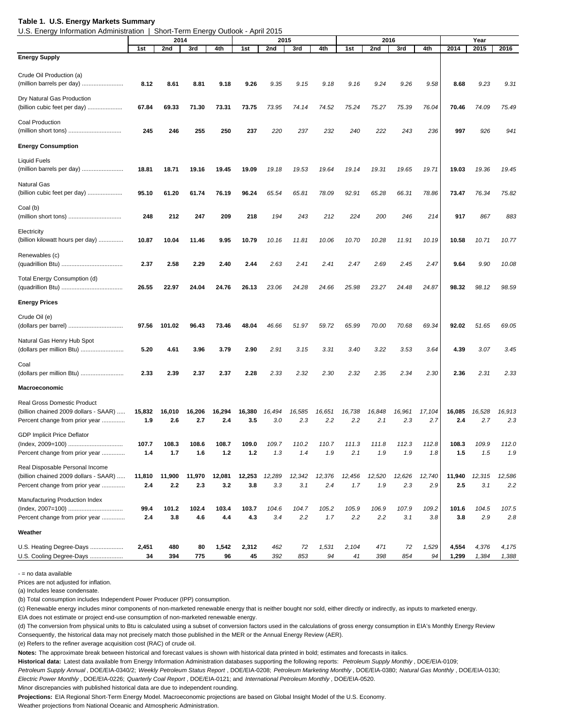#### **Table 1. U.S. Energy Markets Summary**

U.S. Energy Information Administration | Short-Term Energy Outlook - April 2015

|                                       |        | -----  | $1.91111 = 11.9191$ | ------ |        |        |        |        |        |        |        |        |        |        |        |
|---------------------------------------|--------|--------|---------------------|--------|--------|--------|--------|--------|--------|--------|--------|--------|--------|--------|--------|
|                                       |        | 2014   |                     |        |        | 2015   |        |        |        | 2016   |        |        |        | Year   |        |
|                                       | 1st    | 2nd    | 3rd                 | 4th    | 1st    | 2nd    | 3rd    | 4th    | 1st    | 2nd    | 3rd    | 4th    | 2014   | 2015   | 2016   |
| <b>Energy Supply</b>                  |        |        |                     |        |        |        |        |        |        |        |        |        |        |        |        |
|                                       |        |        |                     |        |        |        |        |        |        |        |        |        |        |        |        |
| Crude Oil Production (a)              |        |        |                     |        |        |        |        |        |        |        |        |        |        |        |        |
| (million barrels per day)             | 8.12   | 8.61   | 8.81                | 9.18   | 9.26   | 9.35   | 9.15   | 9.18   | 9.16   | 9.24   | 9.26   | 9.58   | 8.68   | 9.23   | 9.31   |
|                                       |        |        |                     |        |        |        |        |        |        |        |        |        |        |        |        |
| Dry Natural Gas Production            |        |        |                     |        |        |        |        |        |        |        |        |        |        |        |        |
| (billion cubic feet per day)          | 67.84  | 69.33  | 71.30               | 73.31  | 73.75  | 73.95  | 74.14  | 74.52  | 75.24  | 75.27  | 75.39  | 76.04  | 70.46  | 74.09  | 75.49  |
|                                       |        |        |                     |        |        |        |        |        |        |        |        |        |        |        |        |
| <b>Coal Production</b>                |        |        |                     |        |        |        |        |        |        |        |        |        |        |        |        |
| (million short tons)                  | 245    | 246    | 255                 | 250    | 237    | 220    | 237    | 232    | 240    | 222    | 243    | 236    | 997    | 926    | 941    |
|                                       |        |        |                     |        |        |        |        |        |        |        |        |        |        |        |        |
| <b>Energy Consumption</b>             |        |        |                     |        |        |        |        |        |        |        |        |        |        |        |        |
|                                       |        |        |                     |        |        |        |        |        |        |        |        |        |        |        |        |
| <b>Liquid Fuels</b>                   |        |        |                     |        |        |        |        |        |        |        |        |        |        |        |        |
| (million barrels per day)             | 18.81  | 18.71  | 19.16               | 19.45  | 19.09  | 19.18  | 19.53  | 19.64  | 19.14  | 19.31  | 19.65  | 19.71  | 19.03  | 19.36  | 19.45  |
|                                       |        |        |                     |        |        |        |        |        |        |        |        |        |        |        |        |
| Natural Gas                           |        |        |                     |        |        |        |        |        |        |        |        |        |        |        |        |
| (billion cubic feet per day)          | 95.10  | 61.20  | 61.74               | 76.19  | 96.24  | 65.54  | 65.81  | 78.09  | 92.91  | 65.28  | 66.31  | 78.86  | 73.47  | 76.34  | 75.82  |
|                                       |        |        |                     |        |        |        |        |        |        |        |        |        |        |        |        |
| Coal (b)                              |        |        |                     |        |        |        |        |        |        |        |        |        |        |        |        |
|                                       | 248    | 212    | 247                 | 209    | 218    | 194    | 243    | 212    | 224    | 200    | 246    | 214    | 917    | 867    | 883    |
|                                       |        |        |                     |        |        |        |        |        |        |        |        |        |        |        |        |
| Electricity                           |        |        |                     |        |        |        |        |        |        |        |        |        |        |        |        |
| (billion kilowatt hours per day)      | 10.87  | 10.04  | 11.46               | 9.95   | 10.79  | 10.16  | 11.81  | 10.06  | 10.70  | 10.28  | 11.91  | 10.19  | 10.58  | 10.71  | 10.77  |
|                                       |        |        |                     |        |        |        |        |        |        |        |        |        |        |        |        |
| Renewables (c)                        |        |        |                     |        |        |        |        |        |        |        |        |        |        |        |        |
|                                       | 2.37   | 2.58   | 2.29                | 2.40   | 2.44   | 2.63   | 2.41   | 2.41   | 2.47   | 2.69   | 2.45   | 2.47   | 9.64   | 9.90   | 10.08  |
|                                       |        |        |                     |        |        |        |        |        |        |        |        |        |        |        |        |
| Total Energy Consumption (d)          |        |        |                     |        |        |        |        |        |        |        |        |        |        |        |        |
|                                       | 26.55  | 22.97  | 24.04               | 24.76  | 26.13  | 23.06  | 24.28  | 24.66  | 25.98  | 23.27  | 24.48  | 24.87  | 98.32  | 98.12  | 98.59  |
|                                       |        |        |                     |        |        |        |        |        |        |        |        |        |        |        |        |
| <b>Energy Prices</b>                  |        |        |                     |        |        |        |        |        |        |        |        |        |        |        |        |
|                                       |        |        |                     |        |        |        |        |        |        |        |        |        |        |        |        |
| Crude Oil (e)                         |        |        |                     |        |        |        |        |        |        |        |        |        |        |        |        |
|                                       | 97.56  | 101.02 | 96.43               | 73.46  | 48.04  | 46.66  | 51.97  | 59.72  | 65.99  | 70.00  | 70.68  | 69.34  | 92.02  | 51.65  | 69.05  |
|                                       |        |        |                     |        |        |        |        |        |        |        |        |        |        |        |        |
| Natural Gas Henry Hub Spot            |        |        |                     |        |        |        |        |        |        |        |        |        |        |        |        |
| (dollars per million Btu)             | 5.20   | 4.61   | 3.96                | 3.79   | 2.90   | 2.91   | 3.15   | 3.31   | 3.40   | 3.22   | 3.53   | 3.64   | 4.39   | 3.07   | 3.45   |
|                                       |        |        |                     |        |        |        |        |        |        |        |        |        |        |        |        |
| Coal                                  |        |        |                     |        |        |        |        |        |        |        |        |        |        |        |        |
| (dollars per million Btu)             | 2.33   | 2.39   | 2.37                | 2.37   | 2.28   | 2.33   | 2.32   | 2.30   | 2.32   | 2.35   | 2.34   | 2.30   | 2.36   | 2.31   | 2.33   |
|                                       |        |        |                     |        |        |        |        |        |        |        |        |        |        |        |        |
| <b>Macroeconomic</b>                  |        |        |                     |        |        |        |        |        |        |        |        |        |        |        |        |
|                                       |        |        |                     |        |        |        |        |        |        |        |        |        |        |        |        |
| <b>Real Gross Domestic Product</b>    |        |        |                     |        |        |        |        |        |        |        |        |        |        |        |        |
| (billion chained 2009 dollars - SAAR) | 15,832 | 16,010 | 16,206              | 16,294 | 16,380 | 16,494 | 16,585 | 16,651 | 16,738 | 16,848 | 16,961 | 17,104 | 16,085 | 16,528 | 16,913 |
| Percent change from prior year        | 1.9    | 2.6    | 2.7                 | 2.4    | 3.5    | 3.0    | 2.3    | 2.2    | 2.2    | 2.1    | 2.3    | 2.7    | 2.4    | 2.7    | 2.3    |
|                                       |        |        |                     |        |        |        |        |        |        |        |        |        |        |        |        |
| <b>GDP Implicit Price Deflator</b>    |        |        |                     |        |        |        |        |        |        |        |        |        |        |        |        |
| (Index. 2009=100).                    | 107.7  | 108.3  | 108.6               | 108.7  | 109.0  | 109.7  | 110.2  | 110.7  | 111.3  | 111.8  | 112.3  | 112.8  | 108.3  | 109.9  | 112.0  |
| Percent change from prior year        | 1.4    | 1.7    | 1.6                 | $1.2$  | $1.2$  | 1.3    | 1.4    | 1.9    | 2.1    | 1.9    | 1.9    | 1.8    | 1.5    |        | 1.9    |
|                                       |        |        |                     |        |        |        |        |        |        |        |        |        |        | 1.5    |        |
| Real Disposable Personal Income       |        |        |                     |        |        |        |        |        |        |        |        |        |        |        |        |
| (billion chained 2009 dollars - SAAR) | 11,810 | 11,900 | 11,970              | 12,081 | 12,253 | 12,289 | 12,342 | 12,376 | 12,456 | 12,520 | 12,626 | 12,740 | 11,940 | 12,315 | 12,586 |
|                                       |        |        |                     |        |        |        |        |        |        |        |        |        |        |        |        |
| Percent change from prior year        | 2.4    | 2.2    | 2.3                 | 3.2    | 3.8    | 3.3    | 3.1    | 2.4    | 1.7    | 1.9    | 2.3    | 2.9    | 2.5    | 3.1    | 2.2    |
| Manufacturing Production Index        |        |        |                     |        |        |        |        |        |        |        |        |        |        |        |        |
|                                       |        |        |                     |        |        |        |        |        |        |        |        |        |        |        |        |
| (Index, 2007=100)                     | 99.4   | 101.2  | 102.4               | 103.4  | 103.7  | 104.6  | 104.7  | 105.2  | 105.9  | 106.9  | 107.9  | 109.2  | 101.6  | 104.5  | 107.5  |
| Percent change from prior year        | 2.4    | 3.8    | 4.6                 | 4.4    | 4.3    | 3.4    | 2.2    | 1.7    | 2.2    | 2.2    | 3.1    | 3.8    | 3.8    | 2.9    | 2.8    |
|                                       |        |        |                     |        |        |        |        |        |        |        |        |        |        |        |        |
| Weather                               |        |        |                     |        |        |        |        |        |        |        |        |        |        |        |        |
| U.S. Heating Degree-Days              | 2,451  | 480    | 80                  | 1,542  | 2,312  | 462    | 72     | 1,531  | 2,104  | 471    | 72     | 1,529  | 4,554  | 4,376  | 4,175  |
|                                       | 34     | 394    | 775                 | 96     | 45     | 392    | 853    | 94     | 41     | 398    | 854    | 94     | 1,299  | 1,384  | 1,388  |
| U.S. Cooling Degree-Days              |        |        |                     |        |        |        |        |        |        |        |        |        |        |        |        |

- = no data available

Prices are not adjusted for inflation.

(a) Includes lease condensate.

(b) Total consumption includes Independent Power Producer (IPP) consumption.

(c) Renewable energy includes minor components of non-marketed renewable energy that is neither bought nor sold, either directly or indirectly, as inputs to marketed energy.

EIA does not estimate or project end-use consumption of non-marketed renewable energy.

(d) The conversion from physical units to Btu is calculated using a subset of conversion factors used in the calculations of gross energy consumption in EIA's Monthly Energy Review Consequently, the historical data may not precisely match those published in the MER or the Annual Energy Review (AER).

(e) Refers to the refiner average acquisition cost (RAC) of crude oil.

**Notes:** The approximate break between historical and forecast values is shown with historical data printed in bold; estimates and forecasts in italics.

**Historical data:** Latest data available from Energy Information Administration databases supporting the following reports: *Petroleum Supply Monthly* , DOE/EIA-0109;

*Petroleum Supply Annual* , DOE/EIA-0340/2; *Weekly Petroleum Status Report* , DOE/EIA-0208; *Petroleum Marketing Monthly* , DOE/EIA-0380; *Natural Gas Monthly* , DOE/EIA-0130; *Electric Power Monthly* , DOE/EIA-0226; *Quarterly Coal Report* , DOE/EIA-0121; and *International Petroleum Monthly* , DOE/EIA-0520.

Minor discrepancies with published historical data are due to independent rounding.

**Projections:** EIA Regional Short-Term Energy Model. Macroeconomic projections are based on Global Insight Model of the U.S. Economy.

Weather projections from National Oceanic and Atmospheric Administration.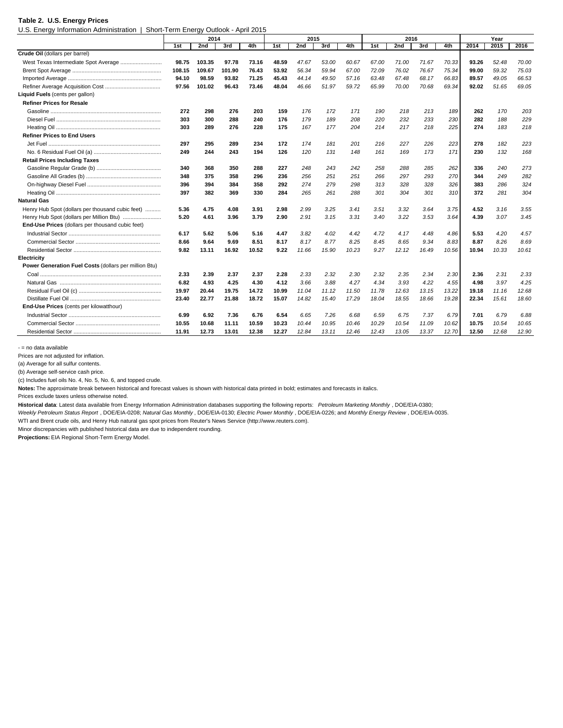#### **Table 2. U.S. Energy Prices**

U.S. Energy Information Administration | Short-Term Energy Outlook - April 2015

|                                                       |        | ັ      |        |       |       |       |       |       |       |       |       |       |       |       |       |
|-------------------------------------------------------|--------|--------|--------|-------|-------|-------|-------|-------|-------|-------|-------|-------|-------|-------|-------|
|                                                       |        | 2014   |        |       |       | 2015  |       |       |       | 2016  |       |       |       | Year  |       |
|                                                       | 1st    | 2nd    | 3rd    | 4th   | 1st   | 2nd   | 3rd   | 4th   | 1st   | 2nd   | 3rd   | 4th   | 2014  | 2015  | 2016  |
| Crude Oil (dollars per barrel)                        |        |        |        |       |       |       |       |       |       |       |       |       |       |       |       |
| West Texas Intermediate Spot Average                  | 98.75  | 103.35 | 97.78  | 73.16 | 48.59 | 47.67 | 53.00 | 60.67 | 67.00 | 71.00 | 71.67 | 70.33 | 93.26 | 52.48 | 70.00 |
|                                                       | 108.15 | 109.67 | 101.90 | 76.43 | 53.92 | 56.34 | 59.94 | 67.00 | 72.09 | 76.02 | 76.67 | 75.34 | 99.00 | 59.32 | 75.03 |
|                                                       | 94.10  | 98.59  | 93.82  | 71.25 | 45.43 | 44.14 | 49.50 | 57.16 | 63.48 | 67.48 | 68.17 | 66.83 | 89.57 | 49.05 | 66.53 |
|                                                       | 97.56  | 101.02 | 96.43  | 73.46 | 48.04 | 46.66 | 51.97 | 59.72 | 65.99 | 70.00 | 70.68 | 69.34 | 92.02 | 51.65 | 69.05 |
| Liquid Fuels (cents per gallon)                       |        |        |        |       |       |       |       |       |       |       |       |       |       |       |       |
| <b>Refiner Prices for Resale</b>                      |        |        |        |       |       |       |       |       |       |       |       |       |       |       |       |
|                                                       | 272    | 298    | 276    | 203   | 159   | 176   | 172   | 171   | 190   | 218   | 213   | 189   | 262   | 170   | 203   |
|                                                       | 303    | 300    | 288    | 240   | 176   | 179   | 189   | 208   | 220   | 232   | 233   | 230   | 282   | 188   | 229   |
|                                                       | 303    | 289    | 276    | 228   | 175   | 167   | 177   | 204   | 214   | 217   | 218   | 225   | 274   | 183   | 218   |
| <b>Refiner Prices to End Users</b>                    |        |        |        |       |       |       |       |       |       |       |       |       |       |       |       |
|                                                       | 297    | 295    | 289    | 234   | 172   | 174   | 181   | 201   | 216   | 227   | 226   | 223   | 278   | 182   | 223   |
|                                                       | 249    | 244    | 243    | 194   | 126   | 120   | 131   | 148   | 161   | 169   | 173   | 171   | 230   | 132   | 168   |
| <b>Retail Prices Including Taxes</b>                  |        |        |        |       |       |       |       |       |       |       |       |       |       |       |       |
|                                                       | 340    | 368    | 350    | 288   | 227   | 248   | 243   | 242   | 258   | 288   | 285   | 262   | 336   | 240   | 273   |
|                                                       | 348    | 375    | 358    | 296   | 236   | 256   | 251   | 251   | 266   | 297   | 293   | 270   | 344   | 249   | 282   |
|                                                       | 396    | 394    | 384    | 358   | 292   | 274   | 279   | 298   | 313   | 328   | 328   | 326   | 383   | 286   | 324   |
|                                                       | 397    | 382    | 369    | 330   | 284   | 265   | 261   | 288   | 301   | 304   | 301   | 310   | 372   | 281   | 304   |
| <b>Natural Gas</b>                                    |        |        |        |       |       |       |       |       |       |       |       |       |       |       |       |
| Henry Hub Spot (dollars per thousand cubic feet)      | 5.36   | 4.75   | 4.08   | 3.91  | 2.98  | 2.99  | 3.25  | 3.41  | 3.51  | 3.32  | 3.64  | 3.75  | 4.52  | 3.16  | 3.55  |
| Henry Hub Spot (dollars per Million Btu)              | 5.20   | 4.61   | 3.96   | 3.79  | 2.90  | 2.91  | 3.15  | 3.31  | 3.40  | 3.22  | 3.53  | 3.64  | 4.39  | 3.07  | 3.45  |
| End-Use Prices (dollars per thousand cubic feet)      |        |        |        |       |       |       |       |       |       |       |       |       |       |       |       |
|                                                       | 6.17   | 5.62   | 5.06   | 5.16  | 4.47  | 3.82  | 4.02  | 4.42  | 4.72  | 4.17  | 4.48  | 4.86  | 5.53  | 4.20  | 4.57  |
|                                                       | 8.66   | 9.64   | 9.69   | 8.51  | 8.17  | 8.17  | 8.77  | 8.25  | 8.45  | 8.65  | 9.34  | 8.83  | 8.87  | 8.26  | 8.69  |
|                                                       | 9.82   | 13.11  | 16.92  | 10.52 | 9.22  | 11.66 | 15.90 | 10.23 | 9.27  | 12.12 | 16.49 | 10.56 | 10.94 | 10.33 | 10.61 |
| Electricity                                           |        |        |        |       |       |       |       |       |       |       |       |       |       |       |       |
| Power Generation Fuel Costs (dollars per million Btu) |        |        |        |       |       |       |       |       |       |       |       |       |       |       |       |
|                                                       | 2.33   | 2.39   | 2.37   | 2.37  | 2.28  | 2.33  | 2.32  | 2.30  | 2.32  | 2.35  | 2.34  | 2.30  | 2.36  | 2.31  | 2.33  |
|                                                       | 6.82   | 4.93   | 4.25   | 4.30  | 4.12  | 3.66  | 3.88  | 4.27  | 4.34  | 3.93  | 4.22  | 4.55  | 4.98  | 3.97  | 4.25  |
|                                                       | 19.97  | 20.44  | 19.75  | 14.72 | 10.99 | 11.04 | 11.12 | 11.50 | 11.78 | 12.63 | 13.15 | 13.22 | 19.18 | 11.16 | 12.68 |
|                                                       | 23.40  | 22.77  | 21.88  | 18.72 | 15.07 | 14.82 | 15.40 | 17.29 | 18.04 | 18.55 | 18.66 | 19.28 | 22.34 | 15.61 | 18.60 |
| End-Use Prices (cents per kilowatthour)               |        |        |        |       |       |       |       |       |       |       |       |       |       |       |       |
|                                                       | 6.99   | 6.92   | 7.36   | 6.76  | 6.54  | 6.65  | 7.26  | 6.68  | 6.59  | 6.75  | 7.37  | 6.79  | 7.01  | 6.79  | 6.88  |
|                                                       | 10.55  | 10.68  | 11.11  | 10.59 | 10.23 | 10.44 | 10.95 | 10.46 | 10.29 | 10.54 | 11.09 | 10.62 | 10.75 | 10.54 | 10.65 |
|                                                       | 11.91  | 12.73  | 13.01  | 12.38 | 12.27 | 12.84 | 13.11 | 12.46 | 12.43 | 13.05 | 13.37 | 12.70 | 12.50 | 12.68 | 12.90 |

- = no data available

Prices are not adjusted for inflation.

(a) Average for all sulfur contents.

(b) Average self-service cash price.

(c) Includes fuel oils No. 4, No. 5, No. 6, and topped crude.

**Notes:** The approximate break between historical and forecast values is shown with historical data printed in bold; estimates and forecasts in italics.

Prices exclude taxes unless otherwise noted.

**Historical data**: Latest data available from Energy Information Administration databases supporting the following reports: *Petroleum Marketing Monthly* , DOE/EIA-0380;

*Weekly Petroleum Status Report* , DOE/EIA-0208; *Natural Gas Monthly* , DOE/EIA-0130; *Electric Power Monthly* , DOE/EIA-0226; and *Monthly Energy Review* , DOE/EIA-0035.

WTI and Brent crude oils, and Henry Hub natural gas spot prices from Reuter's News Service (http://www.reuters.com).

Minor discrepancies with published historical data are due to independent rounding.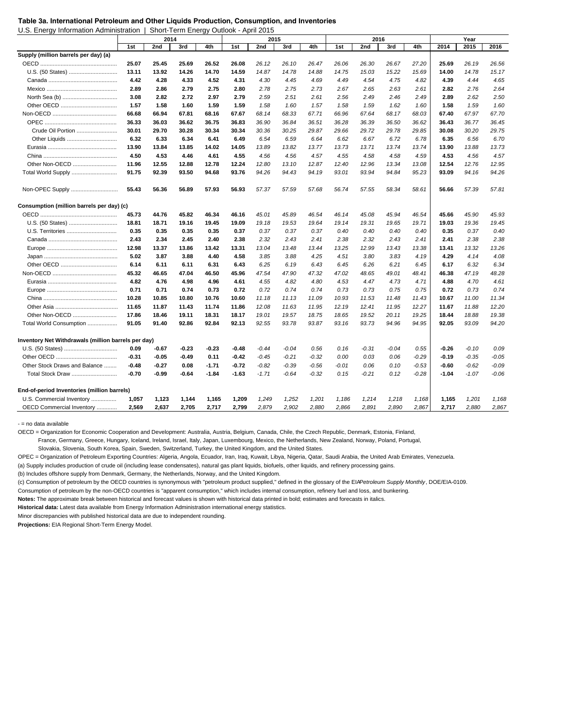U.S. Energy Information Administration | Short-Term Energy Outlook - April 2015

|                                                     |         | 2014    |         |         |         | 2015    |         |         |         | 2016    |       |         |         | Year    |         |
|-----------------------------------------------------|---------|---------|---------|---------|---------|---------|---------|---------|---------|---------|-------|---------|---------|---------|---------|
|                                                     | 1st     | 2nd     | 3rd     | 4th     | 1st     | 2nd     | 3rd     | 4th     | 1st     | 2nd     | 3rd   | 4th     | 2014    | 2015    | 2016    |
| Supply (million barrels per day) (a)                |         |         |         |         |         |         |         |         |         |         |       |         |         |         |         |
|                                                     | 25.07   | 25.45   | 25.69   | 26.52   | 26.08   | 26.12   | 26.10   | 26.47   | 26.06   | 26.30   | 26.67 | 27.20   | 25.69   | 26.19   | 26.56   |
|                                                     | 13.11   | 13.92   | 14.26   | 14.70   | 14.59   | 14.87   | 14.78   | 14.88   | 14.75   | 15.03   | 15.22 | 15.69   | 14.00   | 14.78   | 15.17   |
|                                                     | 4.42    | 4.28    | 4.33    | 4.52    | 4.31    | 4.30    | 4.45    | 4.69    | 4.49    | 4.54    | 4.75  | 4.82    | 4.39    | 4.44    | 4.65    |
|                                                     | 2.89    | 2.86    | 2.79    | 2.75    | 2.80    | 2.78    | 2.75    | 2.73    | 2.67    | 2.65    | 2.63  | 2.61    | 2.82    | 2.76    | 2.64    |
|                                                     | 3.08    | 2.82    | 2.72    | 2.97    | 2.79    | 2.59    | 2.51    | 2.61    | 2.56    | 2.49    | 2.46  | 2.49    | 2.89    | 2.62    | 2.50    |
|                                                     | 1.57    | 1.58    | 1.60    | 1.59    | 1.59    | 1.58    | 1.60    | 1.57    | 1.58    | 1.59    | 1.62  | 1.60    | 1.58    | 1.59    | 1.60    |
|                                                     | 66.68   | 66.94   | 67.81   | 68.16   | 67.67   | 68.14   | 68.33   | 67.71   | 66.96   | 67.64   | 68.17 | 68.03   | 67.40   | 67.97   | 67.70   |
|                                                     | 36.33   | 36.03   | 36.62   | 36.75   | 36.83   | 36.90   | 36.84   | 36.51   | 36.28   | 36.39   | 36.50 | 36.62   | 36.43   | 36.77   | 36.45   |
| Crude Oil Portion                                   | 30.01   | 29.70   | 30.28   | 30.34   | 30.34   | 30.36   | 30.25   | 29.87   | 29.66   | 29.72   | 29.78 | 29.85   | 30.08   | 30.20   | 29.75   |
| Other Liquids                                       | 6.32    | 6.33    | 6.34    | 6.41    | 6.49    | 6.54    | 6.59    | 6.64    | 6.62    | 6.67    | 6.72  | 6.78    | 6.35    | 6.56    | 6.70    |
|                                                     | 13.90   | 13.84   | 13.85   | 14.02   | 14.05   | 13.89   | 13.82   | 13.77   | 13.73   | 13.71   | 13.74 | 13.74   | 13.90   | 13.88   | 13.73   |
|                                                     | 4.50    | 4.53    | 4.46    | 4.61    | 4.55    | 4.56    | 4.56    | 4.57    | 4.55    | 4.58    | 4.58  | 4.59    | 4.53    | 4.56    | 4.57    |
| Other Non-OECD                                      | 11.96   | 12.55   | 12.88   | 12.78   | 12.24   | 12.80   | 13.10   | 12.87   | 12.40   | 12.96   | 13.34 | 13.08   | 12.54   | 12.76   | 12.95   |
| Total World Supply                                  | 91.75   | 92.39   | 93.50   | 94.68   | 93.76   | 94.26   | 94.43   | 94.19   | 93.01   | 93.94   | 94.84 | 95.23   | 93.09   | 94.16   | 94.26   |
| Non-OPEC Supply                                     | 55.43   | 56.36   | 56.89   | 57.93   | 56.93   | 57.37   | 57.59   | 57.68   | 56.74   | 57.55   | 58.34 | 58.61   | 56.66   | 57.39   | 57.81   |
| Consumption (million barrels per day) (c)           |         |         |         |         |         |         |         |         |         |         |       |         |         |         |         |
|                                                     | 45.73   | 44.76   | 45.82   | 46.34   | 46.16   | 45.01   | 45.89   | 46.54   | 46.14   | 45.08   | 45.94 | 46.54   | 45.66   | 45.90   | 45.93   |
| U.S. (50 States)                                    | 18.81   | 18.71   | 19.16   | 19.45   | 19.09   | 19.18   | 19.53   | 19.64   | 19.14   | 19.31   | 19.65 | 19.71   | 19.03   | 19.36   | 19.45   |
| U.S. Territories                                    | 0.35    | 0.35    | 0.35    | 0.35    | 0.37    | 0.37    | 0.37    | 0.37    | 0.40    | 0.40    | 0.40  | 0.40    | 0.35    | 0.37    | 0.40    |
|                                                     | 2.43    | 2.34    | 2.45    | 2.40    | 2.38    | 2.32    | 2.43    | 2.41    | 2.38    | 2.32    | 2.43  | 2.41    | 2.41    | 2.38    | 2.38    |
|                                                     | 12.98   | 13.37   | 13.86   | 13.42   | 13.31   | 13.04   | 13.48   | 13.44   | 13.25   | 12.99   | 13.43 | 13.38   | 13.41   | 13.32   | 13.26   |
|                                                     | 5.02    | 3.87    | 3.88    | 4.40    | 4.58    | 3.85    | 3.88    | 4.25    | 4.51    | 3.80    | 3.83  | 4.19    | 4.29    | 4.14    | 4.08    |
|                                                     | 6.14    | 6.11    | 6.11    | 6.31    | 6.43    | 6.25    | 6.19    | 6.43    | 6.45    | 6.26    | 6.21  | 6.45    | 6.17    | 6.32    | 6.34    |
|                                                     | 45.32   | 46.65   | 47.04   | 46.50   | 45.96   | 47.54   | 47.90   | 47.32   | 47.02   | 48.65   | 49.01 | 48.41   | 46.38   | 47.19   | 48.28   |
|                                                     | 4.82    | 4.76    | 4.98    | 4.96    | 4.61    | 4.55    | 4.82    | 4.80    | 4.53    | 4.47    | 4.73  | 4.71    | 4.88    | 4.70    | 4.61    |
|                                                     | 0.71    | 0.71    | 0.74    | 0.73    | 0.72    | 0.72    | 0.74    | 0.74    | 0.73    | 0.73    | 0.75  | 0.75    | 0.72    | 0.73    | 0.74    |
|                                                     | 10.28   | 10.85   | 10.80   | 10.76   | 10.60   | 11.18   | 11.13   | 11.09   | 10.93   | 11.53   | 11.48 | 11.43   | 10.67   | 11.00   | 11.34   |
|                                                     | 11.65   | 11.87   | 11.43   | 11.74   | 11.86   | 12.08   | 11.63   | 11.95   | 12.19   | 12.41   | 11.95 | 12.27   | 11.67   | 11.88   | 12.20   |
| Other Non-OECD                                      | 17.86   | 18.46   | 19.11   | 18.31   | 18.17   | 19.01   | 19.57   | 18.75   | 18.65   | 19.52   | 20.11 | 19.25   | 18.44   | 18.88   | 19.38   |
| Total World Consumption                             | 91.05   | 91.40   | 92.86   | 92.84   | 92.13   | 92.55   | 93.78   | 93.87   | 93.16   | 93.73   | 94.96 | 94.95   | 92.05   | 93.09   | 94.20   |
| Inventory Net Withdrawals (million barrels per day) |         |         |         |         |         |         |         |         |         |         |       |         |         |         |         |
|                                                     | 0.09    | $-0.67$ | $-0.23$ | $-0.23$ | $-0.48$ | $-0.44$ | $-0.04$ | 0.56    | 0.16    | $-0.31$ | -0.04 | 0.55    | -0.26   | $-0.10$ | 0.09    |
|                                                     | $-0.31$ | $-0.05$ | $-0.49$ | 0.11    | $-0.42$ | $-0.45$ | $-0.21$ | $-0.32$ | 0.00    | 0.03    | 0.06  | $-0.29$ | $-0.19$ | $-0.35$ | $-0.05$ |
| Other Stock Draws and Balance                       | $-0.48$ | $-0.27$ | 0.08    | $-1.71$ | $-0.72$ | $-0.82$ | $-0.39$ | $-0.56$ | $-0.01$ | 0.06    | 0.10  | $-0.53$ | $-0.60$ | $-0.62$ | $-0.09$ |
|                                                     | $-0.70$ | $-0.99$ | $-0.64$ | $-1.84$ | $-1.63$ | $-1.71$ | $-0.64$ | $-0.32$ | 0.15    | $-0.21$ | 0.12  | $-0.28$ | $-1.04$ | $-1.07$ | $-0.06$ |
| End-of-period Inventories (million barrels)         |         |         |         |         |         |         |         |         |         |         |       |         |         |         |         |
| U.S. Commercial Inventory                           | 1,057   | 1,123   | 1,144   | 1,165   | 1,209   | 1,249   | 1,252   | 1,201   | 1,186   | 1,214   | 1,218 | 1,168   | 1,165   | 1,201   | 1,168   |
| OECD Commercial Inventory                           | 2.569   | 2,637   | 2,705   | 2,717   | 2,799   | 2,879   | 2,902   | 2,880   | 2,866   | 2,891   | 2,890 | 2,867   | 2,717   | 2,880   | 2,867   |

- = no data available

OECD = Organization for Economic Cooperation and Development: Australia, Austria, Belgium, Canada, Chile, the Czech Republic, Denmark, Estonia, Finland,

France, Germany, Greece, Hungary, Iceland, Ireland, Israel, Italy, Japan, Luxembourg, Mexico, the Netherlands, New Zealand, Norway, Poland, Portugal,

Slovakia, Slovenia, South Korea, Spain, Sweden, Switzerland, Turkey, the United Kingdom, and the United States.

OPEC = Organization of Petroleum Exporting Countries: Algeria, Angola, Ecuador, Iran, Iraq, Kuwait, Libya, Nigeria, Qatar, Saudi Arabia, the United Arab Emirates, Venezuela.

(a) Supply includes production of crude oil (including lease condensates), natural gas plant liquids, biofuels, other liquids, and refinery processing gains.

(b) Includes offshore supply from Denmark, Germany, the Netherlands, Norway, and the United Kingdom.

(c) Consumption of petroleum by the OECD countries is synonymous with "petroleum product supplied," defined in the glossary of the EIA *Petroleum Supply Monthly*, DOE/EIA-0109.

Consumption of petroleum by the non-OECD countries is "apparent consumption," which includes internal consumption, refinery fuel and loss, and bunkering.

**Notes:** The approximate break between historical and forecast values is shown with historical data printed in bold; estimates and forecasts in italics.

**Historical data:** Latest data available from Energy Information Administration international energy statistics.

Minor discrepancies with published historical data are due to independent rounding.

**Table 3a. International Petroleum and Other Liquids Production, Consumption, and Inventories**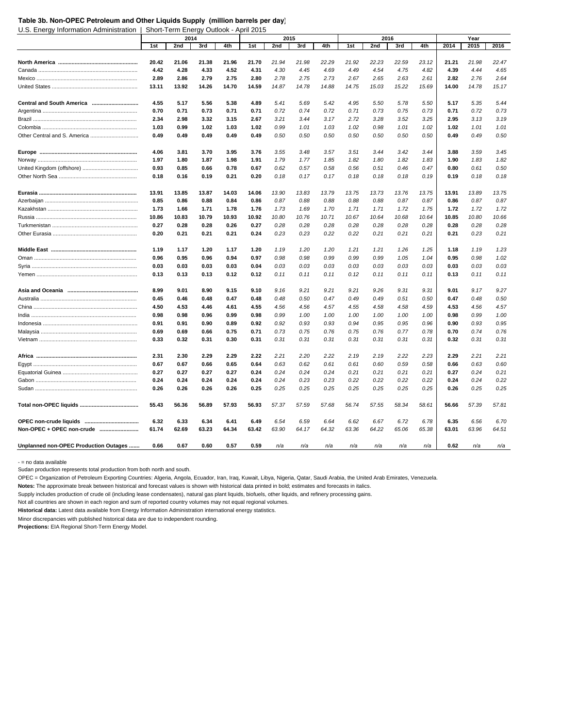#### **Table 3b. Non-OPEC Petroleum and Other Liquids Supply (million barrels per day)**

U.S. Energy Information Administration | Short-Term Energy Outlook - April 2015

|                                       |              | 2014         |              |              |       | 2015  |       |       |       | 2016  |              |              |              | Year         |              |
|---------------------------------------|--------------|--------------|--------------|--------------|-------|-------|-------|-------|-------|-------|--------------|--------------|--------------|--------------|--------------|
|                                       | 1st          | 2nd          | 3rd          | 4th          | 1st   | 2nd   | 3rd   | 4th   | 1st   | 2nd   | 3rd          | 4th          | 2014         | 2015         | 2016         |
|                                       | 20.42        | 21.06        | 21.38        | 21.96        |       | 21.94 | 21.98 | 22.29 | 21.92 | 22.23 | 22.59        | 23.12        | 21.21        | 21.98        | 22.47        |
|                                       |              |              |              |              | 21.70 |       |       |       |       |       |              |              |              |              |              |
|                                       | 4.42<br>2.89 | 4.28<br>2.86 | 4.33<br>2.79 | 4.52<br>2.75 | 4.31  | 4.30  | 4.45  | 4.69  | 4.49  | 4.54  | 4.75<br>2.63 | 4.82<br>2.61 | 4.39<br>2.82 | 4.44<br>2.76 | 4.65<br>2.64 |
|                                       |              |              |              |              | 2.80  | 2.78  | 2.75  | 2.73  | 2.67  | 2.65  |              |              |              |              |              |
|                                       | 13.11        | 13.92        | 14.26        | 14.70        | 14.59 | 14.87 | 14.78 | 14.88 | 14.75 | 15.03 | 15.22        | 15.69        | 14.00        | 14.78        | 15.17        |
| Central and South America             | 4.55         | 5.17         | 5.56         | 5.38         | 4.89  | 5.41  | 5.69  | 5.42  | 4.95  | 5.50  | 5.78         | 5.50         | 5.17         | 5.35         | 5.44         |
|                                       | 0.70         | 0.71         | 0.73         | 0.71         | 0.71  | 0.72  | 0.74  | 0.72  | 0.71  | 0.73  | 0.75         | 0.73         | 0.71         | 0.72         | 0.73         |
|                                       | 2.34         | 2.98         | 3.32         | 3.15         | 2.67  | 3.21  | 3.44  | 3.17  | 2.72  | 3.28  | 3.52         | 3.25         | 2.95         | 3.13         | 3.19         |
|                                       | 1.03         | 0.99         | 1.02         | 1.03         | 1.02  | 0.99  | 1.01  | 1.03  | 1.02  | 0.98  | 1.01         | 1.02         | 1.02         | 1.01         | 1.01         |
|                                       | 0.49         | 0.49         | 0.49         | 0.49         | 0.49  | 0.50  | 0.50  | 0.50  | 0.50  | 0.50  | 0.50         | 0.50         | 0.49         | 0.49         | 0.50         |
|                                       | 4.06         | 3.81         | 3.70         | 3.95         | 3.76  | 3.55  | 3.48  | 3.57  | 3.51  | 3.44  | 3.42         | 3.44         | 3.88         | 3.59         | 3.45         |
|                                       | 1.97         | 1.80         | 1.87         | 1.98         | 1.91  | 1.79  | 1.77  | 1.85  | 1.82  | 1.80  | 1.82         | 1.83         | 1.90         | 1.83         | 1.82         |
|                                       | 0.93         | 0.85         | 0.66         | 0.78         | 0.67  | 0.62  | 0.57  | 0.58  | 0.56  | 0.51  | 0.46         | 0.47         | 0.80         | 0.61         | 0.50         |
|                                       | 0.18         | 0.16         | 0.19         | 0.21         | 0.20  | 0.18  | 0.17  | 0.17  | 0.18  | 0.18  | 0.18         | 0.19         | 0.19         | 0.18         | 0.18         |
|                                       |              |              |              |              |       |       |       |       |       |       |              |              |              |              |              |
|                                       | 13.91        | 13.85        | 13.87        | 14.03        | 14.06 | 13.90 | 13.83 | 13.79 | 13.75 | 13.73 | 13.76        | 13.75        | 13.91        | 13.89        | 13.75        |
|                                       | 0.85         | 0.86         | 0.88         | 0.84         | 0.86  | 0.87  | 0.88  | 0.88  | 0.88  | 0.88  | 0.87         | 0.87         | 0.86         | 0.87         | 0.87         |
|                                       | 1.73         | 1.66         | 1.71         | 1.78         | 1.76  | 1.73  | 1.69  | 1.70  | 1.71  | 1.71  | 1.72         | 1.75         | 1.72         | 1.72         | 1.72         |
|                                       | 10.86        | 10.83        | 10.79        | 10.93        | 10.92 | 10.80 | 10.76 | 10.71 | 10.67 | 10.64 | 10.68        | 10.64        | 10.85        | 10.80        | 10.66        |
|                                       | 0.27         | 0.28         | 0.28         | 0.26         | 0.27  | 0.28  | 0.28  | 0.28  | 0.28  | 0.28  | 0.28         | 0.28         | 0.28         | 0.28         | 0.28         |
|                                       | 0.20         | 0.21         | 0.21         | 0.21         | 0.24  | 0.23  | 0.23  | 0.22  | 0.22  | 0.21  | 0.21         | 0.21         | 0.21         | 0.23         | 0.21         |
|                                       | 1.19         | 1.17         | 1.20         | 1.17         | 1.20  | 1.19  | 1.20  | 1.20  | 1.21  | 1.21  | 1.26         | 1.25         | 1.18         | 1.19         | 1.23         |
|                                       | 0.96         | 0.95         | 0.96         | 0.94         | 0.97  | 0.98  | 0.98  | 0.99  | 0.99  | 0.99  | 1.05         | 1.04         | 0.95         | 0.98         | 1.02         |
|                                       | 0.03         | 0.03         | 0.03         | 0.03         | 0.04  | 0.03  | 0.03  | 0.03  | 0.03  | 0.03  | 0.03         | 0.03         | 0.03         | 0.03         | 0.03         |
|                                       | 0.13         | 0.13         | 0.13         | 0.12         | 0.12  | 0.11  | 0.11  | 0.11  | 0.12  | 0.11  | 0.11         | 0.11         | 0.13         | 0.11         | 0.11         |
|                                       |              |              |              |              |       |       |       |       |       |       |              |              |              |              |              |
|                                       | 8.99         | 9.01         | 8.90         | 9.15         | 9.10  | 9.16  | 9.21  | 9.21  | 9.21  | 9.26  | 9.31         | 9.31         | 9.01         | 9.17         | 9.27         |
|                                       | 0.45         | 0.46         | 0.48         | 0.47         | 0.48  | 0.48  | 0.50  | 0.47  | 0.49  | 0.49  | 0.51         | 0.50         | 0.47         | 0.48         | 0.50         |
|                                       | 4.50         | 4.53         | 4.46         | 4.61         | 4.55  | 4.56  | 4.56  | 4.57  | 4.55  | 4.58  | 4.58         | 4.59         | 4.53         | 4.56         | 4.57         |
|                                       | 0.98         | 0.98         | 0.96         | 0.99         | 0.98  | 0.99  | 1.00  | 1.00  | 1.00  | 1.00  | 1.00         | 1.00         | 0.98         | 0.99         | 1.00         |
|                                       | 0.91         | 0.91         | 0.90         | 0.89         | 0.92  | 0.92  | 0.93  | 0.93  | 0.94  | 0.95  | 0.95         | 0.96         | 0.90         | 0.93         | 0.95         |
|                                       | 0.69         | 0.69         | 0.66         | 0.75         | 0.71  | 0.73  | 0.75  | 0.76  | 0.75  | 0.76  | 0.77         | 0.78         | 0.70         | 0.74         | 0.76         |
|                                       | 0.33         | 0.32         | 0.31         | 0.30         | 0.31  | 0.31  | 0.31  | 0.31  | 0.31  | 0.31  | 0.31         | 0.31         | 0.32         | 0.31         | 0.31         |
|                                       | 2.31         | 2.30         | 2.29         | 2.29         | 2.22  | 2.21  | 2.20  | 2.22  | 2.19  | 2.19  | 2.22         | 2.23         | 2.29         | 2.21         | 2.21         |
|                                       | 0.67         | 0.67         | 0.66         | 0.65         | 0.64  | 0.63  | 0.62  | 0.61  | 0.61  | 0.60  | 0.59         | 0.58         | 0.66         | 0.63         | 0.60         |
|                                       | 0.27         | 0.27         | 0.27         | 0.27         | 0.24  | 0.24  | 0.24  | 0.24  | 0.21  | 0.21  | 0.21         | 0.21         | 0.27         | 0.24         | 0.21         |
|                                       | 0.24         | 0.24         | 0.24         | 0.24         | 0.24  | 0.24  | 0.23  | 0.23  | 0.22  | 0.22  | 0.22         | 0.22         | 0.24         | 0.24         | 0.22         |
|                                       | 0.26         | 0.26         | 0.26         | 0.26         | 0.25  | 0.25  | 0.25  | 0.25  | 0.25  | 0.25  | 0.25         | 0.25         | 0.26         | 0.25         | 0.25         |
|                                       |              |              |              |              |       |       |       |       |       |       |              |              |              |              |              |
|                                       | 55.43        | 56.36        | 56.89        | 57.93        | 56.93 | 57.37 | 57.59 | 57.68 | 56.74 | 57.55 | 58.34        | 58.61        | 56.66        | 57.39        | 57.81        |
|                                       | 6.32         | 6.33         | 6.34         | 6.41         | 6.49  | 6.54  | 6.59  | 6.64  | 6.62  | 6.67  | 6.72         | 6.78         | 6.35         | 6.56         | 6.70         |
| Non-OPEC + OPEC non-crude             | 61.74        | 62.69        | 63.23        | 64.34        | 63.42 | 63.90 | 64.17 | 64.32 | 63.36 | 64.22 | 65.06        | 65.38        | 63.01        | 63.96        | 64.51        |
| Unplanned non-OPEC Production Outages | 0.66         | 0.67         | 0.60         | 0.57         | 0.59  | n/a   | n/a   | n/a   | n/a   | n/a   | n/a          | n/a          | 0.62         | n/a          | n/a          |

- = no data available

Sudan production represents total production from both north and south.

OPEC = Organization of Petroleum Exporting Countries: Algeria, Angola, Ecuador, Iran, Iraq, Kuwait, Libya, Nigeria, Qatar, Saudi Arabia, the United Arab Emirates, Venezuela.

**Notes:** The approximate break between historical and forecast values is shown with historical data printed in bold; estimates and forecasts in italics.

Supply includes production of crude oil (including lease condensates), natural gas plant liquids, biofuels, other liquids, and refinery processing gains.

Not all countries are shown in each region and sum of reported country volumes may not equal regional volumes.

**Historical data:** Latest data available from Energy Information Administration international energy statistics.

Minor discrepancies with published historical data are due to independent rounding.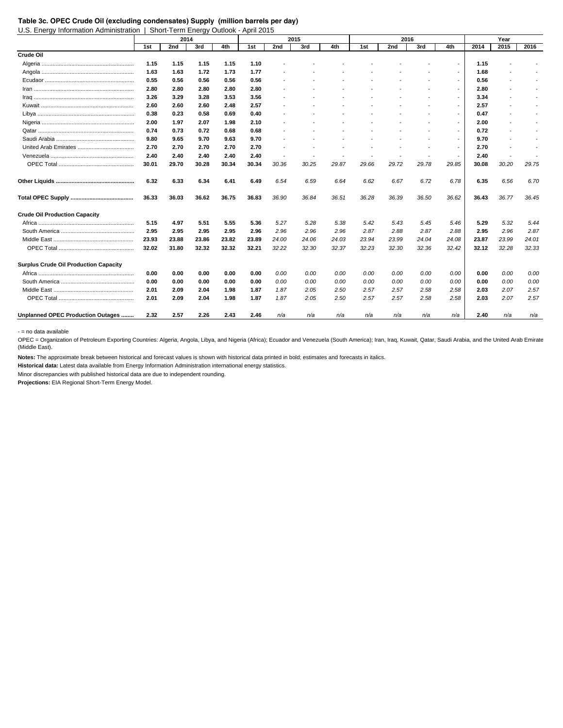## **Table 3c. OPEC Crude Oil (excluding condensates) Supply (million barrels per day)**

U.S. Energy Information Administration | Short-Term Energy Outlook - April 2015

|                                              |       | 2014  |       |       |       |                          | 2015           |                          |                          | 2016                     |                          |                          |       | Year                     |       |
|----------------------------------------------|-------|-------|-------|-------|-------|--------------------------|----------------|--------------------------|--------------------------|--------------------------|--------------------------|--------------------------|-------|--------------------------|-------|
|                                              | 1st   | 2nd   | 3rd   | 4th   | 1st   | 2nd                      | 3rd            | 4th                      | 1st                      | 2nd                      | 3rd                      | 4th                      | 2014  | 2015                     | 2016  |
| Crude Oil                                    |       |       |       |       |       |                          |                |                          |                          |                          |                          |                          |       |                          |       |
|                                              | 1.15  | 1.15  | 1.15  | 1.15  | 1.10  |                          |                |                          |                          |                          |                          |                          | 1.15  |                          |       |
|                                              | 1.63  | 1.63  | 1.72  | 1.73  | 1.77  |                          |                |                          |                          |                          |                          | $\overline{\phantom{0}}$ | 1.68  |                          |       |
|                                              | 0.55  | 0.56  | 0.56  | 0.56  | 0.56  |                          |                |                          |                          |                          |                          |                          | 0.56  |                          |       |
|                                              | 2.80  | 2.80  | 2.80  | 2.80  | 2.80  |                          |                |                          |                          |                          |                          | $\overline{\phantom{0}}$ | 2.80  |                          |       |
|                                              | 3.26  | 3.29  | 3.28  | 3.53  | 3.56  |                          |                |                          |                          |                          |                          | $\overline{\phantom{a}}$ | 3.34  | $\overline{\phantom{a}}$ |       |
|                                              | 2.60  | 2.60  | 2.60  | 2.48  | 2.57  |                          |                |                          |                          |                          |                          | $\overline{\phantom{a}}$ | 2.57  | $\overline{\phantom{a}}$ |       |
|                                              | 0.38  | 0.23  | 0.58  | 0.69  | 0.40  |                          |                |                          |                          |                          |                          | $\overline{\phantom{a}}$ | 0.47  |                          |       |
|                                              | 2.00  | 1.97  | 2.07  | 1.98  | 2.10  |                          |                |                          |                          |                          |                          |                          | 2.00  | $\overline{\phantom{a}}$ |       |
|                                              | 0.74  | 0.73  | 0.72  | 0.68  | 0.68  |                          |                |                          |                          |                          |                          |                          | 0.72  |                          |       |
|                                              | 9.80  | 9.65  | 9.70  | 9.63  | 9.70  |                          |                |                          |                          |                          |                          | $\overline{\phantom{0}}$ | 9.70  |                          |       |
|                                              | 2.70  | 2.70  | 2.70  | 2.70  | 2.70  |                          |                |                          |                          |                          |                          | $\overline{\phantom{a}}$ | 2.70  | $\overline{a}$           |       |
|                                              | 2.40  | 2.40  | 2.40  | 2.40  | 2.40  | $\overline{\phantom{a}}$ | $\overline{a}$ | $\overline{\phantom{a}}$ | $\overline{\phantom{a}}$ | $\overline{\phantom{a}}$ | $\overline{\phantom{a}}$ | $\overline{\phantom{a}}$ | 2.40  | $\overline{\phantom{a}}$ |       |
|                                              | 30.01 | 29.70 | 30.28 | 30.34 | 30.34 | 30.36                    | 30.25          | 29.87                    | 29.66                    | 29.72                    | 29.78                    | 29.85                    | 30.08 | 30.20                    | 29.75 |
|                                              | 6.32  | 6.33  | 6.34  | 6.41  | 6.49  | 6.54                     | 6.59           | 6.64                     | 6.62                     | 6.67                     | 6.72                     | 6.78                     | 6.35  | 6.56                     | 6.70  |
|                                              | 36.33 | 36.03 | 36.62 | 36.75 | 36.83 | 36.90                    | 36.84          | 36.51                    | 36.28                    | 36.39                    | 36.50                    | 36.62                    | 36.43 | 36.77                    | 36.45 |
| <b>Crude Oil Production Capacity</b>         |       |       |       |       |       |                          |                |                          |                          |                          |                          |                          |       |                          |       |
|                                              | 5.15  | 4.97  | 5.51  | 5.55  | 5.36  | 5.27                     | 5.28           | 5.38                     | 5.42                     | 5.43                     | 5.45                     | 5.46                     | 5.29  | 5.32                     | 5.44  |
|                                              | 2.95  | 2.95  | 2.95  | 2.95  | 2.96  | 2.96                     | 2.96           | 2.96                     | 2.87                     | 2.88                     | 2.87                     | 2.88                     | 2.95  | 2.96                     | 2.87  |
|                                              | 23.93 | 23.88 | 23.86 | 23.82 | 23.89 | 24.00                    | 24.06          | 24.03                    | 23.94                    | 23.99                    | 24.04                    | 24.08                    | 23.87 | 23.99                    | 24.01 |
|                                              | 32.02 | 31.80 | 32.32 | 32.32 | 32.21 | 32.22                    | 32.30          | 32.37                    | 32.23                    | 32.30                    | 32.36                    | 32.42                    | 32.12 | 32.28                    | 32.33 |
| <b>Surplus Crude Oil Production Capacity</b> |       |       |       |       |       |                          |                |                          |                          |                          |                          |                          |       |                          |       |
|                                              | 0.00  | 0.00  | 0.00  | 0.00  | 0.00  | 0.00                     | 0.00           | 0.00                     | 0.00                     | 0.00                     | 0.00                     | 0.00                     | 0.00  | 0.00                     | 0.00  |
|                                              | 0.00  | 0.00  | 0.00  | 0.00  | 0.00  | 0.00                     | 0.00           | 0.00                     | 0.00                     | 0.00                     | 0.00                     | 0.00                     | 0.00  | 0.00                     | 0.00  |
|                                              | 2.01  | 2.09  | 2.04  | 1.98  | 1.87  | 1.87                     | 2.05           | 2.50                     | 2.57                     | 2.57                     | 2.58                     | 2.58                     | 2.03  | 2.07                     | 2.57  |
|                                              | 2.01  | 2.09  | 2.04  | 1.98  | 1.87  | 1.87                     | 2.05           | 2.50                     | 2.57                     | 2.57                     | 2.58                     | 2.58                     | 2.03  | 2.07                     | 2.57  |
| Unplanned OPEC Production Outages            | 2.32  | 2.57  | 2.26  | 2.43  | 2.46  | n/a                      | n/a            | n/a                      | n/a                      | n/a                      | n/a                      | n/a                      | 2.40  | n/a                      | n/a   |

- = no data available

OPEC = Organization of Petroleum Exporting Countries: Algeria, Angola, Libya, and Nigeria (Africa); Ecuador and Venezuela (South America); Iran, Iraq, Kuwait, Qatar, Saudi Arabia, and the United Arab Emirate (Middle East).

**Notes:** The approximate break between historical and forecast values is shown with historical data printed in bold; estimates and forecasts in italics.

**Historical data:** Latest data available from Energy Information Administration international energy statistics.

Minor discrepancies with published historical data are due to independent rounding.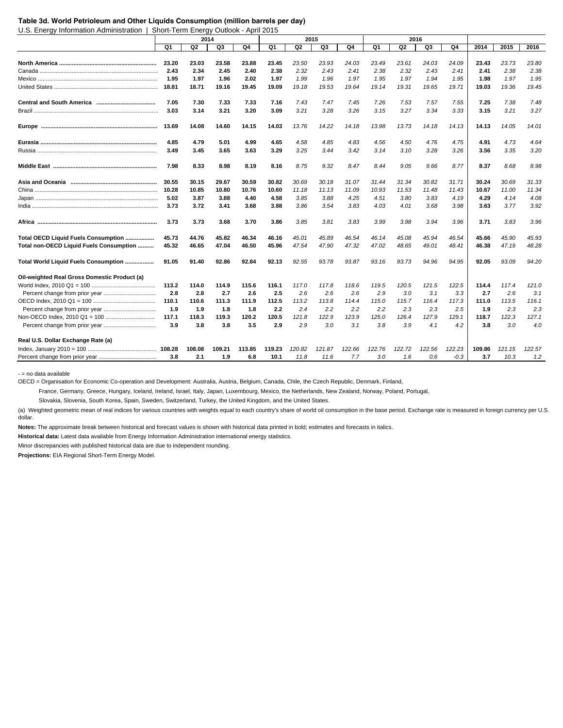#### **Table 3d. World Petrioleum and Other Liquids Consumption (million barrels per day)**

U.S. Energy Information Administration | Short-Term Energy Outlook - April 2015

|                                              |       |        | 2014   |        |        |        | 2015   |        |        | 2016   |        |        |        |        |        |
|----------------------------------------------|-------|--------|--------|--------|--------|--------|--------|--------|--------|--------|--------|--------|--------|--------|--------|
|                                              | Q1    | Q2     | Q3     | Q4     | Q1     | Q2     | Q3     | Q4     | Q1     | Q2     | Q3     | Q4     | 2014   | 2015   | 2016   |
|                                              |       |        |        |        |        |        |        |        |        |        |        |        |        |        |        |
|                                              | 23.20 | 23.03  | 23.58  | 23.88  | 23.45  | 23.50  | 23.93  | 24.03  | 23.49  | 23.61  | 24.03  | 24.09  | 23.43  | 23.73  | 23.80  |
|                                              | 2.43  | 2.34   | 2.45   | 2.40   | 2.38   | 2.32   | 2.43   | 2.41   | 2.38   | 2.32   | 2.43   | 2.41   | 2.41   | 2.38   | 2.38   |
|                                              | 1.95  | 1.97   | 1.96   | 2.02   | 1.97   | 1.99   | 1.96   | 1.97   | 1.95   | 1.97   | 1.94   | 1.95   | 1.98   | 1.97   | 1.95   |
|                                              | 18.81 | 18.71  | 19.16  | 19.45  | 19.09  | 19.18  | 19.53  | 19.64  | 19.14  | 19.31  | 19.65  | 19.71  | 19.03  | 19.36  | 19.45  |
|                                              | 7.05  | 7.30   | 7.33   | 7.33   | 7.16   | 7.43   | 7.47   | 7.45   | 7.26   | 7.53   | 7.57   | 7.55   | 7.25   | 7.38   | 7.48   |
|                                              | 3.03  | 3.14   | 3.21   | 3.20   | 3.09   | 3.21   | 3.28   | 3.26   | 3.15   | 3.27   | 3.34   | 3.33   | 3.15   | 3.21   | 3.27   |
|                                              | 13.69 | 14.08  | 14.60  | 14.15  | 14.03  | 13.76  | 14.22  | 14.18  | 13.98  | 13.73  | 14.18  | 14.13  | 14.13  | 14.05  | 14.01  |
|                                              | 4.85  | 4.79   | 5.01   | 4.99   | 4.65   | 4.58   | 4.85   | 4.83   | 4.56   | 4.50   | 4.76   | 4.75   | 4.91   | 4.73   | 4.64   |
|                                              | 3.49  | 3.45   | 3.65   | 3.63   | 3.29   | 3.25   | 3.44   | 3.42   | 3.14   | 3.10   | 3.28   | 3.26   | 3.56   | 3.35   | 3.20   |
|                                              | 7.98  | 8.33   | 8.98   | 8.19   | 8.16   | 8.75   | 9.32   | 8.47   | 8.44   | 9.05   | 9.66   | 8.77   | 8.37   | 8.68   | 8.98   |
|                                              | 30.55 | 30.15  | 29.67  | 30.59  | 30.82  | 30.69  | 30.18  | 31.07  | 31.44  | 31.34  | 30.82  | 31.71  | 30.24  | 30.69  | 31.33  |
|                                              | 10.28 | 10.85  | 10.80  | 10.76  | 10.60  | 11.18  | 11.13  | 11.09  | 10.93  | 11.53  | 11.48  | 11.43  | 10.67  | 11.00  | 11.34  |
|                                              | 5.02  | 3.87   | 3.88   | 4.40   | 4.58   | 3.85   | 3.88   | 4.25   | 4.51   | 3.80   | 3.83   | 4.19   | 4.29   | 4.14   | 4.08   |
|                                              | 3.73  | 3.72   | 3.41   | 3.68   | 3.88   | 3.86   | 3.54   | 3.83   | 4.03   | 4.01   | 3.68   | 3.98   | 3.63   | 3.77   | 3.92   |
|                                              | 3.73  | 3.73   | 3.68   | 3.70   | 3.86   | 3.85   | 3.81   | 3.83   | 3.99   | 3.98   | 3.94   | 3.96   | 3.71   | 3.83   | 3.96   |
| Total OECD Liquid Fuels Consumption          | 45.73 | 44.76  | 45.82  | 46.34  | 46.16  | 45.01  | 45.89  | 46.54  | 46.14  | 45.08  | 45.94  | 46.54  | 45.66  | 45.90  | 45.93  |
| Total non-OECD Liquid Fuels Consumption      | 45.32 | 46.65  | 47.04  | 46.50  | 45.96  | 47.54  | 47.90  | 47.32  | 47.02  | 48.65  | 49.01  | 48.41  | 46.38  | 47.19  | 48.28  |
| Total World Liquid Fuels Consumption         | 91.05 | 91.40  | 92.86  | 92.84  | 92.13  | 92.55  | 93.78  | 93.87  | 93.16  | 93.73  | 94.96  | 94.95  | 92.05  | 93.09  | 94.20  |
| Oil-weighted Real Gross Domestic Product (a) |       |        |        |        |        |        |        |        |        |        |        |        |        |        |        |
|                                              | 113.2 | 114.0  | 114.9  | 115.6  | 116.1  | 117.0  | 117.8  | 118.6  | 119.5  | 120.5  | 121.5  | 122.5  | 114.4  | 117.4  | 121.0  |
|                                              | 2.8   | 2.8    | 2.7    | 2.6    | 2.5    | 2.6    | 2.6    | 2.6    | 2.9    | 3.0    | 3.1    | 3.3    | 2.7    | 2.6    | 3.1    |
|                                              | 110.1 | 110.6  | 111.3  | 111.9  | 112.5  | 113.2  | 113.8  | 114.4  | 115.0  | 115.7  | 116.4  | 117.3  | 111.0  | 113.5  | 116.1  |
|                                              | 1.9   | 1.9    | 1.8    | 1.8    | 2.2    | 2.4    | 2.2    | 2.2    | 2.2    | 2.3    | 2.3    | 2.5    | 1.9    | 2.3    | 2.3    |
|                                              | 117.1 | 118.3  | 119.3  | 120.2  | 120.5  | 121.8  | 122.9  | 123.9  | 125.0  | 126.4  | 127.9  | 129.1  | 118.7  | 122.3  | 127.1  |
|                                              | 3.9   | 3.8    | 3.8    | 3.5    | 2.9    | 2.9    | 3.0    | 3.1    | 3.8    | 3.9    | 4.1    | 4.2    | 3.8    | 3.0    | 4.0    |
| Real U.S. Dollar Exchange Rate (a)           |       |        |        |        |        |        |        |        |        |        |        |        |        |        |        |
|                                              |       | 108.08 | 109.21 | 113.85 | 119.23 | 120.82 | 121.87 | 122.66 | 122.76 | 122.72 | 122.56 | 122.23 | 109.86 | 121.15 | 122.57 |
|                                              | 3.8   | 2.1    | 1.9    | 6.8    | 10.1   | 11.8   | 11.6   | 7.7    | 3.0    | 1.6    | 0.6    | $-0.3$ | 3.7    | 10.3   | 1.2    |

- = no data available

OECD = Organisation for Economic Co-operation and Development: Australia, Austria, Belgium, Canada, Chile, the Czech Republic, Denmark, Finland,

France, Germany, Greece, Hungary, Iceland, Ireland, Israel, Italy, Japan, Luxembourg, Mexico, the Netherlands, New Zealand, Norway, Poland, Portugal,

Slovakia, Slovenia, South Korea, Spain, Sweden, Switzerland, Turkey, the United Kingdom, and the United States.

(a) Weighted geometric mean of real indices for various countries with weights equal to each country's share of world oil consumption in the base period. Exchange rate is measured in foreign currency per U.S. dollar.

**Notes:** The approximate break between historical and forecast values is shown with historical data printed in bold; estimates and forecasts in italics.

**Historical data:** Latest data available from Energy Information Administration international energy statistics.

Minor discrepancies with published historical data are due to independent rounding.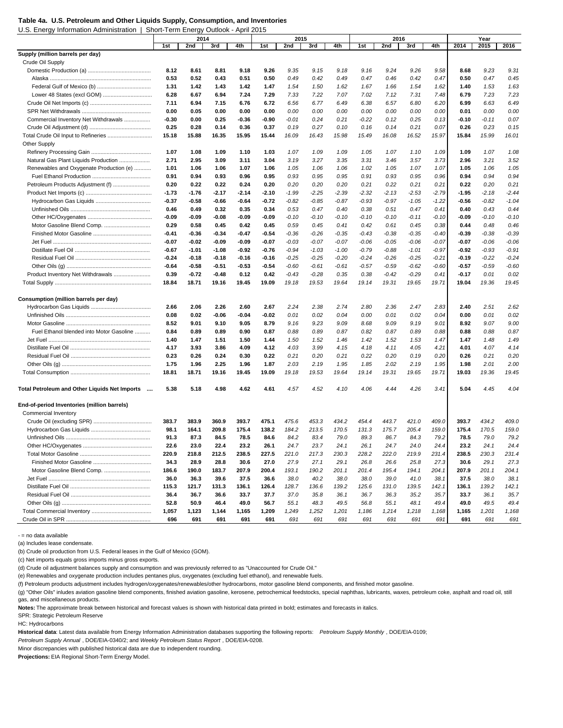U.S. Energy Information Administration | Short-Term Energy Outlook - April 2015

|                                               |         | 2014    |         |         |       | 2015    |         |         |         | 2016    |         |         |         | Year    |         |
|-----------------------------------------------|---------|---------|---------|---------|-------|---------|---------|---------|---------|---------|---------|---------|---------|---------|---------|
|                                               | 1st     | 2nd     | 3rd     | 4th     | 1st   | 2nd     | 3rd     | 4th     | 1st     | 2nd     | 3rd     | 4th     | 2014    | 2015    | 2016    |
| Supply (million barrels per day)              |         |         |         |         |       |         |         |         |         |         |         |         |         |         |         |
| Crude Oil Supply                              |         |         |         |         |       |         |         |         |         |         |         |         |         |         |         |
|                                               | 8.12    | 8.61    | 8.81    | 9.18    | 9.26  | 9.35    | 9.15    | 9.18    | 9.16    | 9.24    | 9.26    | 9.58    | 8.68    | 9.23    | 9.31    |
|                                               | 0.53    | 0.52    | 0.43    | 0.51    | 0.50  | 0.49    | 0.42    | 0.49    | 0.47    | 0.46    | 0.42    | 0.47    | 0.50    | 0.47    | 0.45    |
|                                               | 1.31    | 1.42    | 1.43    | 1.42    | 1.47  | 1.54    | 1.50    | 1.62    | 1.67    | 1.66    | 1.54    | 1.62    | 1.40    | 1.53    | 1.63    |
|                                               | 6.28    | 6.67    | 6.94    | 7.24    | 7.29  | 7.33    | 7.22    | 7.07    | 7.02    | 7.12    | 7.31    | 7.48    | 6.79    | 7.23    | 7.23    |
|                                               | 7.11    | 6.94    | 7.15    | 6.76    | 6.72  | 6.56    | 6.77    | 6.49    | 6.38    | 6.57    | 6.80    | 6.20    | 6.99    | 6.63    | 6.49    |
|                                               | 0.00    | 0.05    | 0.00    | 0.00    | 0.00  | 0.00    | 0.00    | 0.00    | 0.00    | 0.00    | 0.00    | 0.00    | 0.01    | 0.00    | 0.00    |
| Commercial Inventory Net Withdrawals          | $-0.30$ | 0.00    | 0.25    | $-0.36$ | -0.90 | $-0.01$ | 0.24    | 0.21    | $-0.22$ | 0.12    | 0.25    | 0.13    | -0.10   | $-0.11$ | 0.07    |
|                                               | 0.25    | 0.28    | 0.14    | 0.36    | 0.37  | 0.19    | 0.27    | 0.10    | 0.16    | 0.14    | 0.21    | 0.07    | 0.26    | 0.23    | 0.15    |
| Total Crude Oil Input to Refineries           | 15.18   | 15.88   | 16.35   | 15.95   | 15.44 | 16.09   | 16.43   | 15.98   | 15.49   | 16.08   | 16.52   | 15.97   | 15.84   | 15.99   | 16.01   |
| Other Supply                                  |         |         |         |         |       |         |         |         |         |         |         |         |         |         |         |
|                                               |         |         |         |         |       |         |         |         |         |         |         |         |         |         |         |
|                                               | 1.07    | 1.08    | 1.09    | 1.10    | 1.03  | 1.07    | 1.09    | 1.09    | 1.05    | 1.07    | 1.10    | 1.09    | 1.09    | 1.07    | 1.08    |
| Natural Gas Plant Liquids Production          | 2.71    | 2.95    | 3.09    | 3.11    | 3.04  | 3.19    | 3.27    | 3.35    | 3.31    | 3.46    | 3.57    | 3.73    | 2.96    | 3.21    | 3.52    |
| Renewables and Oxygenate Production (e)       | 1.01    | 1.06    | 1.06    | 1.07    | 1.06  | 1.05    | 1.06    | 1.06    | 1.02    | 1.05    | 1.07    | 1.07    | 1.05    | 1.06    | 1.05    |
|                                               | 0.91    | 0.94    | 0.93    | 0.96    | 0.95  | 0.93    | 0.95    | 0.95    | 0.91    | 0.93    | 0.95    | 0.96    | 0.94    | 0.94    | 0.94    |
| Petroleum Products Adjustment (f)             | 0.20    | 0.22    | 0.22    | 0.24    | 0.20  | 0.20    | 0.20    | 0.20    | 0.21    | 0.22    | 0.21    | 0.21    | 0.22    | 0.20    | 0.21    |
|                                               | $-1.73$ | $-1.76$ | $-2.17$ | $-2.14$ | -2.10 | $-1.99$ | $-2.25$ | $-2.39$ | $-2.32$ | $-2.13$ | $-2.53$ | $-2.79$ | $-1.95$ | $-2.18$ | $-2.44$ |
|                                               | $-0.37$ | $-0.58$ | -0.66   | $-0.64$ | -0.72 | $-0.82$ | $-0.85$ | $-0.87$ | -0.93   | $-0.97$ | $-1.05$ | $-1.22$ | $-0.56$ | $-0.82$ | $-1.04$ |
|                                               | 0.46    | 0.49    | 0.32    | 0.35    | 0.34  | 0.53    | 0.47    | 0.40    | 0.38    | 0.51    | 0.47    | 0.41    | 0.40    | 0.43    | 0.44    |
|                                               | $-0.09$ | $-0.09$ | -0.08   | $-0.09$ | -0.09 | $-0.10$ | $-0.10$ | $-0.10$ | $-0.10$ | $-0.10$ | -0.11   | $-0.10$ | -0.09   | $-0.10$ | $-0.10$ |
| Motor Gasoline Blend Comp.                    | 0.29    | 0.58    | 0.45    | 0.42    | 0.45  | 0.59    | 0.45    | 0.41    | 0.42    | 0.61    | 0.45    | 0.38    | 0.44    | 0.48    | 0.46    |
|                                               | $-0.41$ | $-0.36$ | -0.34   | $-0.47$ | -0.54 | $-0.36$ | $-0.26$ | $-0.35$ | $-0.43$ | $-0.38$ | $-0.35$ | $-0.40$ | -0.39   | $-0.38$ | $-0.39$ |
|                                               | $-0.07$ | $-0.02$ | $-0.09$ | $-0.09$ | -0.07 | $-0.03$ | $-0.07$ | $-0.07$ | -0.06   | $-0.05$ | $-0.06$ | $-0.07$ | -0.07   | $-0.06$ | $-0.06$ |
|                                               | $-0.67$ | $-1.01$ | $-1.08$ | $-0.92$ | -0.76 | $-0.94$ | $-1.03$ | $-1.00$ | $-0.79$ | $-0.88$ | $-1.01$ | $-0.97$ | -0.92   | $-0.93$ | -0.91   |
|                                               | $-0.24$ | $-0.18$ | $-0.18$ | $-0.16$ | -0.16 | $-0.25$ | $-0.25$ | $-0.20$ | $-0.24$ | $-0.26$ | $-0.25$ | $-0.21$ | -0.19   | $-0.22$ | $-0.24$ |
|                                               | $-0.64$ | $-0.58$ | $-0.51$ | -0.53   | -0.54 | $-0.60$ | $-0.61$ | $-0.61$ | $-0.57$ | $-0.59$ | $-0.62$ | $-0.60$ | -0.57   | $-0.59$ | $-0.60$ |
| Product Inventory Net Withdrawals             | 0.39    | $-0.72$ | $-0.48$ | 0.12    | 0.42  | $-0.43$ | $-0.28$ | 0.35    | 0.38    | $-0.42$ | $-0.29$ | 0.41    | -0.17   | 0.01    | 0.02    |
|                                               | 18.84   | 18.71   | 19.16   | 19.45   | 19.09 | 19.18   | 19.53   | 19.64   | 19.14   | 19.31   | 19.65   | 19.71   | 19.04   | 19.36   | 19.45   |
|                                               |         |         |         |         |       |         |         |         |         |         |         |         |         |         |         |
| Consumption (million barrels per day)         |         |         |         |         |       |         |         |         |         |         |         |         |         |         |         |
|                                               | 2.66    | 2.06    | 2.26    | 2.60    | 2.67  | 2.24    | 2.38    | 2.74    | 2.80    | 2.36    | 2.47    | 2.83    | 2.40    | 2.51    | 2.62    |
|                                               | 0.08    | 0.02    | -0.06   | $-0.04$ | -0.02 | 0.01    | 0.02    | 0.04    | 0.00    | 0.01    | 0.02    | 0.04    | 0.00    | 0.01    | 0.02    |
|                                               | 8.52    | 9.01    | 9.10    | 9.05    | 8.79  | 9.16    | 9.23    | 9.09    | 8.68    | 9.09    | 9.19    | 9.01    | 8.92    | 9.07    | 9.00    |
| Fuel Ethanol blended into Motor Gasoline      | 0.84    | 0.89    | 0.89    | 0.90    | 0.87  | 0.88    | 0.89    | 0.87    | 0.82    | 0.87    | 0.89    | 0.88    | 0.88    | 0.88    | 0.87    |
|                                               | 1.40    | 1.47    | 1.51    | 1.50    | 1.44  | 1.50    | 1.52    | 1.46    | 1.42    | 1.52    | 1.53    | 1.47    | 1.47    | 1.48    | 1.49    |
|                                               | 4.17    | 3.93    | 3.86    | 4.09    | 4.12  | 4.03    | 3.99    | 4.15    | 4.18    | 4.11    | 4.05    | 4.21    | 4.01    | 4.07    | 4.14    |
|                                               | 0.23    | 0.26    | 0.24    | 0.30    | 0.22  | 0.21    | 0.20    | 0.21    | 0.22    | 0.20    | 0.19    | 0.20    | 0.26    | 0.21    | 0.20    |
|                                               | 1.75    | 1.96    | 2.25    | 1.96    | 1.87  | 2.03    | 2.19    | 1.95    | 1.85    | 2.02    | 2.19    | 1.95    | 1.98    | 2.01    | 2.00    |
|                                               | 18.81   | 18.71   | 19.16   | 19.45   | 19.09 | 19.18   | 19.53   | 19.64   | 19.14   | 19.31   | 19.65   | 19.71   | 19.03   | 19.36   | 19.45   |
|                                               |         |         |         |         |       |         |         |         |         |         |         |         |         |         |         |
| Total Petroleum and Other Liquids Net Imports | 5.38    | 5.18    | 4.98    | 4.62    | 4.61  | 4.57    | 4.52    | 4.10    | 4.06    | 4.44    | 4.26    | 3.41    | 5.04    | 4.45    | 4.04    |
| End-of-period Inventories (million barrels)   |         |         |         |         |       |         |         |         |         |         |         |         |         |         |         |
| Commercial Inventory                          |         |         |         |         |       |         |         |         |         |         |         |         |         |         |         |
|                                               | 383.7   | 383.9   | 360.9   | 393.7   | 475.1 | 475.6   | 453.3   | 434.2   | 454.4   | 443.7   | 421.0   | 409.0   | 393.7   | 434.2   | 409.0   |
|                                               | 98.1    | 164.1   | 209.8   | 175.4   | 138.2 | 184.2   | 213.5   | 170.5   | 131.3   | 175.7   | 205.4   | 159.0   | 175.4   | 170.5   | 159.0   |
|                                               | 91.3    | 87.3    | 84.5    | 78.5    | 84.6  | 84.2    | 83.4    | 79.0    | 89.3    | 86.7    | 84.3    | 79.2    | 78.5    | 79.0    | 79.2    |
|                                               | 22.6    |         |         |         |       |         |         |         |         |         |         | 24.4    | 23.2    |         |         |
|                                               |         | 23.0    | 22.4    | 23.2    | 26.1  | 24.7    | 23.7    | 24.1    | 26.1    | 24.7    | 24.0    |         |         | 24.1    | 24.4    |
|                                               | 220.9   | 218.8   | 212.5   | 238.5   | 227.5 | 221.0   | 217.3   | 230.3   | 228.2   | 222.0   | 219.9   | 231.4   | 238.5   | 230.3   | 231.4   |
|                                               | 34.3    | 28.9    | 28.8    | 30.6    | 27.0  | 27.9    | 27.1    | 29.1    | 26.8    | 26.6    | 25.8    | 27.3    | 30.6    | 29.1    | 27.3    |
| Motor Gasoline Blend Comp.                    | 186.6   | 190.0   | 183.7   | 207.9   | 200.4 | 193.1   | 190.2   | 201.1   | 201.4   | 195.4   | 194.1   | 204.1   | 207.9   | 201.1   | 204.1   |
|                                               | 36.0    | 36.3    | 39.6    | 37.5    | 36.6  | 38.0    | 40.2    | 38.0    | 38.0    | 39.0    | 41.0    | 38.1    | 37.5    | 38.0    | 38.1    |
|                                               | 115.3   | 121.7   | 131.3   | 136.1   | 126.4 | 128.7   | 136.6   | 139.2   | 125.6   | 131.0   | 139.5   | 142.1   | 136.1   | 139.2   | 142.1   |
|                                               | 36.4    | 36.7    | 36.6    | 33.7    | 37.7  | 37.0    | 35.8    | 36.1    | 36.7    | 36.3    | 35.2    | 35.7    | 33.7    | 36.1    | 35.7    |
|                                               | 52.8    | 50.9    | 46.4    | 49.0    | 56.7  | 55.1    | 48.3    | 49.5    | 56.8    | 55.1    | 48.1    | 49.4    | 49.0    | 49.5    | 49.4    |
|                                               | 1,057   | 1,123   | 1,144   | 1,165   | 1,209 | 1,249   | 1,252   | 1,201   | 1,186   | 1,214   | 1,218   | 1,168   | 1,165   | 1,201   | 1,168   |
|                                               | 696     | 691     | 691     | 691     | 691   | 691     | 691     | 691     | 691     | 691     | 691     | 691     | 691     | 691     | 691     |

- = no data available

(a) Includes lease condensate.

(b) Crude oil production from U.S. Federal leases in the Gulf of Mexico (GOM).

(c) Net imports equals gross imports minus gross exports.

(d) Crude oil adjustment balances supply and consumption and was previously referred to as "Unaccounted for Crude Oil."

(e) Renewables and oxygenate production includes pentanes plus, oxygenates (excluding fuel ethanol), and renewable fuels.

(f) Petroleum products adjustment includes hydrogen/oxygenates/renewables/other hydrocarbons, motor gasoline blend components, and finished motor gasoline.

(g) "Other Oils" inludes aviation gasoline blend components, finished aviation gasoline, kerosene, petrochemical feedstocks, special naphthas, lubricants, waxes, petroleum coke, asphalt and road oil, still gas, and miscellaneous products.

**Notes:** The approximate break between historical and forecast values is shown with historical data printed in bold; estimates and forecasts in italics.

SPR: Strategic Petroleum Reserve

HC: Hydrocarbons

**Historical data**: Latest data available from Energy Information Administration databases supporting the following reports: *Petroleum Supply Monthly* , DOE/EIA-0109;

*Petroleum Supply Annual* , DOE/EIA-0340/2; and *Weekly Petroleum Status Report* , DOE/EIA-0208.

Minor discrepancies with published historical data are due to independent rounding.

**Table 4a. U.S. Petroleum and Other Liquids Supply, Consumption, and Inventories**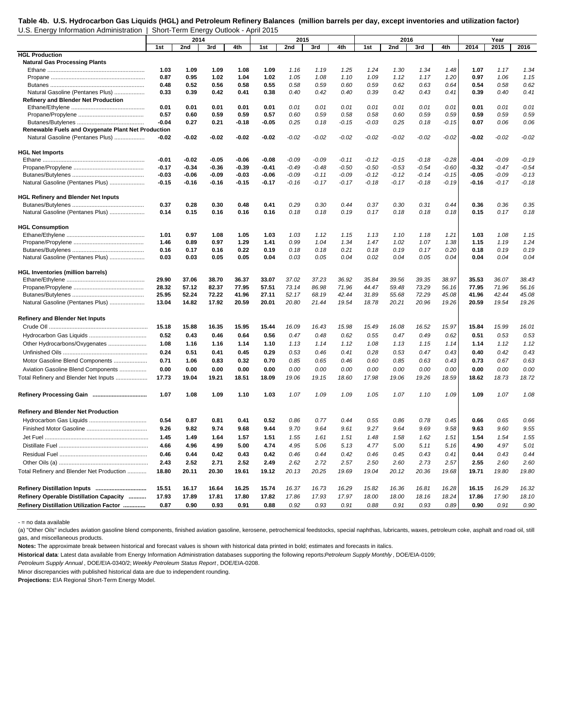## **Table 4b. U.S. Hydrocarbon Gas Liquids (HGL) and Petroleum Refinery Balances (million barrels per day, except inventories and utilization factor)** U.S. Energy Information Administration | Short-Term Energy Outlook - April 2015

|                                                    |         | 2014    |         |         |         | 2015    |         |         |         | 2016    |         |         |         | Year    |         |
|----------------------------------------------------|---------|---------|---------|---------|---------|---------|---------|---------|---------|---------|---------|---------|---------|---------|---------|
|                                                    | 1st     | 2nd     | 3rd     | 4th     | 1st     | 2nd     | 3rd     | 4th     | 1st     | 2nd     | 3rd     | 4th     | 2014    | 2015    | 2016    |
| <b>HGL Production</b>                              |         |         |         |         |         |         |         |         |         |         |         |         |         |         |         |
| <b>Natural Gas Processing Plants</b>               |         |         |         |         |         |         |         |         |         |         |         |         |         |         |         |
|                                                    | 1.03    | 1.09    | 1.09    | 1.08    | 1.09    | 1.16    | 1.19    | 1.25    | 1.24    | 1.30    | 1.34    | 1.48    | 1.07    | 1.17    | 1.34    |
|                                                    | 0.87    | 0.95    | 1.02    | 1.04    | 1.02    | 1.05    | 1.08    | 1.10    | 1.09    | 1.12    | 1.17    | 1.20    | 0.97    | 1.06    | 1.15    |
|                                                    | 0.48    | 0.52    | 0.56    | 0.58    | 0.55    | 0.58    | 0.59    | 0.60    | 0.59    | 0.62    | 0.63    | 0.64    | 0.54    | 0.58    | 0.62    |
| Natural Gasoline (Pentanes Plus)                   | 0.33    | 0.39    | 0.42    | 0.41    | 0.38    | 0.40    | 0.42    | 0.40    | 0.39    | 0.42    | 0.43    | 0.41    | 0.39    | 0.40    | 0.41    |
| Refinery and Blender Net Production                |         |         |         |         |         |         |         |         |         |         |         |         |         |         |         |
|                                                    | 0.01    | 0.01    | 0.01    | 0.01    | 0.01    | 0.01    | 0.01    | 0.01    | 0.01    | 0.01    | 0.01    | 0.01    | 0.01    | 0.01    | 0.01    |
|                                                    | 0.57    | 0.60    | 0.59    | 0.59    | 0.57    | 0.60    | 0.59    | 0.58    | 0.58    | 0.60    | 0.59    | 0.59    | 0.59    | 0.59    | 0.59    |
|                                                    | -0.04   | 0.27    | 0.21    | $-0.18$ | $-0.05$ | 0.25    | 0.18    | $-0.15$ | $-0.03$ | 0.25    | 0.18    | $-0.15$ | 0.07    | 0.06    | 0.06    |
| Renewable Fuels and Oxygenate Plant Net Production |         |         |         |         |         |         |         |         |         |         |         |         |         |         |         |
| Natural Gasoline (Pentanes Plus)                   | -0.02   | -0.02   | -0.02   | $-0.02$ | -0.02   | $-0.02$ | $-0.02$ | $-0.02$ | $-0.02$ | $-0.02$ | $-0.02$ | $-0.02$ | -0.02   | $-0.02$ | $-0.02$ |
|                                                    |         |         |         |         |         |         |         |         |         |         |         |         |         |         |         |
| <b>HGL Net Imports</b>                             |         |         |         |         |         |         |         |         |         |         |         |         |         |         |         |
|                                                    | $-0.01$ | $-0.02$ | $-0.05$ | $-0.06$ | -0.08   | $-0.09$ | $-0.09$ | $-0.11$ | $-0.12$ | $-0.15$ | $-0.18$ | $-0.28$ | $-0.04$ | $-0.09$ | $-0.19$ |
|                                                    | $-0.17$ | $-0.34$ | $-0.36$ | $-0.39$ | $-0.41$ | $-0.49$ | $-0.48$ | $-0.50$ | $-0.50$ | $-0.53$ | $-0.54$ | $-0.60$ | $-0.32$ | $-0.47$ | $-0.54$ |
|                                                    | $-0.03$ | $-0.06$ | -0.09   | $-0.03$ | $-0.06$ | $-0.09$ | $-0.11$ | $-0.09$ | $-0.12$ | $-0.12$ | $-0.14$ | $-0.15$ | $-0.05$ | $-0.09$ | $-0.13$ |
| Natural Gasoline (Pentanes Plus)                   | $-0.15$ | $-0.16$ | -0.16   | $-0.15$ | $-0.17$ | $-0.16$ | $-0.17$ | $-0.17$ | $-0.18$ | $-0.17$ | $-0.18$ | $-0.19$ | $-0.16$ | $-0.17$ | $-0.18$ |
|                                                    |         |         |         |         |         |         |         |         |         |         |         |         |         |         |         |
| <b>HGL Refinery and Blender Net Inputs</b>         |         |         |         |         |         |         |         |         |         |         |         |         |         |         |         |
|                                                    | 0.37    | 0.28    | 0.30    | 0.48    | 0.41    | 0.29    | 0.30    | 0.44    | 0.37    | 0.30    | 0.31    | 0.44    | 0.36    | 0.36    | 0.35    |
| Natural Gasoline (Pentanes Plus)                   | 0.14    | 0.15    | 0.16    | 0.16    | 0.16    | 0.18    | 0.18    | 0.19    | 0.17    | 0.18    | 0.18    | 0.18    | 0.15    | 0.17    | 0.18    |
|                                                    |         |         |         |         |         |         |         |         |         |         |         |         |         |         |         |
| <b>HGL Consumption</b>                             |         |         |         |         |         |         |         |         |         |         |         |         |         |         |         |
|                                                    | 1.01    | 0.97    | 1.08    | 1.05    | 1.03    | 1.03    | 1.12    | 1.15    | 1.13    | 1.10    | 1.18    | 1.21    | 1.03    | 1.08    | 1.15    |
|                                                    | 1.46    | 0.89    | 0.97    | 1.29    | 1.41    | 0.99    | 1.04    | 1.34    | 1.47    | 1.02    | 1.07    | 1.38    | 1.15    | 1.19    | 1.24    |
|                                                    | 0.16    | 0.17    | 0.16    | 0.22    | 0.19    | 0.18    | 0.18    | 0.21    | 0.18    | 0.19    | 0.17    | 0.20    | 0.18    | 0.19    | 0.19    |
| Natural Gasoline (Pentanes Plus)                   | 0.03    | 0.03    | 0.05    | 0.05    | 0.04    | 0.03    | 0.05    | 0.04    | 0.02    | 0.04    | 0.05    | 0.04    | 0.04    | 0.04    | 0.04    |
|                                                    |         |         |         |         |         |         |         |         |         |         |         |         |         |         |         |
| <b>HGL Inventories (million barrels)</b>           |         |         |         |         |         |         |         |         |         |         |         |         |         |         |         |
|                                                    | 29.90   | 37.06   | 38.70   | 36.37   | 33.07   | 37.02   | 37.23   | 36.92   | 35.84   | 39.56   | 39.35   | 38.97   | 35.53   | 36.07   | 38.43   |
|                                                    | 28.32   | 57.12   | 82.37   | 77.95   | 57.51   | 73.14   | 86.98   | 71.96   | 44.47   | 59.48   | 73.29   | 56.16   | 77.95   | 71.96   | 56.16   |
|                                                    | 25.95   | 52.24   | 72.22   | 41.96   | 27.11   | 52.17   | 68.19   | 42.44   | 31.89   | 55.68   | 72.29   | 45.08   | 41.96   | 42.44   | 45.08   |
| Natural Gasoline (Pentanes Plus)                   | 13.04   | 14.82   | 17.92   | 20.59   | 20.01   | 20.80   | 21.44   | 19.54   | 18.78   | 20.21   | 20.96   | 19.26   | 20.59   | 19.54   | 19.26   |
|                                                    |         |         |         |         |         |         |         |         |         |         |         |         |         |         |         |
| <b>Refinery and Blender Net Inputs</b>             |         |         |         |         |         |         |         |         |         |         |         |         |         |         |         |
|                                                    | 15.18   | 15.88   | 16.35   | 15.95   | 15.44   | 16.09   | 16.43   | 15.98   | 15.49   | 16.08   | 16.52   | 15.97   | 15.84   | 15.99   | 16.01   |
|                                                    | 0.52    | 0.43    | 0.46    | 0.64    | 0.56    | 0.47    | 0.48    | 0.62    | 0.55    | 0.47    | 0.49    | 0.62    | 0.51    | 0.53    | 0.53    |
| Other Hydrocarbons/Oxygenates                      | 1.08    | 1.16    | 1.16    | 1.14    | 1.10    | 1.13    | 1.14    | 1.12    | 1.08    | 1.13    | 1.15    | 1.14    | 1.14    | 1.12    | 1.12    |
|                                                    | 0.24    |         |         |         | 0.29    |         |         |         |         |         |         | 0.43    | 0.40    | 0.42    | 0.43    |
|                                                    |         | 0.51    | 0.41    | 0.45    |         | 0.53    | 0.46    | 0.41    | 0.28    | 0.53    | 0.47    |         |         |         |         |
| Motor Gasoline Blend Components                    | 0.71    | 1.06    | 0.83    | 0.32    | 0.70    | 0.85    | 0.65    | 0.46    | 0.60    | 0.85    | 0.63    | 0.43    | 0.73    | 0.67    | 0.63    |
| Aviation Gasoline Blend Components                 | 0.00    | 0.00    | 0.00    | 0.00    | 0.00    | 0.00    | 0.00    | 0.00    | 0.00    | 0.00    | 0.00    | 0.00    | 0.00    | 0.00    | 0.00    |
| Total Refinery and Blender Net Inputs              | 17.73   | 19.04   | 19.21   | 18.51   | 18.09   | 19.06   | 19.15   | 18.60   | 17.98   | 19.06   | 19.26   | 18.59   | 18.62   | 18.73   | 18.72   |
|                                                    |         |         |         |         |         |         |         |         |         |         |         |         |         |         |         |
|                                                    | 1.07    | 1.08    | 1.09    | 1.10    | 1.03    | 1.07    | 1.09    | 1.09    | 1.05    | 1.07    | 1.10    | 1.09    | 1.09    | 1.07    | 1.08    |
|                                                    |         |         |         |         |         |         |         |         |         |         |         |         |         |         |         |
| <b>Refinery and Blender Net Production</b>         |         |         |         |         |         |         |         |         |         |         |         |         |         |         |         |
|                                                    | 0.54    | 0.87    | 0.81    | 0.41    | 0.52    | 0.86    | 0.77    | 0.44    | 0.55    | 0.86    | 0.78    | 0.45    | 0.66    | 0.65    | 0.66    |
|                                                    | 9.26    | 9.82    | 9.74    | 9.68    | 9.44    | 9.70    | 9.64    | 9.61    | 9.27    | 9.64    | 9.69    | 9.58    | 9.63    | 9.60    | 9.55    |
|                                                    |         |         |         |         |         |         |         |         |         |         |         |         |         |         |         |
|                                                    | 1.45    | 1.49    | 1.64    | 1.57    | 1.51    | 1.55    | 1.61    | 1.51    | 1.48    | 1.58    | 1.62    | 1.51    | 1.54    | 1.54    | 1.55    |
|                                                    | 4.66    | 4.96    | 4.99    | 5.00    | 4.74    | 4.95    | 5.06    | 5.13    | 4.77    | 5.00    | 5.11    | 5.16    | 4.90    | 4.97    | 5.01    |
|                                                    | 0.46    | 0.44    | 0.42    | 0.43    | 0.42    | 0.46    | 0.44    | 0.42    | 0.46    | 0.45    | 0.43    | 0.41    | 0.44    | 0.43    | 0.44    |
|                                                    | 2.43    | 2.52    | 2.71    | 2.52    | 2.49    | 2.62    | 2.72    | 2.57    | 2.50    | 2.60    | 2.73    | 2.57    | 2.55    | 2.60    | 2.60    |
| Total Refinery and Blender Net Production          | 18.80   | 20.11   | 20.30   | 19.61   | 19.12   | 20.13   | 20.25   | 19.69   | 19.04   | 20.12   | 20.36   | 19.68   | 19.71   | 19.80   | 19.80   |
|                                                    |         |         |         |         |         |         |         |         |         |         |         |         |         |         |         |
|                                                    | 15.51   | 16.17   | 16.64   | 16.25   | 15.74   | 16.37   | 16.73   | 16.29   | 15.82   | 16.36   | 16.81   | 16.28   | 16.15   | 16.29   | 16.32   |
| Refinery Operable Distillation Capacity            | 17.93   | 17.89   | 17.81   | 17.80   | 17.82   | 17.86   | 17.93   | 17.97   | 18.00   | 18.00   | 18.16   | 18.24   | 17.86   | 17.90   | 18.10   |
| Refinery Distillation Utilization Factor           | 0.87    | 0.90    | 0.93    | 0.91    | 0.88    | 0.92    | 0.93    | 0.91    | 0.88    | 0.91    | 0.93    | 0.89    | 0.90    | 0.91    | 0.90    |
|                                                    |         |         |         |         |         |         |         |         |         |         |         |         |         |         |         |

- = no data available

(a) "Other Oils" includes aviation gasoline blend components, finished aviation gasoline, kerosene, petrochemical feedstocks, special naphthas, lubricants, waxes, petroleum coke, asphalt and road oil, still gas, and miscellaneous products.

Notes: The approximate break between historical and forecast values is shown with historical data printed in bold; estimates and forecasts in italics.

**Historical data**: Latest data available from Energy Information Administration databases supporting the following reports: *Petroleum Supply Monthly* , DOE/EIA-0109;

*Petroleum Supply Annual* , DOE/EIA-0340/2; *Weekly Petroleum Status Report* , DOE/EIA-0208.

Minor discrepancies with published historical data are due to independent rounding.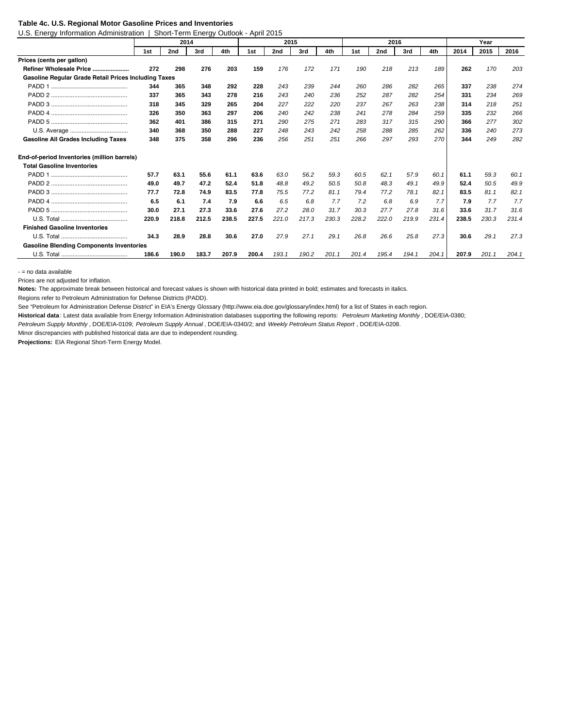#### **Table 4c. U.S. Regional Motor Gasoline Prices and Inventories**

U.S. Energy Information Administration | Short-Term Energy Outlook - April 2015

|                                                      |       | 2014  |       |       |       | 2015  |       |       |       | 2016  |       |       |       | Year  |       |
|------------------------------------------------------|-------|-------|-------|-------|-------|-------|-------|-------|-------|-------|-------|-------|-------|-------|-------|
|                                                      | 1st   | 2nd   | 3rd   | 4th   | 1st   | 2nd   | 3rd   | 4th   | 1st   | 2nd   | 3rd   | 4th   | 2014  | 2015  | 2016  |
| Prices (cents per gallon)                            |       |       |       |       |       |       |       |       |       |       |       |       |       |       |       |
| Refiner Wholesale Price                              | 272   | 298   | 276   | 203   | 159   | 176   | 172   | 171   | 190   | 218   | 213   | 189   | 262   | 170   | 203   |
| Gasoline Regular Grade Retail Prices Including Taxes |       |       |       |       |       |       |       |       |       |       |       |       |       |       |       |
|                                                      | 344   | 365   | 348   | 292   | 228   | 243   | 239   | 244   | 260   | 286   | 282   | 265   | 337   | 238   | 274   |
|                                                      | 337   | 365   | 343   | 278   | 216   | 243   | 240   | 236   | 252   | 287   | 282   | 254   | 331   | 234   | 269   |
|                                                      | 318   | 345   | 329   | 265   | 204   | 227   | 222   | 220   | 237   | 267   | 263   | 238   | 314   | 218   | 251   |
|                                                      | 326   | 350   | 363   | 297   | 206   | 240   | 242   | 238   | 241   | 278   | 284   | 259   | 335   | 232   | 266   |
|                                                      | 362   | 401   | 386   | 315   | 271   | 290   | 275   | 271   | 283   | 317   | 315   | 290   | 366   | 277   | 302   |
|                                                      | 340   | 368   | 350   | 288   | 227   | 248   | 243   | 242   | 258   | 288   | 285   | 262   | 336   | 240   | 273   |
| <b>Gasoline All Grades Including Taxes</b>           | 348   | 375   | 358   | 296   | 236   | 256   | 251   | 251   | 266   | 297   | 293   | 270   | 344   | 249   | 282   |
| End-of-period Inventories (million barrels)          |       |       |       |       |       |       |       |       |       |       |       |       |       |       |       |
| <b>Total Gasoline Inventories</b>                    |       |       |       |       |       |       |       |       |       |       |       |       |       |       |       |
|                                                      | 57.7  | 63.1  | 55.6  | 61.1  | 63.6  | 63.0  | 56.2  | 59.3  | 60.5  | 62.1  | 57.9  | 60.1  | 61.1  | 59.3  | 60.1  |
|                                                      | 49.0  | 49.7  | 47.2  | 52.4  | 51.8  | 48.8  | 49.2  | 50.5  | 50.8  | 48.3  | 49.1  | 49.9  | 52.4  | 50.5  | 49.9  |
|                                                      | 77.7  | 72.8  | 74.9  | 83.5  | 77.8  | 75.5  | 77.2  | 81.1  | 79.4  | 77.2  | 78.1  | 82.1  | 83.5  | 81.1  | 82.1  |
|                                                      | 6.5   | 6.1   | 7.4   | 7.9   | 6.6   | 6.5   | 6.8   | 7.7   | 7.2   | 6.8   | 6.9   | 7.7   | 7.9   | 7.7   | 7.7   |
|                                                      | 30.0  | 27.1  | 27.3  | 33.6  | 27.6  | 27.2  | 28.0  | 31.7  | 30.3  | 27.7  | 27.8  | 31.6  | 33.6  | 31.7  | 31.6  |
|                                                      | 220.9 | 218.8 | 212.5 | 238.5 | 227.5 | 221.0 | 217.3 | 230.3 | 228.2 | 222.0 | 219.9 | 231.4 | 238.5 | 230.3 | 231.4 |
| <b>Finished Gasoline Inventories</b>                 |       |       |       |       |       |       |       |       |       |       |       |       |       |       |       |
|                                                      | 34.3  | 28.9  | 28.8  | 30.6  | 27.0  | 27.9  | 27.1  | 29.1  | 26.8  | 26.6  | 25.8  | 27.3  | 30.6  | 29.1  | 27.3  |
| <b>Gasoline Blending Components Inventories</b>      |       |       |       |       |       |       |       |       |       |       |       |       |       |       |       |
|                                                      | 186.6 | 190.0 | 183.7 | 207.9 | 200.4 | 193.1 | 190.2 | 201.1 | 201.4 | 195.4 | 194.1 | 204.1 | 207.9 | 201.1 | 204.1 |

- = no data available

Prices are not adjusted for inflation.

**Notes:** The approximate break between historical and forecast values is shown with historical data printed in bold; estimates and forecasts in italics.

Regions refer to Petroleum Administration for Defense Districts (PADD).

See "Petroleum for Administration Defense District" in EIA's Energy Glossary (http://www.eia.doe.gov/glossary/index.html) for a list of States in each region.

**Historical data** : Latest data available from Energy Information Administration databases supporting the following reports: *Petroleum Marketing Monthly* , DOE/EIA-0380;

*Petroleum Supply Monthly* , DOE/EIA-0109; *Petroleum Supply Annual* , DOE/EIA-0340/2; and *Weekly Petroleum Status Report* , DOE/EIA-0208.

Minor discrepancies with published historical data are due to independent rounding.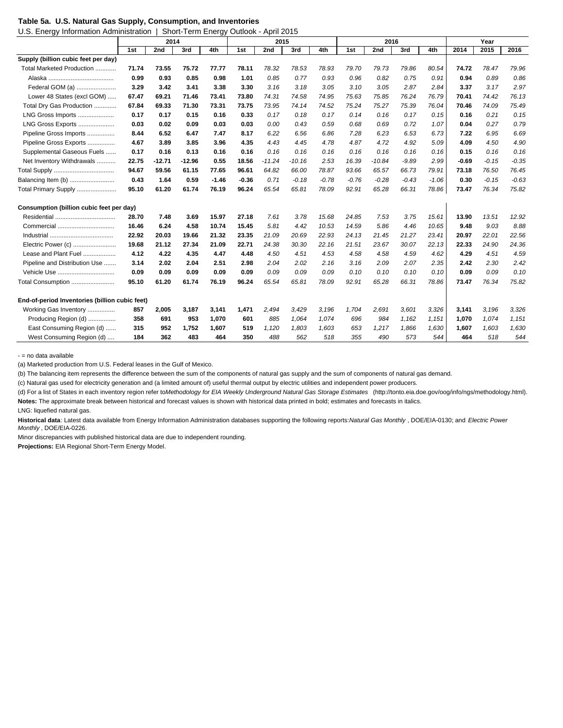|  |  | Table 5a. U.S. Natural Gas Supply, Consumption, and Inventories |  |  |
|--|--|-----------------------------------------------------------------|--|--|
|  |  |                                                                 |  |  |

U.S. Energy Information Administration | Short-Term Energy Outlook - April 2015

| ້                                              |       | 2014     |          |         |         | 2015     |          |         |         | 2016     |         |         |         | Year    |         |
|------------------------------------------------|-------|----------|----------|---------|---------|----------|----------|---------|---------|----------|---------|---------|---------|---------|---------|
|                                                | 1st   | 2nd      | 3rd      | 4th     | 1st     | 2nd      | 3rd      | 4th     | 1st     | 2nd      | 3rd     | 4th     | 2014    | 2015    | 2016    |
| Supply (billion cubic feet per day)            |       |          |          |         |         |          |          |         |         |          |         |         |         |         |         |
| Total Marketed Production                      | 71.74 | 73.55    | 75.72    | 77.77   | 78.11   | 78.32    | 78.53    | 78.93   | 79.70   | 79.73    | 79.86   | 80.54   | 74.72   | 78.47   | 79.96   |
|                                                | 0.99  | 0.93     | 0.85     | 0.98    | 1.01    | 0.85     | 0.77     | 0.93    | 0.96    | 0.82     | 0.75    | 0.91    | 0.94    | 0.89    | 0.86    |
| Federal GOM (a)                                | 3.29  | 3.42     | 3.41     | 3.38    | 3.30    | 3.16     | 3.18     | 3.05    | 3.10    | 3.05     | 2.87    | 2.84    | 3.37    | 3.17    | 2.97    |
| Lower 48 States (excl GOM)                     | 67.47 | 69.21    | 71.46    | 73.41   | 73.80   | 74.31    | 74.58    | 74.95   | 75.63   | 75.85    | 76.24   | 76.79   | 70.41   | 74.42   | 76.13   |
| Total Dry Gas Production                       | 67.84 | 69.33    | 71.30    | 73.31   | 73.75   | 73.95    | 74.14    | 74.52   | 75.24   | 75.27    | 75.39   | 76.04   | 70.46   | 74.09   | 75.49   |
| LNG Gross Imports                              | 0.17  | 0.17     | 0.15     | 0.16    | 0.33    | 0.17     | 0.18     | 0.17    | 0.14    | 0.16     | 0.17    | 0.15    | 0.16    | 0.21    | 0.15    |
| LNG Gross Exports                              | 0.03  | 0.02     | 0.09     | 0.03    | 0.03    | 0.00     | 0.43     | 0.59    | 0.68    | 0.69     | 0.72    | 1.07    | 0.04    | 0.27    | 0.79    |
| Pipeline Gross Imports                         | 8.44  | 6.52     | 6.47     | 7.47    | 8.17    | 6.22     | 6.56     | 6.86    | 7.28    | 6.23     | 6.53    | 6.73    | 7.22    | 6.95    | 6.69    |
| Pipeline Gross Exports                         | 4.67  | 3.89     | 3.85     | 3.96    | 4.35    | 4.43     | 4.45     | 4.78    | 4.87    | 4.72     | 4.92    | 5.09    | 4.09    | 4.50    | 4.90    |
| Supplemental Gaseous Fuels                     | 0.17  | 0.16     | 0.13     | 0.16    | 0.16    | 0.16     | 0.16     | 0.16    | 0.16    | 0.16     | 0.16    | 0.16    | 0.15    | 0.16    | 0.16    |
| Net Inventory Withdrawals                      | 22.75 | $-12.71$ | $-12.96$ | 0.55    | 18.56   | $-11.24$ | $-10.16$ | 2.53    | 16.39   | $-10.84$ | $-9.89$ | 2.99    | $-0.69$ | $-0.15$ | $-0.35$ |
|                                                | 94.67 | 59.56    | 61.15    | 77.65   | 96.61   | 64.82    | 66.00    | 78.87   | 93.66   | 65.57    | 66.73   | 79.91   | 73.18   | 76.50   | 76.45   |
| Balancing Item (b)                             | 0.43  | 1.64     | 0.59     | $-1.46$ | $-0.36$ | 0.71     | $-0.18$  | $-0.78$ | $-0.76$ | $-0.28$  | $-0.43$ | $-1.06$ | 0.30    | $-0.15$ | $-0.63$ |
| Total Primary Supply                           | 95.10 | 61.20    | 61.74    | 76.19   | 96.24   | 65.54    | 65.81    | 78.09   | 92.91   | 65.28    | 66.31   | 78.86   | 73.47   | 76.34   | 75.82   |
| Consumption (billion cubic feet per day)       |       |          |          |         |         |          |          |         |         |          |         |         |         |         |         |
| Residential                                    | 28.70 | 7.48     | 3.69     | 15.97   | 27.18   | 7.61     | 3.78     | 15.68   | 24.85   | 7.53     | 3.75    | 15.61   | 13.90   | 13.51   | 12.92   |
|                                                | 16.46 | 6.24     | 4.58     | 10.74   | 15.45   | 5.81     | 4.42     | 10.53   | 14.59   | 5.86     | 4.46    | 10.65   | 9.48    | 9.03    | 8.88    |
|                                                | 22.92 | 20.03    | 19.66    | 21.32   | 23.35   | 21.09    | 20.69    | 22.93   | 24.13   | 21.45    | 21.27   | 23.41   | 20.97   | 22.01   | 22.56   |
| Electric Power (c)                             | 19.68 | 21.12    | 27.34    | 21.09   | 22.71   | 24.38    | 30.30    | 22.16   | 21.51   | 23.67    | 30.07   | 22.13   | 22.33   | 24.90   | 24.36   |
| Lease and Plant Fuel                           | 4.12  | 4.22     | 4.35     | 4.47    | 4.48    | 4.50     | 4.51     | 4.53    | 4.58    | 4.58     | 4.59    | 4.62    | 4.29    | 4.51    | 4.59    |
| Pipeline and Distribution Use                  | 3.14  | 2.02     | 2.04     | 2.51    | 2.98    | 2.04     | 2.02     | 2.16    | 3.16    | 2.09     | 2.07    | 2.35    | 2.42    | 2.30    | 2.42    |
|                                                | 0.09  | 0.09     | 0.09     | 0.09    | 0.09    | 0.09     | 0.09     | 0.09    | 0.10    | 0.10     | 0.10    | 0.10    | 0.09    | 0.09    | 0.10    |
| Total Consumption                              | 95.10 | 61.20    | 61.74    | 76.19   | 96.24   | 65.54    | 65.81    | 78.09   | 92.91   | 65.28    | 66.31   | 78.86   | 73.47   | 76.34   | 75.82   |
| End-of-period Inventories (billion cubic feet) |       |          |          |         |         |          |          |         |         |          |         |         |         |         |         |
| Working Gas Inventory                          | 857   | 2,005    | 3,187    | 3,141   | 1,471   | 2,494    | 3,429    | 3,196   | 1,704   | 2,691    | 3,601   | 3,326   | 3,141   | 3,196   | 3,326   |
| Producing Region (d)                           | 358   | 691      | 953      | 1,070   | 601     | 885      | 1,064    | 1,074   | 696     | 984      | 1,162   | 1,151   | 1,070   | 1,074   | 1,151   |
| East Consuming Region (d)                      | 315   | 952      | 1,752    | 1,607   | 519     | 1,120    | 1,803    | 1,603   | 653     | 1,217    | 1,866   | 1,630   | 1,607   | 1,603   | 1,630   |
| West Consuming Region (d)                      | 184   | 362      | 483      | 464     | 350     | 488      | 562      | 518     | 355     | 490      | 573     | 544     | 464     | 518     | 544     |

- = no data available

(a) Marketed production from U.S. Federal leases in the Gulf of Mexico.

(b) The balancing item represents the difference between the sum of the components of natural gas supply and the sum of components of natural gas demand.

(c) Natural gas used for electricity generation and (a limited amount of) useful thermal output by electric utilities and independent power producers.

(d) For a list of States in each inventory region refer to *Methodology for EIA Weekly Underground Natural Gas Storage Estimates* (http://tonto.eia.doe.gov/oog/info/ngs/methodology.html). **Notes:** The approximate break between historical and forecast values is shown with historical data printed in bold; estimates and forecasts in italics.

LNG: liquefied natural gas.

**Historical data**: Latest data available from Energy Information Administration databases supporting the following reports: *Natural Gas Monthly* , DOE/EIA-0130; and *Electric Power Monthly* , DOE/EIA-0226.

Minor discrepancies with published historical data are due to independent rounding.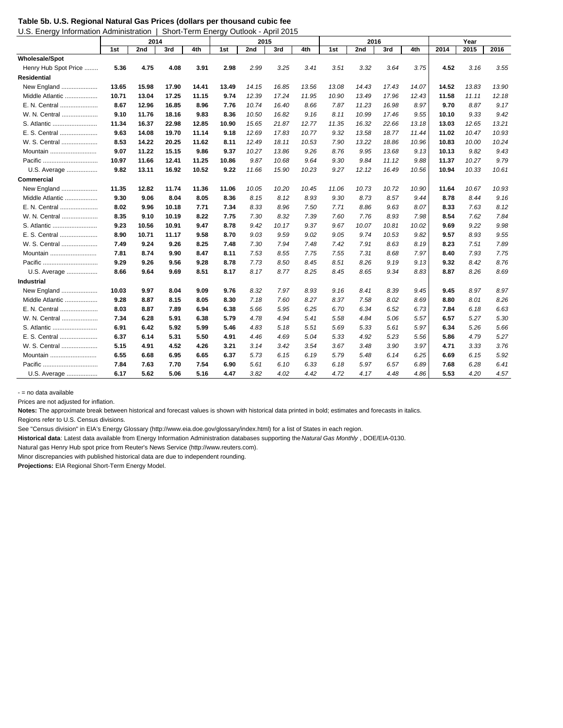**Table 5b. U.S. Regional Natural Gas Prices (dollars per thousand cubic feet**

| U.S. Energy Information Administration |       | Short-Term Energy Outlook - April 2015 |       |       |       |       |       |       |       |       |       |       |       |       |       |
|----------------------------------------|-------|----------------------------------------|-------|-------|-------|-------|-------|-------|-------|-------|-------|-------|-------|-------|-------|
|                                        |       | 2014                                   |       |       |       | 2015  |       |       |       | 2016  |       |       |       | Year  |       |
|                                        | 1st   | 2nd                                    | 3rd   | 4th   | 1st   | 2nd   | 3rd   | 4th   | 1st   | 2nd   | 3rd   | 4th   | 2014  | 2015  | 2016  |
| <b>Wholesale/Spot</b>                  |       |                                        |       |       |       |       |       |       |       |       |       |       |       |       |       |
| Henry Hub Spot Price                   | 5.36  | 4.75                                   | 4.08  | 3.91  | 2.98  | 2.99  | 3.25  | 3.41  | 3.51  | 3.32  | 3.64  | 3.75  | 4.52  | 3.16  | 3.55  |
| <b>Residential</b>                     |       |                                        |       |       |       |       |       |       |       |       |       |       |       |       |       |
| New England                            | 13.65 | 15.98                                  | 17.90 | 14.41 | 13.49 | 14.15 | 16.85 | 13.56 | 13.08 | 14.43 | 17.43 | 14.07 | 14.52 | 13.83 | 13.90 |
| Middle Atlantic                        | 10.71 | 13.04                                  | 17.25 | 11.15 | 9.74  | 12.39 | 17.24 | 11.95 | 10.90 | 13.49 | 17.96 | 12.43 | 11.58 | 11.11 | 12.18 |
| E. N. Central                          | 8.67  | 12.96                                  | 16.85 | 8.96  | 7.76  | 10.74 | 16.40 | 8.66  | 7.87  | 11.23 | 16.98 | 8.97  | 9.70  | 8.87  | 9.17  |
| W. N. Central                          | 9.10  | 11.76                                  | 18.16 | 9.83  | 8.36  | 10.50 | 16.82 | 9.16  | 8.11  | 10.99 | 17.46 | 9.55  | 10.10 | 9.33  | 9.42  |
| S. Atlantic                            | 11.34 | 16.37                                  | 22.98 | 12.85 | 10.90 | 15.65 | 21.87 | 12.77 | 11.35 | 16.32 | 22.66 | 13.18 | 13.03 | 12.65 | 13.21 |
| E. S. Central                          | 9.63  | 14.08                                  | 19.70 | 11.14 | 9.18  | 12.69 | 17.83 | 10.77 | 9.32  | 13.58 | 18.77 | 11.44 | 11.02 | 10.47 | 10.93 |
| W. S. Central                          | 8.53  | 14.22                                  | 20.25 | 11.62 | 8.11  | 12.49 | 18.11 | 10.53 | 7.90  | 13.22 | 18.86 | 10.96 | 10.83 | 10.00 | 10.24 |
| Mountain                               | 9.07  | 11.22                                  | 15.15 | 9.86  | 9.37  | 10.27 | 13.86 | 9.26  | 8.76  | 9.95  | 13.68 | 9.13  | 10.13 | 9.82  | 9.43  |
|                                        | 10.97 | 11.66                                  | 12.41 | 11.25 | 10.86 | 9.87  | 10.68 | 9.64  | 9.30  | 9.84  | 11.12 | 9.88  | 11.37 | 10.27 | 9.79  |
| U.S. Average                           | 9.82  | 13.11                                  | 16.92 | 10.52 | 9.22  | 11.66 | 15.90 | 10.23 | 9.27  | 12.12 | 16.49 | 10.56 | 10.94 | 10.33 | 10.61 |
| Commercial                             |       |                                        |       |       |       |       |       |       |       |       |       |       |       |       |       |
| New England                            | 11.35 | 12.82                                  | 11.74 | 11.36 | 11.06 | 10.05 | 10.20 | 10.45 | 11.06 | 10.73 | 10.72 | 10.90 | 11.64 | 10.67 | 10.93 |
| Middle Atlantic                        | 9.30  | 9.06                                   | 8.04  | 8.05  | 8.36  | 8.15  | 8.12  | 8.93  | 9.30  | 8.73  | 8.57  | 9.44  | 8.78  | 8.44  | 9.16  |
| E. N. Central                          | 8.02  | 9.96                                   | 10.18 | 7.71  | 7.34  | 8.33  | 8.96  | 7.50  | 7.71  | 8.86  | 9.63  | 8.07  | 8.33  | 7.63  | 8.12  |
| W. N. Central                          | 8.35  | 9.10                                   | 10.19 | 8.22  | 7.75  | 7.30  | 8.32  | 7.39  | 7.60  | 7.76  | 8.93  | 7.98  | 8.54  | 7.62  | 7.84  |
| S. Atlantic                            | 9.23  | 10.56                                  | 10.91 | 9.47  | 8.78  | 9.42  | 10.17 | 9.37  | 9.67  | 10.07 | 10.81 | 10.02 | 9.69  | 9.22  | 9.98  |
| E. S. Central                          | 8.90  | 10.71                                  | 11.17 | 9.58  | 8.70  | 9.03  | 9.59  | 9.02  | 9.05  | 9.74  | 10.53 | 9.82  | 9.57  | 8.93  | 9.55  |
| W. S. Central                          | 7.49  | 9.24                                   | 9.26  | 8.25  | 7.48  | 7.30  | 7.94  | 7.48  | 7.42  | 7.91  | 8.63  | 8.19  | 8.23  | 7.51  | 7.89  |
| Mountain                               | 7.81  | 8.74                                   | 9.90  | 8.47  | 8.11  | 7.53  | 8.55  | 7.75  | 7.55  | 7.31  | 8.68  | 7.97  | 8.40  | 7.93  | 7.75  |
|                                        | 9.29  | 9.26                                   | 9.56  | 9.28  | 8.78  | 7.73  | 8.50  | 8.45  | 8.51  | 8.26  | 9.19  | 9.13  | 9.32  | 8.42  | 8.76  |
| U.S. Average                           | 8.66  | 9.64                                   | 9.69  | 8.51  | 8.17  | 8.17  | 8.77  | 8.25  | 8.45  | 8.65  | 9.34  | 8.83  | 8.87  | 8.26  | 8.69  |
| <b>Industrial</b>                      |       |                                        |       |       |       |       |       |       |       |       |       |       |       |       |       |
| New England                            | 10.03 | 9.97                                   | 8.04  | 9.09  | 9.76  | 8.32  | 7.97  | 8.93  | 9.16  | 8.41  | 8.39  | 9.45  | 9.45  | 8.97  | 8.97  |
| Middle Atlantic                        | 9.28  | 8.87                                   | 8.15  | 8.05  | 8.30  | 7.18  | 7.60  | 8.27  | 8.37  | 7.58  | 8.02  | 8.69  | 8.80  | 8.01  | 8.26  |
| E. N. Central                          | 8.03  | 8.87                                   | 7.89  | 6.94  | 6.38  | 5.66  | 5.95  | 6.25  | 6.70  | 6.34  | 6.52  | 6.73  | 7.84  | 6.18  | 6.63  |
| W. N. Central                          | 7.34  | 6.28                                   | 5.91  | 6.38  | 5.79  | 4.78  | 4.94  | 5.41  | 5.58  | 4.84  | 5.06  | 5.57  | 6.57  | 5.27  | 5.30  |
| S. Atlantic                            | 6.91  | 6.42                                   | 5.92  | 5.99  | 5.46  | 4.83  | 5.18  | 5.51  | 5.69  | 5.33  | 5.61  | 5.97  | 6.34  | 5.26  | 5.66  |
| E. S. Central                          | 6.37  | 6.14                                   | 5.31  | 5.50  | 4.91  | 4.46  | 4.69  | 5.04  | 5.33  | 4.92  | 5.23  | 5.56  | 5.86  | 4.79  | 5.27  |
| W. S. Central                          | 5.15  | 4.91                                   | 4.52  | 4.26  | 3.21  | 3.14  | 3.42  | 3.54  | 3.67  | 3.48  | 3.90  | 3.97  | 4.71  | 3.33  | 3.76  |
| Mountain                               | 6.55  | 6.68                                   | 6.95  | 6.65  | 6.37  | 5.73  | 6.15  | 6.19  | 5.79  | 5.48  | 6.14  | 6.25  | 6.69  | 6.15  | 5.92  |
|                                        | 7.84  | 7.63                                   | 7.70  | 7.54  | 6.90  | 5.61  | 6.10  | 6.33  | 6.18  | 5.97  | 6.57  | 6.89  | 7.68  | 6.28  | 6.41  |
| U.S. Average                           | 6.17  | 5.62                                   | 5.06  | 5.16  | 4.47  | 3.82  | 4.02  | 4.42  | 4.72  | 4.17  | 4.48  | 4.86  | 5.53  | 4.20  | 4.57  |

- = no data available

Prices are not adjusted for inflation.

**Notes:** The approximate break between historical and forecast values is shown with historical data printed in bold; estimates and forecasts in italics.

Regions refer to U.S. Census divisions.

See "Census division" in EIA's Energy Glossary (http://www.eia.doe.gov/glossary/index.html) for a list of States in each region.

**Historical data**: Latest data available from Energy Information Administration databases supporting the *Natural Gas Monthly* , DOE/EIA-0130.

Natural gas Henry Hub spot price from Reuter's News Service (http://www.reuters.com).

Minor discrepancies with published historical data are due to independent rounding.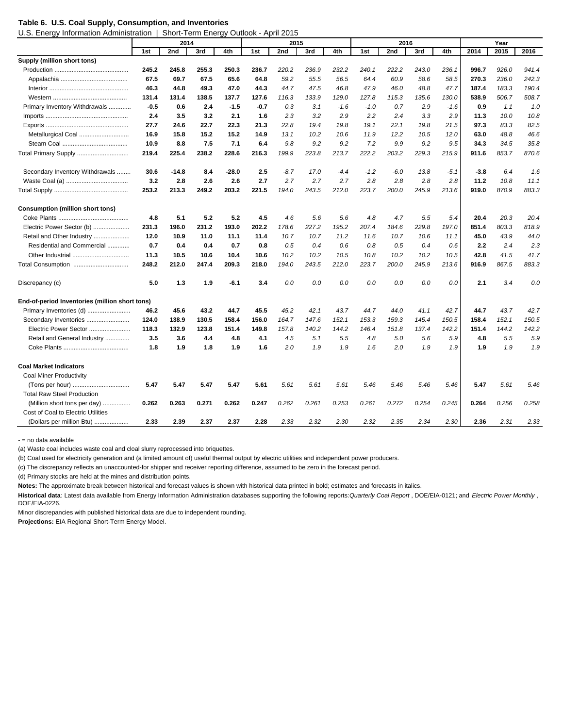## **Table 6. U.S. Coal Supply, Consumption, and Inventories**

U.S. Energy Information Administration | Short-Term Energy Outlook - April 2015

|                                                | 2014   |         |       | 2015  |       |        |       | 2016   |        |        |       | Year   |        |       |       |
|------------------------------------------------|--------|---------|-------|-------|-------|--------|-------|--------|--------|--------|-------|--------|--------|-------|-------|
|                                                | 1st    | 2nd     | 3rd   | 4th   | 1st   | 2nd    | 3rd   | 4th    | 1st    | 2nd    | 3rd   | 4th    | 2014   | 2015  | 2016  |
| Supply (million short tons)                    |        |         |       |       |       |        |       |        |        |        |       |        |        |       |       |
|                                                | 245.2  | 245.8   | 255.3 | 250.3 | 236.7 | 220.2  | 236.9 | 232.2  | 240.1  | 222.2  | 243.0 | 236.1  | 996.7  | 926.0 | 941.4 |
|                                                | 67.5   | 69.7    | 67.5  | 65.6  | 64.8  | 59.2   | 55.5  | 56.5   | 64.4   | 60.9   | 58.6  | 58.5   | 270.3  | 236.0 | 242.3 |
|                                                | 46.3   | 44.8    | 49.3  | 47.0  | 44.3  | 44.7   | 47.5  | 46.8   | 47.9   | 46.0   | 48.8  | 47.7   | 187.4  | 183.3 | 190.4 |
|                                                | 131.4  | 131.4   | 138.5 | 137.7 | 127.6 | 116.3  | 133.9 | 129.0  | 127.8  | 115.3  | 135.6 | 130.0  | 538.9  | 506.7 | 508.7 |
| Primary Inventory Withdrawals                  | $-0.5$ | 0.6     | 2.4   | -1.5  | -0.7  | 0.3    | 3.1   | $-1.6$ | $-1.0$ | 0.7    | 2.9   | $-1.6$ | 0.9    | 1.1   | 1.0   |
|                                                | 2.4    | 3.5     | 3.2   | 2.1   | 1.6   | 2.3    | 3.2   | 2.9    | 2.2    | 2.4    | 3.3   | 2.9    | 11.3   | 10.0  | 10.8  |
|                                                | 27.7   | 24.6    | 22.7  | 22.3  | 21.3  | 22.8   | 19.4  | 19.8   | 19.1   | 22.1   | 19.8  | 21.5   | 97.3   | 83.3  | 82.5  |
| Metallurgical Coal                             | 16.9   | 15.8    | 15.2  | 15.2  | 14.9  | 13.1   | 10.2  | 10.6   | 11.9   | 12.2   | 10.5  | 12.0   | 63.0   | 48.8  | 46.6  |
|                                                | 10.9   | 8.8     | 7.5   | 7.1   | 6.4   | 9.8    | 9.2   | 9.2    | 7.2    | 9.9    | 9.2   | 9.5    | 34.3   | 34.5  | 35.8  |
| Total Primary Supply                           | 219.4  | 225.4   | 238.2 | 228.6 | 216.3 | 199.9  | 223.8 | 213.7  | 222.2  | 203.2  | 229.3 | 215.9  | 911.6  | 853.7 | 870.6 |
| Secondary Inventory Withdrawals                | 30.6   | $-14.8$ | 8.4   | -28.0 | 2.5   | $-8.7$ | 17.0  | $-4.4$ | $-1.2$ | $-6.0$ | 13.8  | -5.1   | $-3.8$ | 6.4   | 1.6   |
|                                                | 3.2    | 2.8     | 2.6   | 2.6   | 2.7   | 2.7    | 2.7   | 2.7    | 2.8    | 2.8    | 2.8   | 2.8    | 11.2   | 10.8  | 11.1  |
|                                                | 253.2  | 213.3   | 249.2 | 203.2 | 221.5 | 194.0  | 243.5 | 212.0  | 223.7  | 200.0  | 245.9 | 213.6  | 919.0  | 870.9 | 883.3 |
| <b>Consumption (million short tons)</b>        |        |         |       |       |       |        |       |        |        |        |       |        |        |       |       |
|                                                | 4.8    | 5.1     | 5.2   | 5.2   | 4.5   | 4.6    | 5.6   | 5.6    | 4.8    | 4.7    | 5.5   | 5.4    | 20.4   | 20.3  | 20.4  |
| Electric Power Sector (b)                      | 231.3  | 196.0   | 231.2 | 193.0 | 202.2 | 178.6  | 227.2 | 195.2  | 207.4  | 184.6  | 229.8 | 197.0  | 851.4  | 803.3 | 818.9 |
| Retail and Other Industry                      | 12.0   | 10.9    | 11.0  | 11.1  | 11.4  | 10.7   | 10.7  | 11.2   | 11.6   | 10.7   | 10.6  | 11.1   | 45.0   | 43.9  | 44.0  |
| Residential and Commercial                     | 0.7    | 0.4     | 0.4   | 0.7   | 0.8   | 0.5    | 0.4   | 0.6    | 0.8    | 0.5    | 0.4   | 0.6    | 2.2    | 2.4   | 2.3   |
|                                                | 11.3   | 10.5    | 10.6  | 10.4  | 10.6  | 10.2   | 10.2  | 10.5   | 10.8   | 10.2   | 10.2  | 10.5   | 42.8   | 41.5  | 41.7  |
|                                                | 248.2  | 212.0   | 247.4 | 209.3 | 218.0 | 194.0  | 243.5 | 212.0  | 223.7  | 200.0  | 245.9 | 213.6  | 916.9  | 867.5 | 883.3 |
| Discrepancy (c)                                | 5.0    | 1.3     | 1.9   | -6.1  | 3.4   | 0.0    | 0.0   | 0.0    | 0.0    | 0.0    | 0.0   | 0.0    | 2.1    | 3.4   | 0.0   |
| End-of-period Inventories (million short tons) |        |         |       |       |       |        |       |        |        |        |       |        |        |       |       |
| Primary Inventories (d)                        | 46.2   | 45.6    | 43.2  | 44.7  | 45.5  | 45.2   | 42.1  | 43.7   | 44.7   | 44.0   | 41.1  | 42.7   | 44.7   | 43.7  | 42.7  |
| Secondary Inventories                          | 124.0  | 138.9   | 130.5 | 158.4 | 156.0 | 164.7  | 147.6 | 152.1  | 153.3  | 159.3  | 145.4 | 150.5  | 158.4  | 152.1 | 150.5 |
| Electric Power Sector                          | 118.3  | 132.9   | 123.8 | 151.4 | 149.8 | 157.8  | 140.2 | 144.2  | 146.4  | 151.8  | 137.4 | 142.2  | 151.4  | 144.2 | 142.2 |
| Retail and General Industry                    | 3.5    | 3.6     | 4.4   | 4.8   | 4.1   | 4.5    | 5.1   | 5.5    | 4.8    | 5.0    | 5.6   | 5.9    | 4.8    | 5.5   | 5.9   |
|                                                | 1.8    | 1.9     | 1.8   | 1.9   | 1.6   | 2.0    | 1.9   | 1.9    | 1.6    | 2.0    | 1.9   | 1.9    | 1.9    | 1.9   | 1.9   |
| <b>Coal Market Indicators</b>                  |        |         |       |       |       |        |       |        |        |        |       |        |        |       |       |
| <b>Coal Miner Productivity</b>                 |        |         |       |       |       |        |       |        |        |        |       |        |        |       |       |
|                                                | 5.47   | 5.47    | 5.47  | 5.47  | 5.61  | 5.61   | 5.61  | 5.61   | 5.46   | 5.46   | 5.46  | 5.46   | 5.47   | 5.61  | 5.46  |
| <b>Total Raw Steel Production</b>              |        |         |       |       |       |        |       |        |        |        |       |        |        |       |       |
| (Million short tons per day)<br>.              | 0.262  | 0.263   | 0.271 | 0.262 | 0.247 | 0.262  | 0.261 | 0.253  | 0.261  | 0.272  | 0.254 | 0.245  | 0.264  | 0.256 | 0.258 |
| Cost of Coal to Electric Utilities             |        |         |       |       |       |        |       |        |        |        |       |        |        |       |       |
| (Dollars per million Btu)                      | 2.33   | 2.39    | 2.37  | 2.37  | 2.28  | 2.33   | 2.32  | 2.30   | 2.32   | 2.35   | 2.34  | 2.30   | 2.36   | 2.31  | 2.33  |

- = no data available

(a) Waste coal includes waste coal and cloal slurry reprocessed into briquettes.

(b) Coal used for electricity generation and (a limited amount of) useful thermal output by electric utilities and independent power producers.

(c) The discrepancy reflects an unaccounted-for shipper and receiver reporting difference, assumed to be zero in the forecast period.

(d) Primary stocks are held at the mines and distribution points.

**Notes:** The approximate break between historical and forecast values is shown with historical data printed in bold; estimates and forecasts in italics.

**Historical data**: Latest data available from Energy Information Administration databases supporting the following reports: *Quarterly Coal Report* , DOE/EIA-0121; and *Electric Power Monthly* , DOE/EIA-0226.

Minor discrepancies with published historical data are due to independent rounding.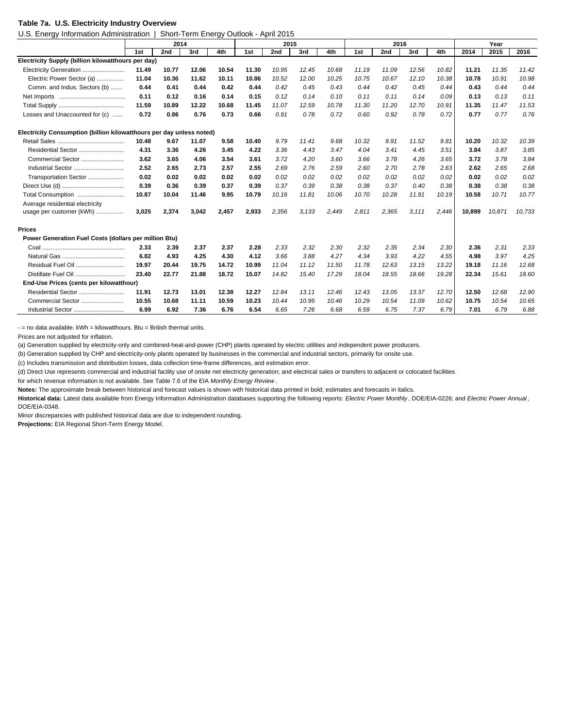#### **Table 7a. U.S. Electricity Industry Overview**

U.S. Energy Information Administration | Short-Term Energy Outlook - April 2015

|                                                                      | 2014  |       |       | 2015  |       |       |       | 2016  |       |       |       | Year  |        |        |        |
|----------------------------------------------------------------------|-------|-------|-------|-------|-------|-------|-------|-------|-------|-------|-------|-------|--------|--------|--------|
|                                                                      | 1st   | 2nd   | 3rd   | 4th   | 1st   | 2nd   | 3rd   | 4th   | 1st   | 2nd   | 3rd   | 4th   | 2014   | 2015   | 2016   |
| Electricity Supply (billion kilowatthours per day)                   |       |       |       |       |       |       |       |       |       |       |       |       |        |        |        |
| Electricity Generation                                               | 11.49 | 10.77 | 12.06 | 10.54 | 11.30 | 10.95 | 12.45 | 10.68 | 11.19 | 11.09 | 12.56 | 10.82 | 11.21  | 11.35  | 11.42  |
| Electric Power Sector (a)                                            | 11.04 | 10.36 | 11.62 | 10.11 | 10.86 | 10.52 | 12.00 | 10.25 | 10.75 | 10.67 | 12.10 | 10.38 | 10.78  | 10.91  | 10.98  |
| Comm. and Indus. Sectors (b)                                         | 0.44  | 0.41  | 0.44  | 0.42  | 0.44  | 0.42  | 0.45  | 0.43  | 0.44  | 0.42  | 0.45  | 0.44  | 0.43   | 0.44   | 0.44   |
|                                                                      | 0.11  | 0.12  | 0.16  | 0.14  | 0.15  | 0.12  | 0.14  | 0.10  | 0.11  | 0.11  | 0.14  | 0.09  | 0.13   | 0.13   | 0.11   |
|                                                                      | 11.59 | 10.89 | 12.22 | 10.68 | 11.45 | 11.07 | 12.59 | 10.78 | 11.30 | 11.20 | 12.70 | 10.91 | 11.35  | 11.47  | 11.53  |
| Losses and Unaccounted for (c)                                       | 0.72  | 0.86  | 0.76  | 0.73  | 0.66  | 0.91  | 0.78  | 0.72  | 0.60  | 0.92  | 0.78  | 0.72  | 0.77   | 0.77   | 0.76   |
| Electricity Consumption (billion kilowatthours per day unless noted) |       |       |       |       |       |       |       |       |       |       |       |       |        |        |        |
|                                                                      | 10.48 | 9.67  | 11.07 | 9.58  | 10.40 | 9.79  | 11.41 | 9.68  | 10.32 | 9.91  | 11.52 | 9.81  | 10.20  | 10.32  | 10.39  |
|                                                                      | 4.31  | 3.36  | 4.26  | 3.45  | 4.22  | 3.36  | 4.43  | 3.47  | 4.04  | 3.41  | 4.45  | 3.51  | 3.84   | 3.87   | 3.85   |
| Commercial Sector                                                    | 3.62  | 3.65  | 4.06  | 3.54  | 3.61  | 3.72  | 4.20  | 3.60  | 3.66  | 3.78  | 4.26  | 3.65  | 3.72   | 3.78   | 3.84   |
| Industrial Sector                                                    | 2.52  | 2.65  | 2.73  | 2.57  | 2.55  | 2.69  | 2.76  | 2.59  | 2.60  | 2.70  | 2.78  | 2.63  | 2.62   | 2.65   | 2.68   |
| Transportation Sector                                                | 0.02  | 0.02  | 0.02  | 0.02  | 0.02  | 0.02  | 0.02  | 0.02  | 0.02  | 0.02  | 0.02  | 0.02  | 0.02   | 0.02   | 0.02   |
|                                                                      | 0.39  | 0.36  | 0.39  | 0.37  | 0.39  | 0.37  | 0.39  | 0.38  | 0.38  | 0.37  | 0.40  | 0.38  | 0.38   | 0.38   | 0.38   |
| Total Consumption                                                    | 10.87 | 10.04 | 11.46 | 9.95  | 10.79 | 10.16 | 11.81 | 10.06 | 10.70 | 10.28 | 11.91 | 10.19 | 10.58  | 10.71  | 10.77  |
| Average residential electricity                                      |       |       |       |       |       |       |       |       |       |       |       |       |        |        |        |
| usage per customer (kWh)                                             | 3,025 | 2,374 | 3,042 | 2,457 | 2,933 | 2,356 | 3,133 | 2,449 | 2,811 | 2,365 | 3,111 | 2.446 | 10,899 | 10,871 | 10,733 |
| <b>Prices</b>                                                        |       |       |       |       |       |       |       |       |       |       |       |       |        |        |        |
| Power Generation Fuel Costs (dollars per million Btu)                |       |       |       |       |       |       |       |       |       |       |       |       |        |        |        |
|                                                                      | 2.33  | 2.39  | 2.37  | 2.37  | 2.28  | 2.33  | 2.32  | 2.30  | 2.32  | 2.35  | 2.34  | 2.30  | 2.36   | 2.31   | 2.33   |
|                                                                      | 6.82  | 4.93  | 4.25  | 4.30  | 4.12  | 3.66  | 3.88  | 4.27  | 4.34  | 3.93  | 4.22  | 4.55  | 4.98   | 3.97   | 4.25   |
| Residual Fuel Oil                                                    | 19.97 | 20.44 | 19.75 | 14.72 | 10.99 | 11.04 | 11.12 | 11.50 | 11.78 | 12.63 | 13.15 | 13.22 | 19.18  | 11.16  | 12.68  |
| Distillate Fuel Oil                                                  | 23.40 | 22.77 | 21.88 | 18.72 | 15.07 | 14.82 | 15.40 | 17.29 | 18.04 | 18.55 | 18.66 | 19.28 | 22.34  | 15.61  | 18.60  |
| End-Use Prices (cents per kilowatthour)                              |       |       |       |       |       |       |       |       |       |       |       |       |        |        |        |
| Residential Sector                                                   | 11.91 | 12.73 | 13.01 | 12.38 | 12.27 | 12.84 | 13.11 | 12.46 | 12.43 | 13.05 | 13.37 | 12.70 | 12.50  | 12.68  | 12.90  |
| Commercial Sector                                                    | 10.55 | 10.68 | 11.11 | 10.59 | 10.23 | 10.44 | 10.95 | 10.46 | 10.29 | 10.54 | 11.09 | 10.62 | 10.75  | 10.54  | 10.65  |
|                                                                      | 6.99  | 6.92  | 7.36  | 6.76  | 6.54  | 6.65  | 7.26  | 6.68  | 6.59  | 6.75  | 7.37  | 6.79  | 7.01   | 6.79   | 6.88   |

 $-$  = no data available.  $kWh = kilowatthours$ . Btu = British thermal units.

Prices are not adjusted for inflation.

(a) Generation supplied by electricity-only and combined-heat-and-power (CHP) plants operated by electric utilities and independent power producers.

(b) Generation supplied by CHP and electricity-only plants operated by businesses in the commercial and industrial sectors, primarily for onsite use.

(c) Includes transmission and distribution losses, data collection time-frame differences, and estimation error.

(d) Direct Use represents commercial and industrial facility use of onsite net electricity generation; and electrical sales or transfers to adjacent or colocated facilities

for which revenue information is not available. See Table 7.6 of the EIA *Monthly Energy Review* .

**Notes:** The approximate break between historical and forecast values is shown with historical data printed in bold; estimates and forecasts in italics.

**Historical data:** Latest data available from Energy Information Administration databases supporting the following reports: *Electric Power Monthly* , DOE/EIA-0226; and *Electric Power Annual* , DOE/EIA-0348.

Minor discrepancies with published historical data are due to independent rounding.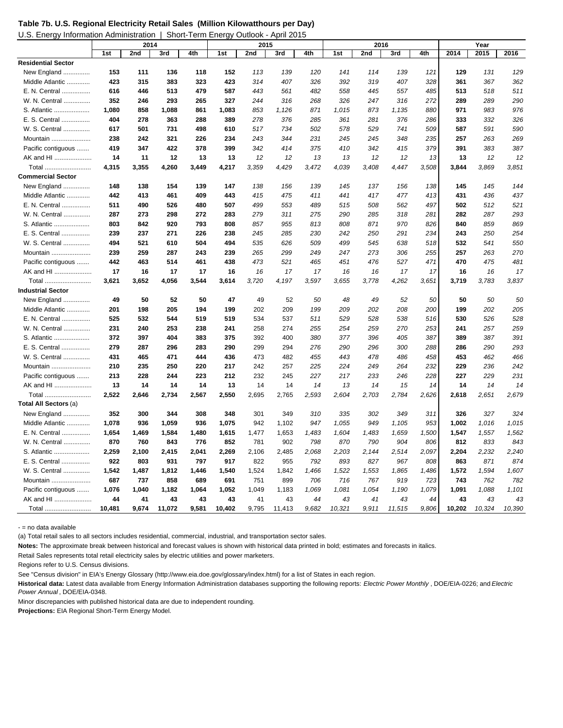| Table 7b. U.S. Regional Electricity Retail Sales (Million Kilowatthours per Day) |  |  |  |
|----------------------------------------------------------------------------------|--|--|--|
|                                                                                  |  |  |  |

| U.S. Energy Information Administration   Short-Term Energy Outlook - April 2015 |
|---------------------------------------------------------------------------------|
|                                                                                 |

|                           |        | 2014  |        |       |        |       | 2015   |       | 2016   |       |        |       | Year   |        |        |
|---------------------------|--------|-------|--------|-------|--------|-------|--------|-------|--------|-------|--------|-------|--------|--------|--------|
|                           | 1st    | 2nd   | 3rd    | 4th   | 1st    | 2nd   | 3rd    | 4th   | 1st    | 2nd   | 3rd    | 4th   | 2014   | 2015   | 2016   |
| <b>Residential Sector</b> |        |       |        |       |        |       |        |       |        |       |        |       |        |        |        |
| New England               | 153    | 111   | 136    | 118   | 152    | 113   | 139    | 120   | 141    | 114   | 139    | 121   | 129    | 131    | 129    |
| Middle Atlantic           | 423    | 315   | 383    | 323   | 423    | 314   | 407    | 326   | 392    | 319   | 407    | 328   | 361    | 367    | 362    |
| E. N. Central             | 616    | 446   | 513    | 479   | 587    | 443   | 561    | 482   | 558    | 445   | 557    | 485   | 513    | 518    | 511    |
| W. N. Central             | 352    | 246   | 293    | 265   | 327    | 244   | 316    | 268   | 326    | 247   | 316    | 272   | 289    | 289    | 290    |
| S. Atlantic               | 1,080  | 858   | 1,088  | 861   | 1,083  | 853   | 1,126  | 871   | 1,015  | 873   | 1,135  | 880   | 971    | 983    | 976    |
| E. S. Central             | 404    | 278   | 363    | 288   | 389    | 278   | 376    | 285   | 361    | 281   | 376    | 286   | 333    | 332    | 326    |
| W. S. Central             | 617    | 501   | 731    | 498   | 610    | 517   | 734    | 502   | 578    | 529   | 741    | 509   | 587    | 591    | 590    |
| Mountain                  | 238    | 242   | 321    | 226   | 234    | 243   | 344    | 231   | 245    | 245   | 348    | 235   | 257    | 263    | 269    |
| Pacific contiguous        | 419    | 347   | 422    | 378   | 399    | 342   | 414    | 375   | 410    | 342   | 415    | 379   | 391    | 383    | 387    |
| AK and HI                 | 14     | 11    | 12     | 13    | 13     | 12    | 12     | 13    | 13     | 12    | 12     | 13    | 13     | 12     | 12     |
| Total                     | 4,315  | 3,355 | 4,260  | 3,449 | 4,217  | 3,359 | 4,429  | 3,472 | 4,039  | 3,408 | 4,447  | 3,508 | 3,844  | 3,869  | 3,851  |
| <b>Commercial Sector</b>  |        |       |        |       |        |       |        |       |        |       |        |       |        |        |        |
| New England               | 148    | 138   | 154    | 139   | 147    | 138   | 156    | 139   | 145    | 137   | 156    | 138   | 145    | 145    | 144    |
| Middle Atlantic           | 442    | 413   | 461    | 409   | 443    | 415   | 475    | 411   | 441    | 417   | 477    | 413   | 431    | 436    | 437    |
| E. N. Central             | 511    | 490   | 526    | 480   | 507    | 499   | 553    | 489   | 515    | 508   | 562    | 497   | 502    | 512    | 521    |
| W. N. Central             | 287    | 273   | 298    | 272   | 283    | 279   | 311    | 275   | 290    | 285   | 318    | 281   | 282    | 287    | 293    |
| S. Atlantic               | 803    | 842   | 920    | 793   | 808    | 857   | 955    | 813   | 808    | 871   | 970    | 826   | 840    | 859    | 869    |
| E. S. Central             | 239    | 237   | 271    | 226   | 238    | 245   | 285    | 230   | 242    | 250   | 291    | 234   | 243    | 250    | 254    |
| W. S. Central             | 494    | 521   | 610    | 504   | 494    | 535   | 626    | 509   | 499    | 545   | 638    | 518   | 532    | 541    | 550    |
| Mountain                  | 239    | 259   | 287    | 243   | 239    | 265   | 299    | 249   | 247    | 273   | 306    | 255   | 257    | 263    | 270    |
| Pacific contiguous        | 442    | 463   | 514    | 461   | 438    | 473   | 521    | 465   | 451    | 476   | 527    | 471   | 470    | 475    | 481    |
| AK and HI                 | 17     | 16    | 17     | 17    | 16     | 16    | 17     | 17    | 16     | 16    | 17     | 17    | 16     | 16     | 17     |
| Total                     | 3,621  | 3,652 | 4,056  | 3,544 | 3,614  | 3,720 | 4,197  | 3,597 | 3,655  | 3,778 | 4,262  | 3,651 | 3,719  | 3,783  | 3,837  |
| <b>Industrial Sector</b>  |        |       |        |       |        |       |        |       |        |       |        |       |        |        |        |
| New England               | 49     | 50    | 52     | 50    | 47     | 49    | 52     | 50    | 48     | 49    | 52     | 50    | 50     | 50     | 50     |
| Middle Atlantic           | 201    | 198   | 205    | 194   | 199    | 202   | 209    | 199   | 209    | 202   | 208    | 200   | 199    | 202    | 205    |
| E. N. Central             | 525    | 532   | 544    | 519   | 519    | 534   | 537    | 511   | 529    | 528   | 538    | 516   | 530    | 526    | 528    |
| W. N. Central             | 231    | 240   | 253    | 238   | 241    | 258   | 274    | 255   | 254    | 259   | 270    | 253   | 241    | 257    | 259    |
| S. Atlantic               | 372    | 397   | 404    | 383   | 375    | 392   | 400    | 380   | 377    | 396   | 405    | 387   | 389    | 387    | 391    |
| E. S. Central             | 279    | 287   | 296    | 283   | 290    | 299   | 294    | 276   | 290    | 296   | 300    | 288   | 286    | 290    | 293    |
| W. S. Central             | 431    | 465   | 471    | 444   | 436    | 473   | 482    | 455   | 443    | 478   | 486    | 458   | 453    | 462    | 466    |
| Mountain                  | 210    | 235   | 250    | 220   | 217    | 242   | 257    | 225   | 224    | 249   | 264    | 232   | 229    | 236    | 242    |
| Pacific contiguous        | 213    | 228   | 244    | 223   | 212    | 232   | 245    | 227   | 217    | 233   | 246    | 228   | 227    | 229    | 231    |
| AK and HI                 | 13     | 14    | 14     | 14    | 13     | 14    | 14     | 14    | 13     | 14    | 15     | 14    | 14     | 14     | 14     |
| Total                     | 2,522  | 2,646 | 2,734  | 2,567 | 2,550  | 2,695 | 2,765  | 2,593 | 2,604  | 2,703 | 2,784  | 2,626 | 2,618  | 2,651  | 2,679  |
| Total All Sectors (a)     |        |       |        |       |        |       |        |       |        |       |        |       |        |        |        |
| New England               | 352    | 300   | 344    | 308   | 348    | 301   | 349    | 310   | 335    | 302   | 349    | 311   | 326    | 327    | 324    |
| Middle Atlantic           | 1,078  | 936   | 1,059  | 936   | 1,075  | 942   | 1,102  | 947   | 1,055  | 949   | 1,105  | 953   | 1,002  | 1,016  | 1,015  |
| E. N. Central             | 1,654  | 1,469 | 1,584  | 1,480 | 1,615  | 1,477 | 1,653  | 1,483 | 1,604  | 1,483 | 1,659  | 1,500 | 1,547  | 1,557  | 1,562  |
| W. N. Central             | 870    | 760   | 843    | 776   | 852    | 781   | 902    | 798   | 870    | 790   | 904    | 806   | 812    | 833    | 843    |
| S. Atlantic               | 2,259  | 2,100 | 2,415  | 2,041 | 2,269  | 2,106 | 2,485  | 2,068 | 2,203  | 2,144 | 2,514  | 2,097 | 2,204  | 2,232  | 2,240  |
| E. S. Central             | 922    | 803   | 931    | 797   | 917    | 822   | 955    | 792   | 893    | 827   | 967    | 808   | 863    | 871    | 874    |
| W. S. Central             | 1,542  | 1,487 | 1,812  | 1,446 | 1,540  | 1,524 | 1,842  | 1,466 | 1,522  | 1,553 | 1,865  | 1,486 | 1,572  | 1,594  | 1,607  |
| Mountain                  | 687    | 737   | 858    | 689   | 691    | 751   | 899    | 706   | 716    | 767   | 919    | 723   | 743    | 762    | 782    |
| Pacific contiguous        | 1,076  | 1,040 | 1,182  | 1,064 | 1,052  | 1,049 | 1,183  | 1,069 | 1,081  | 1,054 | 1,190  | 1,079 | 1,091  | 1,088  | 1,101  |
| AK and HI                 | 44     | 41    | 43     | 43    | 43     | 41    | 43     | 44    | 43     | 41    | 43     | 44    | 43     | 43     | 43     |
| Total                     | 10.481 | 9.674 | 11.072 | 9.581 | 10.402 | 9.795 | 11,413 | 9.682 | 10.321 | 9.911 | 11,515 | 9.806 | 10.202 | 10.324 | 10,390 |

- = no data available

(a) Total retail sales to all sectors includes residential, commercial, industrial, and transportation sector sales.

**Notes:** The approximate break between historical and forecast values is shown with historical data printed in bold; estimates and forecasts in italics.

Retail Sales represents total retail electricity sales by electric utilities and power marketers.

Regions refer to U.S. Census divisions.

See "Census division" in EIA's Energy Glossary (http://www.eia.doe.gov/glossary/index.html) for a list of States in each region.

**Historical data:** Latest data available from Energy Information Administration databases supporting the following reports: *Electric Power Monthly* , DOE/EIA-0226; and *Electric Power Annual* , DOE/EIA-0348.

Minor discrepancies with published historical data are due to independent rounding.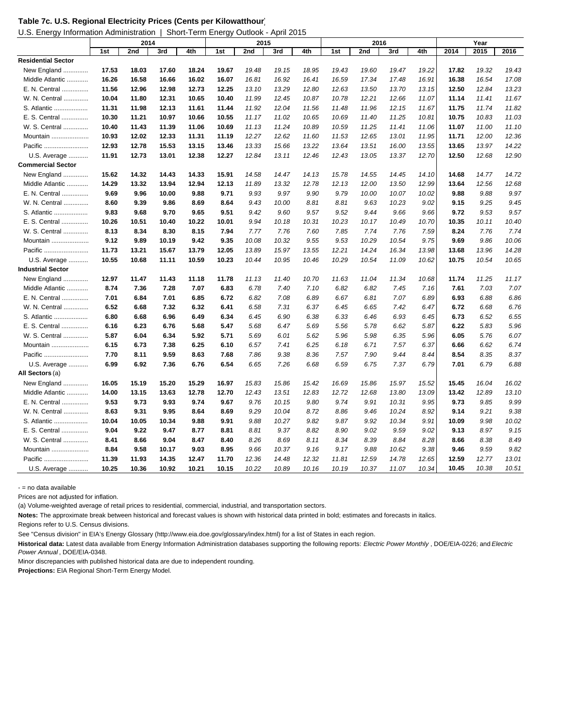| Table 7c. U.S. Regional Electricity Prices (Cents per Kilowatthour) |  |  |
|---------------------------------------------------------------------|--|--|
|---------------------------------------------------------------------|--|--|

U.S. Energy Information Administration | Short-Term Energy Outlook - April 2015

|                           | 2014  |       |       | 2015  |       |       |       | 2016  |       |       |       | Year  |       |       |       |
|---------------------------|-------|-------|-------|-------|-------|-------|-------|-------|-------|-------|-------|-------|-------|-------|-------|
|                           | 1st   | 2nd   | 3rd   | 4th   | 1st   | 2nd   | 3rd   | 4th   | 1st   | 2nd   | 3rd   | 4th   | 2014  | 2015  | 2016  |
| <b>Residential Sector</b> |       |       |       |       |       |       |       |       |       |       |       |       |       |       |       |
| New England               | 17.53 | 18.03 | 17.60 | 18.24 | 19.67 | 19.48 | 19.15 | 18.95 | 19.43 | 19.60 | 19.47 | 19.22 | 17.82 | 19.32 | 19.43 |
| Middle Atlantic           | 16.26 | 16.58 | 16.66 | 16.02 | 16.07 | 16.81 | 16.92 | 16.41 | 16.59 | 17.34 | 17.48 | 16.91 | 16.38 | 16.54 | 17.08 |
| E. N. Central             | 11.56 | 12.96 | 12.98 | 12.73 | 12.25 | 13.10 | 13.29 | 12.80 | 12.63 | 13.50 | 13.70 | 13.15 | 12.50 | 12.84 | 13.23 |
| W. N. Central             | 10.04 | 11.80 | 12.31 | 10.65 | 10.40 | 11.99 | 12.45 | 10.87 | 10.78 | 12.21 | 12.66 | 11.07 | 11.14 | 11.41 | 11.67 |
| S. Atlantic               | 11.31 | 11.98 | 12.13 | 11.61 | 11.44 | 11.92 | 12.04 | 11.56 | 11.48 | 11.96 | 12.15 | 11.67 | 11.75 | 11.74 | 11.82 |
| E. S. Central             | 10.30 | 11.21 | 10.97 | 10.66 | 10.55 | 11.17 | 11.02 | 10.65 | 10.69 | 11.40 | 11.25 | 10.81 | 10.75 | 10.83 | 11.03 |
| W. S. Central             | 10.40 | 11.43 | 11.39 | 11.06 | 10.69 | 11.13 | 11.24 | 10.89 | 10.59 | 11.25 | 11.41 | 11.06 | 11.07 | 11.00 | 11.10 |
| Mountain                  | 10.93 | 12.02 | 12.33 | 11.31 | 11.19 | 12.27 | 12.62 | 11.60 | 11.53 | 12.65 | 13.01 | 11.95 | 11.71 | 12.00 | 12.36 |
| Pacific                   | 12.93 | 12.78 | 15.53 | 13.15 | 13.46 | 13.33 | 15.66 | 13.22 | 13.64 | 13.51 | 16.00 | 13.55 | 13.65 | 13.97 | 14.22 |
| U.S. Average              | 11.91 | 12.73 | 13.01 | 12.38 | 12.27 | 12.84 | 13.11 | 12.46 | 12.43 | 13.05 | 13.37 | 12.70 | 12.50 | 12.68 | 12.90 |
| <b>Commercial Sector</b>  |       |       |       |       |       |       |       |       |       |       |       |       |       |       |       |
| New England               | 15.62 | 14.32 | 14.43 | 14.33 | 15.91 | 14.58 | 14.47 | 14.13 | 15.78 | 14.55 | 14.45 | 14.10 | 14.68 | 14.77 | 14.72 |
| Middle Atlantic           | 14.29 | 13.32 | 13.94 | 12.94 | 12.13 | 11.89 | 13.32 | 12.78 | 12.13 | 12.00 | 13.50 | 12.99 | 13.64 | 12.56 | 12.68 |
| E. N. Central             | 9.69  | 9.96  | 10.00 | 9.88  | 9.71  | 9.93  | 9.97  | 9.90  | 9.79  | 10.00 | 10.07 | 10.02 | 9.88  | 9.88  | 9.97  |
| W. N. Central             | 8.60  | 9.39  | 9.86  | 8.69  | 8.64  | 9.43  | 10.00 | 8.81  | 8.81  | 9.63  | 10.23 | 9.02  | 9.15  | 9.25  | 9.45  |
| S. Atlantic               | 9.83  | 9.68  | 9.70  | 9.65  | 9.51  | 9.42  | 9.60  | 9.57  | 9.52  | 9.44  | 9.66  | 9.66  | 9.72  | 9.53  | 9.57  |
| E. S. Central             | 10.26 | 10.51 | 10.40 | 10.22 | 10.01 | 9.94  | 10.18 | 10.31 | 10.23 | 10.17 | 10.49 | 10.70 | 10.35 | 10.11 | 10.40 |
| W. S. Central             | 8.13  | 8.34  | 8.30  | 8.15  | 7.94  | 7.77  | 7.76  | 7.60  | 7.85  | 7.74  | 7.76  | 7.59  | 8.24  | 7.76  | 7.74  |
| Mountain                  | 9.12  | 9.89  | 10.19 | 9.42  | 9.35  | 10.08 | 10.32 | 9.55  | 9.53  | 10.29 | 10.54 | 9.75  | 9.69  | 9.86  | 10.06 |
| Pacific                   | 11.73 | 13.21 | 15.67 | 13.79 | 12.05 | 13.89 | 15.97 | 13.55 | 12.21 | 14.24 | 16.34 | 13.98 | 13.68 | 13.96 | 14.28 |
| U.S. Average              | 10.55 | 10.68 | 11.11 | 10.59 | 10.23 | 10.44 | 10.95 | 10.46 | 10.29 | 10.54 | 11.09 | 10.62 | 10.75 | 10.54 | 10.65 |
| <b>Industrial Sector</b>  |       |       |       |       |       |       |       |       |       |       |       |       |       |       |       |
| New England               | 12.97 | 11.47 | 11.43 | 11.18 | 11.78 | 11.13 | 11.40 | 10.70 | 11.63 | 11.04 | 11.34 | 10.68 | 11.74 | 11.25 | 11.17 |
| Middle Atlantic           | 8.74  | 7.36  | 7.28  | 7.07  | 6.83  | 6.78  | 7.40  | 7.10  | 6.82  | 6.82  | 7.45  | 7.16  | 7.61  | 7.03  | 7.07  |
| E. N. Central             | 7.01  | 6.84  | 7.01  | 6.85  | 6.72  | 6.82  | 7.08  | 6.89  | 6.67  | 6.81  | 7.07  | 6.89  | 6.93  | 6.88  | 6.86  |
| W. N. Central             | 6.52  | 6.68  | 7.32  | 6.32  | 6.41  | 6.58  | 7.31  | 6.37  | 6.45  | 6.65  | 7.42  | 6.47  | 6.72  | 6.68  | 6.76  |
| S. Atlantic               | 6.80  | 6.68  | 6.96  | 6.49  | 6.34  | 6.45  | 6.90  | 6.38  | 6.33  | 6.46  | 6.93  | 6.45  | 6.73  | 6.52  | 6.55  |
| E. S. Central             | 6.16  | 6.23  | 6.76  | 5.68  | 5.47  | 5.68  | 6.47  | 5.69  | 5.56  | 5.78  | 6.62  | 5.87  | 6.22  | 5.83  | 5.96  |
| W. S. Central             | 5.87  | 6.04  | 6.34  | 5.92  | 5.71  | 5.69  | 6.01  | 5.62  | 5.96  | 5.98  | 6.35  | 5.96  | 6.05  | 5.76  | 6.07  |
| Mountain                  | 6.15  | 6.73  | 7.38  | 6.25  | 6.10  | 6.57  | 7.41  | 6.25  | 6.18  | 6.71  | 7.57  | 6.37  | 6.66  | 6.62  | 6.74  |
| Pacific                   | 7.70  | 8.11  | 9.59  | 8.63  | 7.68  | 7.86  | 9.38  | 8.36  | 7.57  | 7.90  | 9.44  | 8.44  | 8.54  | 8.35  | 8.37  |
| U.S. Average              | 6.99  | 6.92  | 7.36  | 6.76  | 6.54  | 6.65  | 7.26  | 6.68  | 6.59  | 6.75  | 7.37  | 6.79  | 7.01  | 6.79  | 6.88  |
| All Sectors (a)           |       |       |       |       |       |       |       |       |       |       |       |       |       |       |       |
| New England               | 16.05 | 15.19 | 15.20 | 15.29 | 16.97 | 15.83 | 15.86 | 15.42 | 16.69 | 15.86 | 15.97 | 15.52 | 15.45 | 16.04 | 16.02 |
| Middle Atlantic           | 14.00 | 13.15 | 13.63 | 12.78 | 12.70 | 12.43 | 13.51 | 12.83 | 12.72 | 12.68 | 13.80 | 13.09 | 13.42 | 12.89 | 13.10 |
| E. N. Central             | 9.53  | 9.73  | 9.93  | 9.74  | 9.67  | 9.76  | 10.15 | 9.80  | 9.74  | 9.91  | 10.31 | 9.95  | 9.73  | 9.85  | 9.99  |
| W. N. Central             | 8.63  | 9.31  | 9.95  | 8.64  | 8.69  | 9.29  | 10.04 | 8.72  | 8.86  | 9.46  | 10.24 | 8.92  | 9.14  | 9.21  | 9.38  |
| S. Atlantic               | 10.04 | 10.05 | 10.34 | 9.88  | 9.91  | 9.88  | 10.27 | 9.82  | 9.87  | 9.92  | 10.34 | 9.91  | 10.09 | 9.98  | 10.02 |
| E. S. Central             | 9.04  | 9.22  | 9.47  | 8.77  | 8.81  | 8.81  | 9.37  | 8.82  | 8.90  | 9.02  | 9.59  | 9.02  | 9.13  | 8.97  | 9.15  |
| W. S. Central             | 8.41  | 8.66  | 9.04  | 8.47  | 8.40  | 8.26  | 8.69  | 8.11  | 8.34  | 8.39  | 8.84  | 8.28  | 8.66  | 8.38  | 8.49  |
| Mountain                  | 8.84  | 9.58  | 10.17 | 9.03  | 8.95  | 9.66  | 10.37 | 9.16  | 9.17  | 9.88  | 10.62 | 9.38  | 9.46  | 9.59  | 9.82  |
| Pacific                   | 11.39 | 11.93 | 14.35 | 12.47 | 11.70 | 12.36 | 14.48 | 12.32 | 11.81 | 12.59 | 14.78 | 12.65 | 12.59 | 12.77 | 13.01 |
| U.S. Average              | 10.25 | 10.36 | 10.92 | 10.21 | 10.15 | 10.22 | 10.89 | 10.16 | 10.19 | 10.37 | 11.07 | 10.34 | 10.45 | 10.38 | 10.51 |

- = no data available

Prices are not adjusted for inflation.

(a) Volume-weighted average of retail prices to residential, commercial, industrial, and transportation sectors.

**Notes:** The approximate break between historical and forecast values is shown with historical data printed in bold; estimates and forecasts in italics.

Regions refer to U.S. Census divisions.

See "Census division" in EIA's Energy Glossary (http://www.eia.doe.gov/glossary/index.html) for a list of States in each region.

**Historical data:** Latest data available from Energy Information Administration databases supporting the following reports: *Electric Power Monthly* , DOE/EIA-0226; and *Electric Power Annual* , DOE/EIA-0348.

Minor discrepancies with published historical data are due to independent rounding.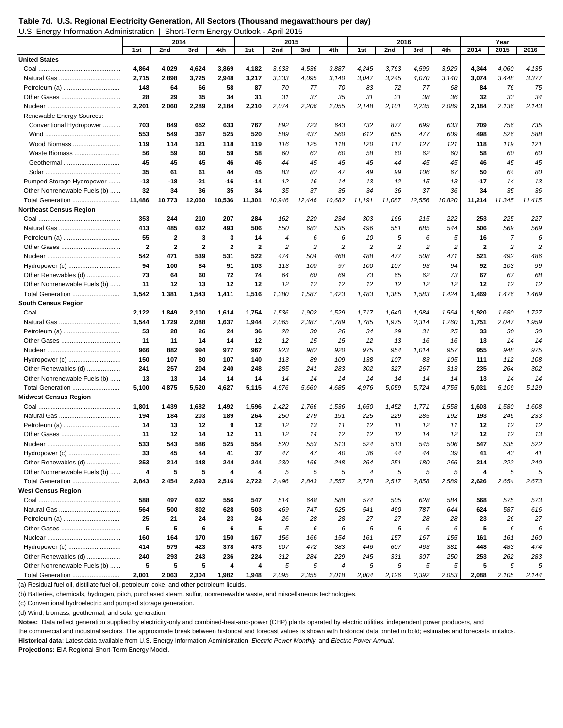**Table 7d. U.S. Regional Electricity Generation, All Sectors (Thousand megawatthours per day)**  U.S. Energy Information Administration | Short-Term Energy Outlook - April 2015

|                                |                | 2014                    |              | 2015         |              |                |          | 2016           |                  |                |                | Year      |              |            |                |
|--------------------------------|----------------|-------------------------|--------------|--------------|--------------|----------------|----------|----------------|------------------|----------------|----------------|-----------|--------------|------------|----------------|
|                                | 1st            | 2nd                     | 3rd          | 4th          | 1st          | 2nd            | 3rd      | 4th            | 1st              | 2nd            | 3rd            | 4th       | 2014         | 2015       | 2016           |
| <b>United States</b>           |                |                         |              |              |              |                |          |                |                  |                |                |           |              |            |                |
|                                | 4,864          | 4,029                   | 4,624        | 3,869        | 4,182        | 3,633          | 4,536    | 3,887          | 4,245            | 3,763          | 4,599          | 3,929     | 4,344        | 4,060      | 4,135          |
|                                | 2,715          | 2,898                   | 3,725        | 2,948        | 3,217        | 3.333          | 4,095    | 3,140          | 3,047            | 3,245          | 4,070          | 3,140     | 3,074        | 3,448      | 3,377          |
|                                | 148            | 64                      | 66           | 58           | 87           | 70             | 77       | 70             | 83               | 72             | 77             | 68        | 84           | 76         | 75             |
|                                | 28             | 29                      | 35           | 34           | 31           | 31             | 37       | 35             | 31               | 31             | 38             | 36        | 32           | 33         | 34             |
|                                | 2,201          | 2,060                   | 2,289        | 2,184        | 2,210        | 2,074          | 2,206    | 2,055          | 2,148            | 2,101          | 2,235          | 2,089     | 2,184        | 2,136      | 2,143          |
| Renewable Energy Sources:      |                |                         |              |              |              |                |          |                |                  |                |                |           |              |            |                |
| Conventional Hydropower        | 703            | 849                     | 652          | 633          | 767          | 892            | 723      | 643            | 732              | 877            | 699            | 633       | 709          | 756        | 735            |
|                                | 553            | 549                     | 367          | 525          | 520          | 589            | 437      | 560            | 612              | 655            | 477            | 609       | 498          | 526        | 588            |
| Wood Biomass                   | 119            | 114                     | 121          | 118          | 119          | 116            | 125      | 118            | 120              | 117            | 127            | 121       | 118          | 119        | 121            |
| Waste Biomass                  | 56             | 59                      | 60           | 59           | 58           | 60             | 62       | 60             | 58               | 60             | 62             | 60        | 58           | 60         | 60             |
|                                | 45             | 45                      | 45           | 46           | 46           | 44             | 45       | 45             | 45               | 44             | 45             | 45        | 46           | 45         | 45             |
|                                | 35             | 61                      | 61           | 44           | 45           | 83             | 82       | 47             | 49               | 99             | 106            | 67        | 50           | 64         | 80             |
| Pumped Storage Hydropower      | $-13$          | -18                     | $-21$        | -16          | $-14$        | -12            | -16      | $-14$          | -13              | -12            | $-15$          | $-13$     | -17          | $-14$      | $-13$          |
| Other Nonrenewable Fuels (b)   | 32             | 34                      | 36           | 35           | 34           | 35             | 37       | 35             | 34               | 36             | 37             | 36        | 34           | 35         | 36             |
| Total Generation               | 11,486         | 10,773                  | 12,060       | 10,536       | 11,301       | 10,946         | 12,446   | 10,682         | 11,191           | 11,087         | 12,556         | 10,820    | 11,214       | 11,345     | 11,415         |
| <b>Northeast Census Region</b> |                |                         |              |              |              |                |          |                |                  |                |                |           |              |            |                |
|                                | 353            | 244                     | 210          | 207          | 284          | 162            | 220      | 234            | 303              | 166            | 215            | 222       | 253          | 225        | 227            |
|                                | 413            | 485                     | 632          | 493          | 506          | 550            | 682      | 535            | 496              | 551            | 685            | 544       | 506          | 569        | 569            |
|                                | 55             | $\overline{\mathbf{2}}$ | 3            | 3            | 14           | $\overline{4}$ | 6        | 6              | 10               | 5              | 6              | 5         | 16           | 7          | 6              |
|                                | $\overline{2}$ | $\mathbf{2}$            | $\mathbf{2}$ | $\mathbf{2}$ | $\mathbf{2}$ | $\overline{c}$ | 2        | $\overline{c}$ | $\overline{c}$   | $\overline{c}$ | $\overline{c}$ | 2         | $\mathbf{2}$ | 2          | $\overline{2}$ |
|                                | 542            | 471                     | 539          | 531          | 522          | 474            | 504      | 468            | 488              | 477            | 508            | 471       | 521          | 492        | 486            |
| Hydropower (c)                 | 94             | 100                     | 84           | 91           | 103          | 113            | 100      | 97             | 100              | 107            | 93             | 94        | 92           | 103        | 99             |
| Other Renewables (d)           | 73             | 64                      | 60           | 72           | 74           | 64             | 60       | 69             | 73               | 65             | 62             | 73        | 67           | 67         | 68             |
| Other Nonrenewable Fuels (b)   | 11             | 12                      | 13           | 12           | 12           | 12             | 12       | 12             | 12               | 12             | 12             | 12        | 12           | 12         | 12             |
| Total Generation               | 1,542          | 1,381                   | 1,543        | 1,411        | 1,516        | 1,380          | 1,587    | 1,423          | 1,483            | 1,385          | 1,583          | 1,424     | 1,469        | 1,476      | 1,469          |
| <b>South Census Region</b>     |                |                         |              |              |              |                |          |                |                  |                |                |           |              |            |                |
|                                | 2,122          | 1,849                   | 2,100        | 1,614        | 1,754        |                | 1,902    | 1,529          |                  | 1,640          | 1,984          | 1,564     | 1,920        | 1,680      | 1,727          |
|                                | 1,544          |                         |              | 1,637        | 1,944        | 1,536<br>2,065 | 2,387    | 1,789          | 1,717<br>1,785   | 1,975          | 2,314          | 1,760     | 1,751        | 2,047      | 1,959          |
|                                | 53             | 1,729<br>28             | 2,088        | 24           |              |                |          |                |                  |                |                |           |              |            | 30             |
|                                | 11             | 11                      | 26<br>14     | 14           | 36<br>12     | 28<br>12       | 30<br>15 | 26<br>15       | 34<br>12         | 29             | 31             | 25        | 33<br>13     | 30<br>14   | 14             |
|                                | 966            | 882                     | 994          | 977          | 967          | 923            | 982      | 920            | 975              | 13<br>954      | 16<br>1,014    | 16<br>957 | 955          | 948        | 975            |
|                                |                |                         |              |              |              |                |          |                |                  |                |                |           |              |            |                |
|                                | 150            | 107                     | 80           | 107          | 140          | 113            | 89       | 109            | 138              | 107            | 83             | 105       | 111          | 112        | 108            |
| Other Renewables (d)           | 241            | 257                     | 204          | 240          | 248          | 285            | 241      | 283            | 302              | 327            | 267            | 313       | 235          | 264        | 302            |
| Other Nonrenewable Fuels (b)   | 13             | 13                      | 14           | 14           | 14           | 14             | 14       | 14             | 14               | 14             | 14             | 14        | 13           | 14         | 14             |
| Total Generation               | 5,100          | 4,875                   | 5,520        | 4,627        | 5,115        | 4,976          | 5,660    | 4,685          | 4,976            | 5,059          | 5,724          | 4,755     | 5,031        | 5,109      | 5,129          |
| <b>Midwest Census Region</b>   |                |                         |              |              |              |                |          |                |                  |                |                |           |              |            |                |
|                                | 1,801          | 1,439                   | 1,682        | 1,492        | 1,596        | 1,422          | 1,766    | 1,536          | 1,650            | 1,452          | 1,771          | 1,558     | 1,603        | 1,580      | 1,608          |
|                                | 194            | 184                     | 203          | 189          | 264          | 250            | 279      | 191            | 225              | 229            | 285            | 192       | 193          | 246        | 233            |
|                                | 14             | 13                      | 12           | 9            | 12           | 12             | 13       | 11             | 12               | 11             | 12             | 11        | 12           | 12         | 12             |
|                                | 11             | 12                      | 14           | 12           | 11           | 12             | 14       | 12             | 12               | 12             | 14             | 12        | 12           | 12         | 13             |
|                                | 533            | 543                     | 586          | 525          | 554          | 520            | 553      | 513            | 524              | 513            | 545            | 506       | 547          | 535        | 522            |
| Hydropower (c)                 | 33             | 45                      | 44           | 41           | 37           | 47             | 47       | 40             | 36               | 44             | 44             | 39        | 41           | 43         | 41             |
| Other Renewables (d)           | 253            | 214                     | 148          | 244          | 244          | 230            | 166      | 248            | 264              | 251            | 180            | 266       | 214          | 222        | 240            |
| Other Nonrenewable Fuels (b)   | 4              | 5                       | 5            | 4            | 4            | 5              | 5        | 5              | $\boldsymbol{4}$ | 5              | 5              | 5         | 4            | $\sqrt{5}$ | 5              |
| Total Generation               | 2,843          | 2,454                   | 2,693        | 2,516        | 2,722        | 2,496          | 2,843    | 2,557          | 2,728            | 2,517          | 2,858          | 2,589     | 2,626        | 2,654      | 2,673          |
| <b>West Census Region</b>      |                |                         |              |              |              |                |          |                |                  |                |                |           |              |            |                |
|                                | 588            | 497                     | 632          | 556          | 547          | 514            | 648      | 588            | 574              | 505            | 628            | 584       | 568          | 575        | 573            |
|                                | 564            | 500                     | 802          | 628          | 503          | 469            | 747      | 625            | 541              | 490            | 787            | 644       | 624          | 587        | 616            |
|                                | 25             | 21                      | 24           | 23           | 24           | 26             | 28       | 28             | 27               | 27             | 28             | 28        | 23           | 26         | 27             |
|                                | 5              | 5                       | 6            | 6            | 5            | 5              | 6        | 6              | 5                | 5              | 6              | 6         | 5            | 6          | 6              |
|                                | 160            | 164                     | 170          | 150          | 167          | 156            | 166      | 154            | 161              | 157            | 167            | 155       | 161          | 161        | 160            |
| Hydropower (c)                 | 414            | 579                     | 423          | 378          | 473          | 607            | 472      | 383            | 446              | 607            | 463            | 381       | 448          | 483        | 474            |
| Other Renewables (d)           | 240            | 293                     | 243          | 236          | 224          | 312            | 284      | 229            | 245              | 331            | 307            | 250       | 253          | 262        | 283            |
| Other Nonrenewable Fuels (b)   | 5              | 5                       | $\sqrt{5}$   | 4            | 4            | 5              | 5        | 4              | 5                | 5              | 5              | 5         | 5            | $\sqrt{5}$ | 5              |
| Total Generation               | 2,001          | 2,063                   | 2,304        | 1,982        | 1,948        | 2,095          | 2,355    | 2,018          | 2,004            | 2,126          | 2,392          | 2,053     | 2,088        | 2,105      | 2,144          |

(a) Residual fuel oil, distillate fuel oil, petroleum coke, and other petroleum liquids.

(b) Batteries, chemicals, hydrogen, pitch, purchased steam, sulfur, nonrenewable waste, and miscellaneous technologies.

(c) Conventional hydroelectric and pumped storage generation.

(d) Wind, biomass, geothermal, and solar generation.

**Notes:** Data reflect generation supplied by electricity-only and combined-heat-and-power (CHP) plants operated by electric utilities, independent power producers, and

the commercial and industrial sectors. The approximate break between historical and forecast values is shown with historical data printed in bold; estimates and forecasts in italics.

**Historical data**: Latest data available from U.S. Energy Information Administration *Electric Power Monthly* and *Electric Power Annual.*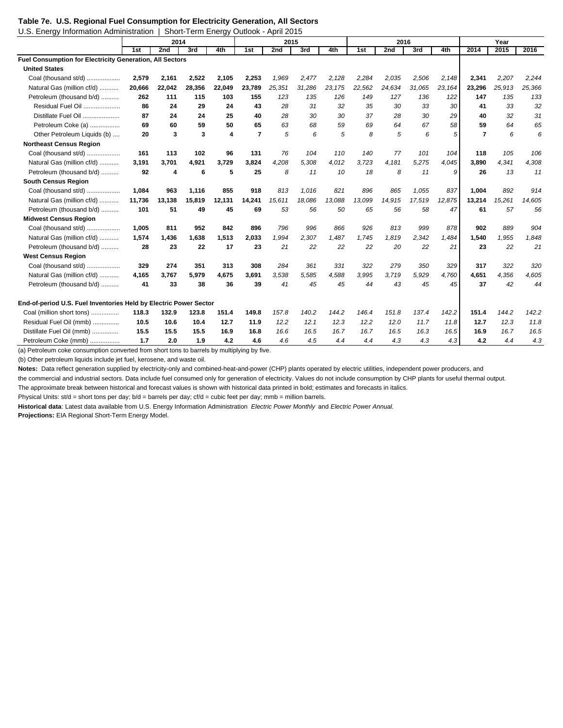## **Table 7e. U.S. Regional Fuel Consumption for Electricity Generation, All Sectors**

| U.S. Energy Information Administration                            |        |        | Short-Term Energy Outlook - April 2015 |        |                |        |        |        |        |        |        |        |                |        |        |
|-------------------------------------------------------------------|--------|--------|----------------------------------------|--------|----------------|--------|--------|--------|--------|--------|--------|--------|----------------|--------|--------|
|                                                                   |        | 2014   |                                        |        |                | 2015   |        |        |        | 2016   |        |        |                | Year   |        |
|                                                                   | 1st    | 2nd    | 3rd                                    | 4th    | 1st            | 2nd    | 3rd    | 4th    | 1st    | 2nd    | 3rd    | 4th    | 2014           | 2015   | 2016   |
| <b>Fuel Consumption for Electricity Generation, All Sectors</b>   |        |        |                                        |        |                |        |        |        |        |        |        |        |                |        |        |
| <b>United States</b>                                              |        |        |                                        |        |                |        |        |        |        |        |        |        |                |        |        |
| Coal (thousand st/d)                                              | 2,579  | 2,161  | 2,522                                  | 2,105  | 2,253          | 1,969  | 2,477  | 2,128  | 2,284  | 2,035  | 2,506  | 2,148  | 2,341          | 2,207  | 2,244  |
| Natural Gas (million cf/d)                                        | 20,666 | 22,042 | 28,356                                 | 22,049 | 23,789         | 25,351 | 31,286 | 23,175 | 22,562 | 24,634 | 31,065 | 23,164 | 23,296         | 25,913 | 25,366 |
| Petroleum (thousand b/d)                                          | 262    | 111    | 115                                    | 103    | 155            | 123    | 135    | 126    | 149    | 127    | 136    | 122    | 147            | 135    | 133    |
| Residual Fuel Oil                                                 | 86     | 24     | 29                                     | 24     | 43             | 28     | 31     | 32     | 35     | 30     | 33     | 30     | 41             | 33     | 32     |
| Distillate Fuel Oil                                               | 87     | 24     | 24                                     | 25     | 40             | 28     | 30     | 30     | 37     | 28     | 30     | 29     | 40             | 32     | 31     |
| Petroleum Coke (a)                                                | 69     | 60     | 59                                     | 50     | 65             | 63     | 68     | 59     | 69     | 64     | 67     | 58     | 59             | 64     | 65     |
| Other Petroleum Liquids (b)                                       | 20     | 3      | 3                                      | 4      | $\overline{7}$ | 5      | 6      | 5      | 8      | 5      | 6      | 5      | $\overline{7}$ | 6      | 6      |
| <b>Northeast Census Region</b>                                    |        |        |                                        |        |                |        |        |        |        |        |        |        |                |        |        |
| Coal (thousand st/d)                                              | 161    | 113    | 102                                    | 96     | 131            | 76     | 104    | 110    | 140    | 77     | 101    | 104    | 118            | 105    | 106    |
| Natural Gas (million cf/d)                                        | 3,191  | 3,701  | 4,921                                  | 3,729  | 3,824          | 4,208  | 5,308  | 4,012  | 3,723  | 4,181  | 5,275  | 4,045  | 3,890          | 4,341  | 4,308  |
| Petroleum (thousand b/d)                                          | 92     | 4      | 6                                      | 5      | 25             | 8      | 11     | 10     | 18     | 8      | 11     | 9      | 26             | 13     | 11     |
| <b>South Census Region</b>                                        |        |        |                                        |        |                |        |        |        |        |        |        |        |                |        |        |
| Coal (thousand st/d)                                              | 1,084  | 963    | 1,116                                  | 855    | 918            | 813    | 1,016  | 821    | 896    | 865    | 1,055  | 837    | 1,004          | 892    | 914    |
| Natural Gas (million cf/d)                                        | 11,736 | 13,138 | 15,819                                 | 12,131 | 14,241         | 15,611 | 18,086 | 13,088 | 13,099 | 14,915 | 17,519 | 12,875 | 13,214         | 15,261 | 14,605 |
| Petroleum (thousand b/d)                                          | 101    | 51     | 49                                     | 45     | 69             | 53     | 56     | 50     | 65     | 56     | 58     | 47     | 61             | 57     | 56     |
| <b>Midwest Census Region</b>                                      |        |        |                                        |        |                |        |        |        |        |        |        |        |                |        |        |
| Coal (thousand st/d)                                              | 1,005  | 811    | 952                                    | 842    | 896            | 796    | 996    | 866    | 926    | 813    | 999    | 878    | 902            | 889    | 904    |
| Natural Gas (million cf/d)                                        | 1.574  | 1.436  | 1.638                                  | 1,513  | 2.033          | 1.994  | 2,307  | 1.487  | 1.745  | 1.819  | 2,342  | 1,484  | 1.540          | 1,955  | 1,848  |
| Petroleum (thousand b/d)                                          | 28     | 23     | 22                                     | 17     | 23             | 21     | 22     | 22     | 22     | 20     | 22     | 21     | 23             | 22     | 21     |
| <b>West Census Region</b>                                         |        |        |                                        |        |                |        |        |        |        |        |        |        |                |        |        |
| Coal (thousand st/d)                                              | 329    | 274    | 351                                    | 313    | 308            | 284    | 361    | 331    | 322    | 279    | 350    | 329    | 317            | 322    | 320    |
| Natural Gas (million cf/d)                                        | 4.165  | 3,767  | 5,979                                  | 4,675  | 3.691          | 3.538  | 5,585  | 4,588  | 3.995  | 3.719  | 5,929  | 4.760  | 4,651          | 4,356  | 4,605  |
| Petroleum (thousand b/d)                                          | 41     | 33     | 38                                     | 36     | 39             | 41     | 45     | 45     | 44     | 43     | 45     | 45     | 37             | 42     | 44     |
| End-of-period U.S. Fuel Inventories Held by Electric Power Sector |        |        |                                        |        |                |        |        |        |        |        |        |        |                |        |        |
| Coal (million short tons)                                         | 118.3  | 132.9  | 123.8                                  | 151.4  | 149.8          | 157.8  | 140.2  | 144.2  | 146.4  | 151.8  | 137.4  | 142.2  | 151.4          | 144.2  | 142.2  |
| Residual Fuel Oil (mmb)                                           | 10.5   | 10.6   | 10.4                                   | 12.7   | 11.9           | 12.2   | 12.1   | 12.3   | 12.2   | 12.0   | 11.7   | 11.8   | 12.7           | 12.3   | 11.8   |
| Distillate Fuel Oil (mmb)                                         | 15.5   | 15.5   | 15.5                                   | 16.9   | 16.8           | 16.6   | 16.5   | 16.7   | 16.7   | 16.5   | 16.3   | 16.5   | 16.9           | 16.7   | 16.5   |
| Petroleum Coke (mmb)                                              | 1.7    | 2.0    | 1.9                                    | 4.2    | 4.6            | 4.6    | 4.5    | 4.4    | 4.4    | 4.3    | 4.3    | 4.3    | 4.2            | 4.4    | 4.3    |

(a) Petroleum coke consumption converted from short tons to barrels by multiplying by five.

(b) Other petroleum liquids include jet fuel, kerosene, and waste oil.

Notes: Data reflect generation supplied by electricity-only and combined-heat-and-power (CHP) plants operated by electric utilities, independent power producers, and

the commercial and industrial sectors. Data include fuel consumed only for generation of electricity. Values do not include consumption by CHP plants for useful thermal output.

The approximate break between historical and forecast values is shown with historical data printed in bold; estimates and forecasts in italics.

Physical Units: st/d = short tons per day; b/d = barrels per day; cf/d = cubic feet per day; mmb = million barrels.

**Historical data**: Latest data available from U.S. Energy Information Administration *Electric Power Monthly* and *Electric Power Annual.* **Projections:** EIA Regional Short-Term Energy Model.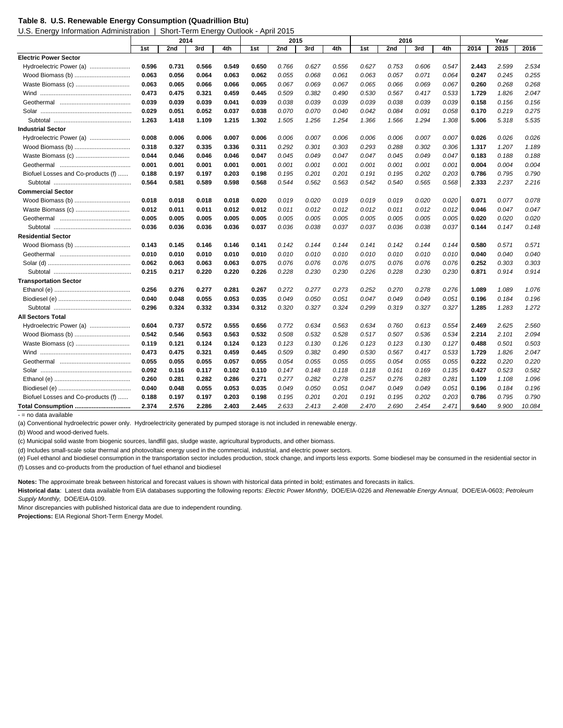U.S. Energy Information Administration | Short-Term Energy Outlook - April 2015

|                                    | 2014  |       |       | 2015  |       |       |       | 2016  |       |       |       | Year  |       |       |        |
|------------------------------------|-------|-------|-------|-------|-------|-------|-------|-------|-------|-------|-------|-------|-------|-------|--------|
|                                    | 1st   | 2nd   | 3rd   | 4th   | 1st   | 2nd   | 3rd   | 4th   | 1st   | 2nd   | 3rd   | 4th   | 2014  | 2015  | 2016   |
| <b>Electric Power Sector</b>       |       |       |       |       |       |       |       |       |       |       |       |       |       |       |        |
| Hydroelectric Power (a)            | 0.596 | 0.731 | 0.566 | 0.549 | 0.650 | 0.766 | 0.627 | 0.556 | 0.627 | 0.753 | 0.606 | 0.547 | 2.443 | 2.599 | 2.534  |
| Wood Biomass (b)                   | 0.063 | 0.056 | 0.064 | 0.063 | 0.062 | 0.055 | 0.068 | 0.061 | 0.063 | 0.057 | 0.071 | 0.064 | 0.247 | 0.245 | 0.255  |
| Waste Biomass (c)                  | 0.063 | 0.065 | 0.066 | 0.066 | 0.065 | 0.067 | 0.069 | 0.067 | 0.065 | 0.066 | 0.069 | 0.067 | 0.260 | 0.268 | 0.268  |
| Wind                               | 0.473 | 0.475 | 0.321 | 0.459 | 0.445 | 0.509 | 0.382 | 0.490 | 0.530 | 0.567 | 0.417 | 0.533 | 1.729 | 1.826 | 2.047  |
|                                    | 0.039 | 0.039 | 0.039 | 0.041 | 0.039 | 0.038 | 0.039 | 0.039 | 0.039 | 0.038 | 0.039 | 0.039 | 0.158 | 0.156 | 0.156  |
|                                    | 0.029 | 0.051 | 0.052 | 0.037 | 0.038 | 0.070 | 0.070 | 0.040 | 0.042 | 0.084 | 0.091 | 0.058 | 0.170 | 0.219 | 0.275  |
|                                    | 1.263 | 1.418 | 1.109 | 1.215 | 1.302 | 1.505 | 1.256 | 1.254 | 1.366 | 1.566 | 1.294 | 1.308 | 5.006 | 5.318 | 5.535  |
| <b>Industrial Sector</b>           |       |       |       |       |       |       |       |       |       |       |       |       |       |       |        |
| Hydroelectric Power (a)            | 0.008 | 0.006 | 0.006 | 0.007 | 0.006 | 0.006 | 0.007 | 0.006 | 0.006 | 0.006 | 0.007 | 0.007 | 0.026 | 0.026 | 0.026  |
| Wood Biomass (b)                   | 0.318 | 0.327 | 0.335 | 0.336 | 0.311 | 0.292 | 0.301 | 0.303 | 0.293 | 0.288 | 0.302 | 0.306 | 1.317 | 1.207 | 1.189  |
| Waste Biomass (c)                  | 0.044 | 0.046 | 0.046 | 0.046 | 0.047 | 0.045 | 0.049 | 0.047 | 0.047 | 0.045 | 0.049 | 0.047 | 0.183 | 0.188 | 0.188  |
|                                    | 0.001 | 0.001 | 0.001 | 0.001 | 0.001 | 0.001 | 0.001 | 0.001 | 0.001 | 0.001 | 0.001 | 0.001 | 0.004 | 0.004 | 0.004  |
| Biofuel Losses and Co-products (f) | 0.188 | 0.197 | 0.197 | 0.203 | 0.198 | 0.195 | 0.201 | 0.201 | 0.191 | 0.195 | 0.202 | 0.203 | 0.786 | 0.795 | 0.790  |
|                                    | 0.564 | 0.581 | 0.589 | 0.598 | 0.568 | 0.544 | 0.562 | 0.563 | 0.542 | 0.540 | 0.565 | 0.568 | 2.333 | 2.237 | 2.216  |
| <b>Commercial Sector</b>           |       |       |       |       |       |       |       |       |       |       |       |       |       |       |        |
|                                    | 0.018 | 0.018 | 0.018 | 0.018 | 0.020 | 0.019 | 0.020 | 0.019 | 0.019 | 0.019 | 0.020 | 0.020 | 0.071 | 0.077 | 0.078  |
| Waste Biomass (c)                  | 0.012 | 0.011 | 0.011 | 0.012 | 0.012 | 0.011 | 0.012 | 0.012 | 0.012 | 0.011 | 0.012 | 0.012 | 0.046 | 0.047 | 0.047  |
|                                    | 0.005 | 0.005 | 0.005 | 0.005 | 0.005 | 0.005 | 0.005 | 0.005 | 0.005 | 0.005 | 0.005 | 0.005 | 0.020 | 0.020 | 0.020  |
|                                    | 0.036 | 0.036 | 0.036 | 0.036 | 0.037 | 0.036 | 0.038 | 0.037 | 0.037 | 0.036 | 0.038 | 0.037 | 0.144 | 0.147 | 0.148  |
| <b>Residential Sector</b>          |       |       |       |       |       |       |       |       |       |       |       |       |       |       |        |
|                                    | 0.143 | 0.145 | 0.146 | 0.146 | 0.141 | 0.142 | 0.144 | 0.144 | 0.141 | 0.142 | 0.144 | 0.144 | 0.580 | 0.571 | 0.571  |
|                                    | 0.010 | 0.010 | 0.010 | 0.010 | 0.010 | 0.010 | 0.010 | 0.010 | 0.010 | 0.010 | 0.010 | 0.010 | 0.040 | 0.040 | 0.040  |
|                                    | 0.062 | 0.063 | 0.063 | 0.063 | 0.075 | 0.076 | 0.076 | 0.076 | 0.075 | 0.076 | 0.076 | 0.076 | 0.252 | 0.303 | 0.303  |
|                                    | 0.215 | 0.217 | 0.220 | 0.220 | 0.226 | 0.228 | 0.230 | 0.230 | 0.226 | 0.228 | 0.230 | 0.230 | 0.871 | 0.914 | 0.914  |
| <b>Transportation Sector</b>       |       |       |       |       |       |       |       |       |       |       |       |       |       |       |        |
|                                    | 0.256 | 0.276 | 0.277 | 0.281 | 0.267 | 0.272 | 0.277 | 0.273 | 0.252 | 0.270 | 0.278 | 0.276 | 1.089 | 1.089 | 1.076  |
|                                    | 0.040 | 0.048 | 0.055 | 0.053 | 0.035 | 0.049 | 0.050 | 0.051 | 0.047 | 0.049 | 0.049 | 0.051 | 0.196 | 0.184 | 0.196  |
|                                    | 0.296 | 0.324 | 0.332 | 0.334 | 0.312 | 0.320 | 0.327 | 0.324 | 0.299 | 0.319 | 0.327 | 0.327 | 1.285 | 1.283 | 1.272  |
| <b>All Sectors Total</b>           |       |       |       |       |       |       |       |       |       |       |       |       |       |       |        |
|                                    | 0.604 | 0.737 | 0.572 | 0.555 | 0.656 | 0.772 | 0.634 | 0.563 | 0.634 | 0.760 | 0.613 | 0.554 | 2.469 | 2.625 | 2.560  |
|                                    | 0.542 | 0.546 | 0.563 | 0.563 | 0.532 | 0.508 | 0.532 | 0.528 | 0.517 | 0.507 | 0.536 | 0.534 | 2.214 | 2.101 | 2.094  |
| Waste Biomass (c)                  | 0.119 | 0.121 | 0.124 | 0.124 | 0.123 | 0.123 | 0.130 | 0.126 | 0.123 | 0.123 | 0.130 | 0.127 | 0.488 | 0.501 | 0.503  |
|                                    | 0.473 | 0.475 | 0.321 | 0.459 | 0.445 | 0.509 | 0.382 | 0.490 | 0.530 | 0.567 | 0.417 | 0.533 | 1.729 | 1.826 | 2.047  |
|                                    | 0.055 | 0.055 | 0.055 | 0.057 | 0.055 | 0.054 | 0.055 | 0.055 | 0.055 | 0.054 | 0.055 | 0.055 | 0.222 | 0.220 | 0.220  |
|                                    | 0.092 | 0.116 | 0.117 | 0.102 | 0.110 | 0.147 | 0.148 | 0.118 | 0.118 | 0.161 | 0.169 | 0.135 | 0.427 | 0.523 | 0.582  |
|                                    | 0.260 | 0.281 | 0.282 | 0.286 | 0.271 | 0.277 | 0.282 | 0.278 | 0.257 | 0.276 | 0.283 | 0.281 | 1.109 | 1.108 | 1.096  |
|                                    | 0.040 | 0.048 | 0.055 | 0.053 | 0.035 | 0.049 | 0.050 | 0.051 | 0.047 | 0.049 | 0.049 | 0.051 | 0.196 | 0.184 | 0.196  |
| Biofuel Losses and Co-products (f) | 0.188 | 0.197 | 0.197 | 0.203 | 0.198 | 0.195 | 0.201 | 0.201 | 0.191 | 0.195 | 0.202 | 0.203 | 0.786 | 0.795 | 0.790  |
| Total Consumption                  | 2.374 | 2.576 | 2.286 | 2.403 | 2.445 | 2.633 | 2.413 | 2.408 | 2.470 | 2.690 | 2.454 | 2.471 | 9.640 | 9.900 | 10.084 |
| - = no data available              |       |       |       |       |       |       |       |       |       |       |       |       |       |       |        |

(a) Conventional hydroelectric power only. Hydroelectricity generated by pumped storage is not included in renewable energy.

(b) Wood and wood-derived fuels.

(c) Municipal solid waste from biogenic sources, landfill gas, sludge waste, agricultural byproducts, and other biomass.

(d) Includes small-scale solar thermal and photovoltaic energy used in the commercial, industrial, and electric power sectors.

(e) Fuel ethanol and biodiesel consumption in the transportation sector includes production, stock change, and imports less exports. Some biodiesel may be consumed in the residential sector in (f) Losses and co-products from the production of fuel ethanol and biodiesel

**Notes:** The approximate break between historical and forecast values is shown with historical data printed in bold; estimates and forecasts in italics.

**Historical data**: Latest data available from EIA databases supporting the following reports: *Electric Power Monthly,* DOE/EIA-0226 and *Renewable Energy Annual,* DOE/EIA-0603; *Petroleum Supply Monthly,* DOE/EIA-0109.

Minor discrepancies with published historical data are due to independent rounding.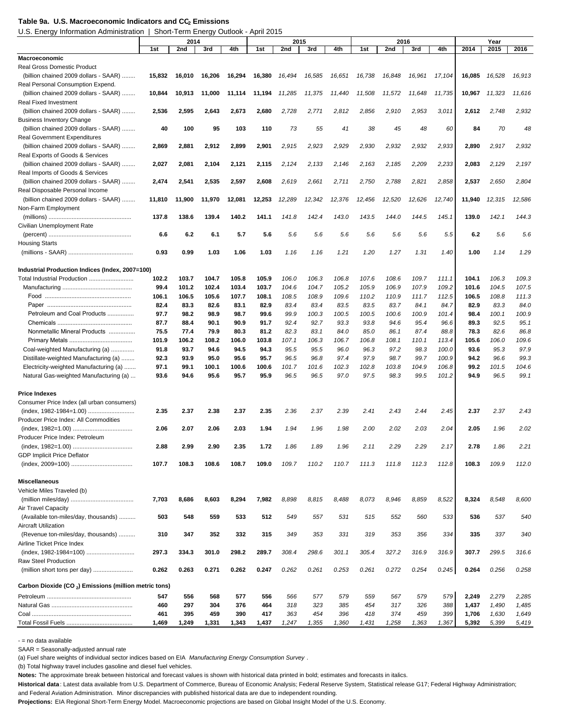#### Table 9a. U.S. Macroeconomic Indicators and CC<sub>2</sub> Emissions

U.S. Energy Information Administration | Short-Term Energy Outlook - April 2015

| 2014<br>2015<br>2016                                                                                                                                                                                                                                                                                | Year          |               |  |
|-----------------------------------------------------------------------------------------------------------------------------------------------------------------------------------------------------------------------------------------------------------------------------------------------------|---------------|---------------|--|
| 4th<br>3rd<br>4th<br>1st<br>2nd<br>3rd<br>4th<br>2014<br>1st<br>2nd<br>3rd<br>1st<br>2nd                                                                                                                                                                                                            | 2015          | 2016          |  |
| <b>Macroeconomic</b>                                                                                                                                                                                                                                                                                |               |               |  |
| Real Gross Domestic Product                                                                                                                                                                                                                                                                         |               |               |  |
| (billion chained 2009 dollars - SAAR)<br>16,738<br>16,848<br>16,961<br>17,104<br>16,085<br>15,832<br>16,010<br>16,206<br>16,294<br>16,380<br>16,494<br>16,585<br>16,651                                                                                                                             | 16,528        | 16,913        |  |
| Real Personal Consumption Expend.                                                                                                                                                                                                                                                                   |               |               |  |
| (billion chained 2009 dollars - SAAR)<br>10,844<br>11,000<br>11,285<br>11,375<br>11,440<br>11,508<br>11,572<br>11,648<br>11,735<br>10,967<br>10,913<br>11,114<br>11,194                                                                                                                             | 11,323        | 11,616        |  |
| <b>Real Fixed Investment</b>                                                                                                                                                                                                                                                                        |               |               |  |
| (billion chained 2009 dollars - SAAR)<br>2,536<br>2,595<br>2,643<br>2,673<br>2,680<br>2,728<br>2,771<br>2,812<br>2,856<br>2,910<br>2,953<br>3,011<br>2,612                                                                                                                                          | 2,748         | 2,932         |  |
| <b>Business Inventory Change</b>                                                                                                                                                                                                                                                                    |               |               |  |
| 103<br>73<br>(billion chained 2009 dollars - SAAR)<br>40<br>100<br>95<br>110<br>55<br>41<br>38<br>45<br>48<br>60<br>84                                                                                                                                                                              | 70            | 48            |  |
| <b>Real Government Expenditures</b>                                                                                                                                                                                                                                                                 |               |               |  |
| (billion chained 2009 dollars - SAAR)<br>2,869<br>2,881<br>2,912<br>2,899<br>2,901<br>2,915<br>2,923<br>2,929<br>2,930<br>2,932<br>2,932<br>2,933<br>2,890                                                                                                                                          | 2,917         | 2,932         |  |
| Real Exports of Goods & Services<br>(billion chained 2009 dollars - SAAR)                                                                                                                                                                                                                           |               |               |  |
| 2,133<br>2,146<br>2,209<br>2,233<br>2,083<br>2,027<br>2,081<br>2,104<br>2,121<br>2,115<br>2,124<br>2,163<br>2,185                                                                                                                                                                                   | 2,129         | 2,197         |  |
| Real Imports of Goods & Services<br>2,858<br>2,537<br>(billion chained 2009 dollars - SAAR)<br>2,474<br>2,541<br>2,535<br>2,597<br>2,608<br>2,619<br>2,661<br>2,711<br>2,750<br>2,788<br>2,821                                                                                                      | 2,650         | 2,804         |  |
| Real Disposable Personal Income                                                                                                                                                                                                                                                                     |               |               |  |
| 12,289<br>(billion chained 2009 dollars - SAAR)<br>11,810<br>11,900<br>11,970<br>12,081<br>12,253<br>12,342<br>12,376<br>12,456<br>12,520<br>12,626<br>12,740<br>11,940                                                                                                                             | 12,315        | 12,586        |  |
| Non-Farm Employment                                                                                                                                                                                                                                                                                 |               |               |  |
| 137.8<br>138.6<br>139.4<br>140.2<br>141.1<br>141.8<br>142.4<br>143.0<br>143.5<br>144.0<br>144.5<br>145.1<br>139.0                                                                                                                                                                                   | 142.1         | 144.3         |  |
| Civilian Unemployment Rate                                                                                                                                                                                                                                                                          |               |               |  |
| 6.2<br>6.6<br>6.2<br>6.1<br>5.7<br>5.6<br>5.6<br>5.6<br>5.6<br>5.6<br>5.6<br>5.6<br>5.5                                                                                                                                                                                                             | 5.6           | 5.6           |  |
| <b>Housing Starts</b>                                                                                                                                                                                                                                                                               |               |               |  |
| 0.93<br>0.99<br>1.03<br>1.06<br>1.03<br>1.16<br>1.16<br>1.21<br>1.20<br>1.27<br>1.31<br>1.40<br>1.00                                                                                                                                                                                                | 1.14          | 1.29          |  |
|                                                                                                                                                                                                                                                                                                     |               |               |  |
| Industrial Production Indices (Index, 2007=100)                                                                                                                                                                                                                                                     |               |               |  |
| Total Industrial Production<br>102.2<br>103.7<br>104.7<br>105.8<br>105.9<br>106.0<br>106.3<br>106.8<br>107.6<br>108.6<br>109.7<br>104.1<br>111.1                                                                                                                                                    | 106.3         | 109.3         |  |
| 109.2<br>99.4<br>101.2<br>102.4<br>103.4<br>103.7<br>104.6<br>104.7<br>105.2<br>105.9<br>106.9<br>107.9<br>101.6                                                                                                                                                                                    | 104.5         | 107.5         |  |
| 106.1<br>106.5<br>105.6<br>107.7<br>108.1<br>108.5<br>108.9<br>109.6<br>110.2<br>110.9<br>111.7<br>112.5<br>106.5                                                                                                                                                                                   | 108.8         | 111.3         |  |
| 82.4<br>83.3<br>82.6<br>83.1<br>82.9<br>83.4<br>83.4<br>83.5<br>83.5<br>83.7<br>84.1<br>84.7<br>82.9                                                                                                                                                                                                | 83.3          | 84.0          |  |
| Petroleum and Coal Products<br>98.2<br>98.9<br>99.9<br>100.9<br>97.7<br>98.7<br>99.6<br>100.3<br>100.5<br>100.5<br>100.6<br>101.4<br>98.4                                                                                                                                                           | 100.1         | 100.9         |  |
| 92.7<br>87.7<br>88.4<br>90.1<br>90.9<br>91.7<br>92.4<br>93.3<br>93.8<br>94.6<br>95.4<br>96.6<br>89.3                                                                                                                                                                                                | 92.5          | 95.1          |  |
| Nonmetallic Mineral Products<br>75.5<br>77.4<br>79.9<br>80.3<br>81.2<br>82.3<br>83.1<br>84.0<br>85.0<br>86.1<br>87.4<br>88.8<br>78.3                                                                                                                                                                | 82.6          | 86.8          |  |
| 101.9<br>106.2<br>108.2<br>106.0<br>103.8<br>107.1<br>106.3<br>106.7<br>108.1<br>110.1<br>105.6<br>106.8<br>113.4                                                                                                                                                                                   | 106.0         | 109.6         |  |
| Coal-weighted Manufacturing (a)<br>91.8<br>93.7<br>94.6<br>94.5<br>94.3<br>95.5<br>95.5<br>96.0<br>96.3<br>97.2<br>98.3<br>100.0<br>93.6                                                                                                                                                            | 95.3          | 97.9          |  |
| 93.9<br>95.0<br>95.6<br>98.7<br>99.7<br>100.9<br>94.2<br>Distillate-weighted Manufacturing (a)<br>92.3<br>95.7<br>96.5<br>96.8<br>97.4<br>97.9<br>99.2                                                                                                                                              | 96.6          | 99.3          |  |
| Electricity-weighted Manufacturing (a)<br>97.1<br>99.1<br>100.1<br>100.6<br>100.6<br>101.7<br>101.6<br>102.3<br>102.8<br>103.8<br>104.9<br>106.8<br>97.0<br>Natural Gas-weighted Manufacturing (a)<br>93.6<br>94.6<br>95.6<br>95.7<br>95.9<br>96.5<br>96.5<br>97.5<br>98.3<br>99.5<br>101.2<br>94.9 | 101.5<br>96.5 | 104.6<br>99.1 |  |
|                                                                                                                                                                                                                                                                                                     |               |               |  |
| <b>Price Indexes</b>                                                                                                                                                                                                                                                                                |               |               |  |
| Consumer Price Index (all urban consumers)                                                                                                                                                                                                                                                          |               |               |  |
| (index, 1982-1984=1.00)<br>2.35<br>2.37<br>2.38<br>2.37<br>2.35<br>2.36<br>2.37<br>2.39<br>2.41<br>2.43<br>2.44<br>2.45<br>2.37                                                                                                                                                                     | 2.37          | 2.43          |  |
| Producer Price Index: All Commodities                                                                                                                                                                                                                                                               |               |               |  |
| 2.07<br>2.06<br>2.03<br>1.94<br>1.94<br>1.96<br>1.98<br>2.00<br>2.02<br>2.03<br>2.04<br>2.05<br>2.06                                                                                                                                                                                                | 1.96          | 2.02          |  |
| Producer Price Index: Petroleum                                                                                                                                                                                                                                                                     |               |               |  |
| 2.78<br>2.88<br>200<br>2.90<br>2.35<br>1.72<br>1.86<br>1.89<br>1.96<br>2.11<br>2.29<br>2.29<br>2.17                                                                                                                                                                                                 | 1.86          | 2.21          |  |
| <b>GDP Implicit Price Deflator</b>                                                                                                                                                                                                                                                                  |               |               |  |
| 107.7<br>108.3<br>108.6<br>108.7<br>109.0<br>109.7<br>110.2<br>110.7<br>111.3<br>111.8<br>112.3<br>112.8<br>108.3                                                                                                                                                                                   | 109.9         | 112.0         |  |
|                                                                                                                                                                                                                                                                                                     |               |               |  |
| <b>Miscellaneous</b>                                                                                                                                                                                                                                                                                |               |               |  |
| Vehicle Miles Traveled (b)                                                                                                                                                                                                                                                                          |               |               |  |
| 8,603<br>8,946<br>8,522<br>7,703<br>8,686<br>8,294<br>7,982<br>8,898<br>8,815<br>8,488<br>8,073<br>8,859<br>8,324                                                                                                                                                                                   | 8,548         | 8,600         |  |
| Air Travel Capacity                                                                                                                                                                                                                                                                                 |               |               |  |
| 559<br>(Available ton-miles/day, thousands)<br>548<br>533<br>512<br>549<br>557<br>515<br>552<br>560<br>533<br>536<br>503<br>531                                                                                                                                                                     | 537           | 540           |  |
| <b>Aircraft Utilization</b>                                                                                                                                                                                                                                                                         |               |               |  |
| 335<br>(Revenue ton-miles/day, thousands)<br>310<br>347<br>352<br>332<br>315<br>349<br>353<br>319<br>353<br>356<br>334<br>331                                                                                                                                                                       | 337           | 340           |  |
| Airline Ticket Price Index                                                                                                                                                                                                                                                                          |               |               |  |
| 297.3<br>334.3<br>301.0<br>298.2<br>289.7<br>308.4<br>298.6<br>301.1<br>305.4<br>327.2<br>316.9<br>316.9<br>307.7                                                                                                                                                                                   | 299.5         | 316.6         |  |
| Raw Steel Production                                                                                                                                                                                                                                                                                |               |               |  |
| 0.263<br>0.271<br>0.262<br>0.253<br>0.272<br>0.254<br>0.245<br>(million short tons per day)<br>0.262<br>0.247<br>0.262<br>0.261<br>0.261<br>0.264                                                                                                                                                   | 0.256         | 0.258         |  |
| Carbon Dioxide (CO <sub>2</sub> ) Emissions (million metric tons)                                                                                                                                                                                                                                   |               |               |  |
| 547<br>556<br>568<br>577<br>556<br>566<br>579<br>579<br>579<br>2,249<br>577<br>559<br>567                                                                                                                                                                                                           | 2,279         | 2,285         |  |
| 376<br>460<br>304<br>464<br>318<br>323<br>385<br>388<br>1,437<br>297<br>454<br>317<br>326                                                                                                                                                                                                           | 1,490         | 1,485         |  |
| 390<br>461<br>395<br>459<br>417<br>363<br>454<br>396<br>418<br>374<br>459<br>399<br>1,706                                                                                                                                                                                                           | 1,630         | 1,649         |  |
| 1,469<br>1,249<br>1,331<br>1,343<br>1,437<br>1,247<br>1,355<br>1,360<br>1,431<br>1,258<br>1,363<br>1,367<br>5,392                                                                                                                                                                                   | 5,399         | 5,419         |  |

- = no data available

SAAR = Seasonally-adjusted annual rate

(a) Fuel share weights of individual sector indices based on EIA *Manufacturing Energy Consumption Survey* .

(b) Total highway travel includes gasoline and diesel fuel vehicles.

**Notes:** The approximate break between historical and forecast values is shown with historical data printed in bold; estimates and forecasts in italics.

**Historical data** : Latest data available from U.S. Department of Commerce, Bureau of Economic Analysis; Federal Reserve System, Statistical release G17; Federal Highway Administration; and Federal Aviation Administration. Minor discrepancies with published historical data are due to independent rounding.

**Projections:** EIA Regional Short-Term Energy Model. Macroeconomic projections are based on Global Insight Model of the U.S. Economy.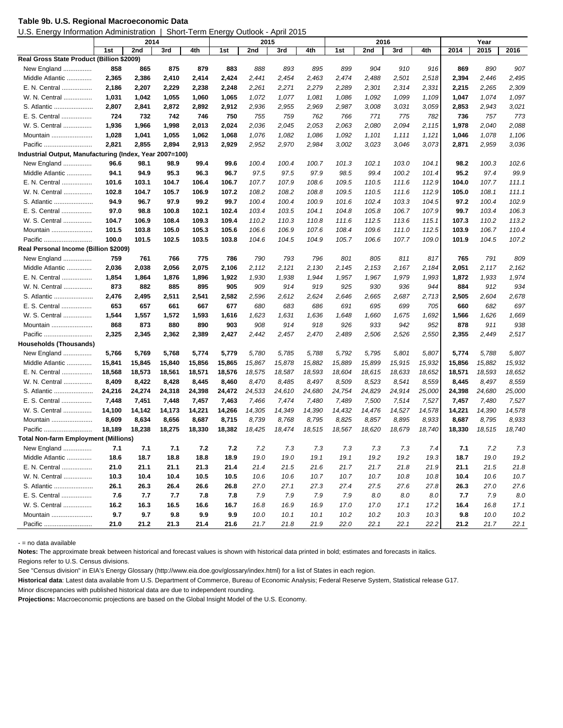|  |  | Table 9b. U.S. Regional Macroeconomic Data |
|--|--|--------------------------------------------|
|--|--|--------------------------------------------|

U.S. Energy Information Administration | Short-Term Energy Outlook - April 2015

|                                                         | 2014   |        |        | 2015   |        |        |        |        | 2016   |        | Year   |        |        |        |        |
|---------------------------------------------------------|--------|--------|--------|--------|--------|--------|--------|--------|--------|--------|--------|--------|--------|--------|--------|
|                                                         | 1st    | 2nd    | 3rd    | 4th    | 1st    | 2nd    | 3rd    | 4th    | 1st    | 2nd    | 3rd    | 4th    | 2014   | 2015   | 2016   |
| Real Gross State Product (Billion \$2009)               |        |        |        |        |        |        |        |        |        |        |        |        |        |        |        |
| New England                                             | 858    | 865    | 875    | 879    | 883    | 888    | 893    | 895    | 899    | 904    | 910    | 916    | 869    | 890    | 907    |
| Middle Atlantic                                         | 2,365  | 2,386  | 2,410  | 2,414  | 2,424  | 2,441  | 2,454  | 2,463  | 2,474  | 2,488  | 2,501  | 2,518  | 2,394  | 2,446  | 2,495  |
| E. N. Central                                           | 2,186  | 2,207  | 2,229  | 2,238  | 2,248  | 2,261  | 2,271  | 2,279  | 2,289  | 2,301  | 2,314  | 2,331  | 2,215  | 2,265  | 2,309  |
| W. N. Central                                           | 1,031  | 1,042  | 1,055  | 1,060  | 1,065  | 1,072  | 1,077  | 1,081  | 1,086  | 1,092  | 1,099  | 1,109  | 1,047  | 1,074  | 1,097  |
| S. Atlantic                                             | 2,807  | 2,841  | 2,872  | 2,892  | 2,912  | 2,936  | 2,955  | 2,969  | 2,987  | 3,008  | 3,031  | 3,059  | 2,853  | 2,943  | 3,021  |
| E. S. Central                                           | 724    | 732    | 742    | 746    | 750    | 755    | 759    | 762    | 766    | 771    | 775    | 782    | 736    | 757    | 773    |
| W. S. Central                                           | 1,936  | 1,966  | 1,998  | 2,013  | 2,024  | 2,036  | 2,045  | 2,053  | 2,063  | 2,080  | 2,094  | 2,115  | 1,978  | 2,040  | 2,088  |
| Mountain                                                | 1,028  | 1,041  | 1,055  | 1,062  | 1,068  | 1,076  | 1,082  | 1,086  | 1,092  | 1,101  | 1,111  | 1,121  | 1,046  | 1,078  | 1,106  |
| Pacific                                                 | 2,821  | 2,855  | 2,894  | 2,913  | 2,929  | 2,952  | 2,970  | 2,984  | 3,002  | 3,023  | 3,046  | 3,073  | 2,871  | 2,959  | 3,036  |
| Industrial Output, Manufacturing (Index, Year 2007=100) |        |        |        |        |        |        |        |        |        |        |        |        |        |        |        |
| New England                                             | 96.6   | 98.1   | 98.9   | 99.4   | 99.6   | 100.4  | 100.4  | 100.7  | 101.3  | 102.1  | 103.0  | 104.1  | 98.2   | 100.3  | 102.6  |
| Middle Atlantic                                         | 94.1   | 94.9   | 95.3   | 96.3   | 96.7   | 97.5   | 97.5   | 97.9   | 98.5   | 99.4   | 100.2  | 101.4  | 95.2   | 97.4   | 99.9   |
| E. N. Central                                           | 101.6  | 103.1  | 104.7  | 106.4  | 106.7  | 107.7  | 107.9  | 108.6  | 109.5  | 110.5  | 111.6  | 112.9  | 104.0  | 107.7  | 111.1  |
| W. N. Central                                           | 102.8  | 104.7  | 105.7  | 106.9  | 107.2  | 108.2  | 108.2  | 108.8  | 109.5  | 110.5  | 111.6  | 112.9  | 105.0  | 108.1  | 111.1  |
| S. Atlantic                                             | 94.9   | 96.7   | 97.9   | 99.2   | 99.7   | 100.4  | 100.4  | 100.9  | 101.6  | 102.4  | 103.3  | 104.5  | 97.2   | 100.4  | 102.9  |
| E. S. Central                                           | 97.0   | 98.8   | 100.8  | 102.1  | 102.4  | 103.4  | 103.5  | 104.1  | 104.8  | 105.8  | 106.7  | 107.9  | 99.7   | 103.4  | 106.3  |
| W. S. Central                                           | 104.7  | 106.9  | 108.4  | 109.3  | 109.4  | 110.2  | 110.3  | 110.8  | 111.6  | 112.5  | 113.6  | 115.1  | 107.3  | 110.2  | 113.2  |
| Mountain                                                | 101.5  | 103.8  | 105.0  | 105.3  | 105.6  | 106.6  | 106.9  | 107.6  | 108.4  | 109.6  | 111.0  | 112.5  | 103.9  | 106.7  | 110.4  |
| Pacific                                                 | 100.0  | 101.5  | 102.5  | 103.5  | 103.8  | 104.6  | 104.5  | 104.9  | 105.7  | 106.6  | 107.7  | 109.0  | 101.9  | 104.5  | 107.2  |
| Real Personal Income (Billion \$2009)                   |        |        |        |        |        |        |        |        |        |        |        |        |        |        |        |
| New England                                             | 759    | 761    | 766    | 775    | 786    | 790    | 793    | 796    | 801    | 805    | 811    | 817    | 765    | 791    | 809    |
| Middle Atlantic                                         | 2,036  | 2,038  | 2,056  | 2,075  | 2,106  | 2,112  | 2,121  | 2,130  | 2,145  | 2,153  | 2,167  | 2,184  | 2,051  | 2,117  | 2,162  |
| E. N. Central                                           | 1,854  | 1,864  | 1,876  | 1,896  | 1,922  | 1,930  | 1,938  | 1,944  | 1,957  | 1,967  | 1,979  | 1,993  | 1,872  | 1,933  | 1,974  |
| W. N. Central                                           | 873    | 882    | 885    | 895    | 905    | 909    | 914    | 919    | 925    | 930    | 936    | 944    | 884    | 912    | 934    |
| S. Atlantic                                             | 2,476  | 2,495  | 2,511  | 2,541  | 2,582  | 2,596  | 2,612  | 2,624  | 2,646  | 2,665  | 2,687  | 2,713  | 2,505  | 2,604  | 2,678  |
| E. S. Central                                           | 653    | 657    | 661    | 667    | 677    | 680    | 683    | 686    | 691    | 695    | 699    | 705    | 660    | 682    | 697    |
| W. S. Central                                           | 1,544  | 1,557  | 1,572  | 1,593  | 1,616  | 1,623  | 1,631  | 1,636  | 1,648  | 1,660  | 1,675  | 1,692  | 1,566  | 1,626  | 1,669  |
| Mountain                                                | 868    | 873    | 880    | 890    | 903    | 908    | 914    | 918    | 926    | 933    | 942    | 952    | 878    | 911    | 938    |
| Pacific                                                 | 2,325  | 2,345  | 2,362  | 2,389  | 2,427  | 2,442  | 2,457  | 2,470  | 2,489  | 2,506  | 2,526  | 2,550  | 2,355  | 2,449  | 2,517  |
| Households (Thousands)                                  |        |        |        |        |        |        |        |        |        |        |        |        |        |        |        |
| New England                                             | 5,766  | 5,769  | 5,768  | 5,774  | 5,779  | 5,780  | 5,785  | 5,788  | 5,792  | 5,795  | 5,801  | 5,807  | 5,774  | 5,788  | 5,807  |
| Middle Atlantic                                         | 15,841 | 15,845 | 15,840 | 15,856 | 15,865 | 15,867 | 15,878 | 15,882 | 15,889 | 15,899 | 15,915 | 15,932 | 15,856 | 15,882 | 15,932 |
| E. N. Central                                           | 18,568 | 18,573 | 18,561 | 18,571 | 18,576 | 18,575 | 18,587 | 18,593 | 18,604 | 18,615 | 18,633 | 18,652 | 18,571 | 18,593 | 18,652 |
| W. N. Central                                           | 8,409  | 8,422  | 8,428  | 8,445  | 8,460  | 8,470  | 8,485  | 8,497  | 8,509  | 8,523  | 8,541  | 8,559  | 8,445  | 8,497  | 8,559  |
| S. Atlantic                                             | 24,216 | 24,274 | 24,318 | 24,398 | 24,472 | 24,533 | 24,610 | 24,680 | 24,754 | 24,829 | 24,914 | 25,000 | 24,398 | 24,680 | 25,000 |
| E. S. Central                                           | 7,448  | 7,451  | 7,448  | 7,457  | 7,463  | 7,466  | 7,474  | 7,480  | 7,489  | 7,500  | 7,514  | 7,527  | 7,457  | 7,480  | 7,527  |
| W. S. Central                                           | 14,100 | 14,142 | 14,173 | 14,221 | 14,266 | 14,305 | 14,349 | 14,390 | 14,432 | 14,476 | 14,527 | 14,578 | 14,221 | 14,390 | 14,578 |
| Mountain                                                | 8,609  | 8,634  | 8,656  | 8,687  | 8,715  | 8,739  | 8,768  | 8,795  | 8,825  | 8,857  | 8,895  | 8,933  | 8,687  | 8,795  | 8,933  |
| Pacific                                                 | 18,189 | 18,238 | 18,275 | 18,330 | 18,382 | 18,425 | 18,474 | 18,515 | 18,567 | 18,620 | 18,679 | 18,740 | 18,330 | 18,515 | 18,740 |
| <b>Total Non-farm Employment (Millions)</b>             |        |        |        |        |        |        |        |        |        |        |        |        |        |        |        |
| New England                                             | 7.1    | 7.1    | 7.1    | 7.2    | 7.2    | 7.2    | 7.3    | 7.3    | 7.3    | 7.3    | 7.3    | 7.4    | 7.1    | 7.2    | 7.3    |
| Middle Atlantic                                         | 18.6   | 18.7   | 18.8   | 18.8   | 18.9   | 19.0   | 19.0   | 19.1   | 19.1   | 19.2   | 19.2   | 19.3   | 18.7   | 19.0   | 19.2   |
| E. N. Central                                           | 21.0   | 21.1   | 21.1   | 21.3   | 21.4   | 21.4   | 21.5   | 21.6   | 21.7   | 21.7   | 21.8   | 21.9   | 21.1   | 21.5   | 21.8   |
| W. N. Central                                           | 10.3   | 10.4   | 10.4   | 10.5   | 10.5   | 10.6   | 10.6   | 10.7   | 10.7   | 10.7   | 10.8   | 10.8   | 10.4   | 10.6   | 10.7   |
| S. Atlantic                                             | 26.1   | 26.3   | 26.4   | 26.6   | 26.8   | 27.0   | 27.1   | 27.3   | 27.4   | 27.5   | 27.6   | 27.8   | 26.3   | 27.0   | 27.6   |
| E. S. Central                                           | 7.6    | 7.7    | 7.7    | 7.8    | 7.8    | 7.9    | 7.9    | 7.9    | 7.9    | 8.0    | 8.0    | 8.0    | 7.7    | 7.9    | 8.0    |
| W. S. Central                                           | 16.2   | 16.3   | 16.5   | 16.6   | 16.7   | 16.8   | 16.9   | 16.9   | 17.0   | 17.0   | 17.1   | 17.2   | 16.4   | 16.8   | 17.1   |
| Mountain                                                | 9.7    | 9.7    | 9.8    | 9.9    | 9.9    | 10.0   | 10.1   | 10.1   | 10.2   | 10.2   | 10.3   | 10.3   | 9.8    | 10.0   | 10.2   |
| Pacific                                                 | 21.0   | 21.2   | 21.3   | 21.4   | 21.6   | 21.7   | 21.8   | 21.9   | 22.0   | 22.1   | 22.1   | 22.2   | 21.2   | 21.7   | 22.1   |

- = no data available

**Notes:** The approximate break between historical and forecast values is shown with historical data printed in bold; estimates and forecasts in italics.

Regions refer to U.S. Census divisions.

See "Census division" in EIA's Energy Glossary (http://www.eia.doe.gov/glossary/index.html) for a list of States in each region.

**Historical data**: Latest data available from U.S. Department of Commerce, Bureau of Economic Analysis; Federal Reserve System, Statistical release G17.

Minor discrepancies with published historical data are due to independent rounding.

**Projections:** Macroeconomic projections are based on the Global Insight Model of the U.S. Economy.